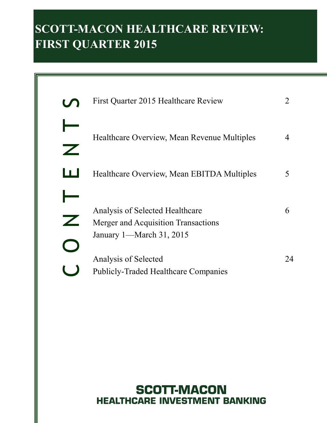# **SCOTT-MACON HEALTHCARE REVIEW: FIRST QUARTER 2015**

| First Quarter 2015 Healthcare Review                                                               |    |
|----------------------------------------------------------------------------------------------------|----|
| Healthcare Overview, Mean Revenue Multiples                                                        |    |
| Healthcare Overview, Mean EBITDA Multiples                                                         | 5  |
| Analysis of Selected Healthcare<br>Merger and Acquisition Transactions<br>January 1—March 31, 2015 | 6  |
| Analysis of Selected<br><b>Publicly-Traded Healthcare Companies</b>                                | 24 |

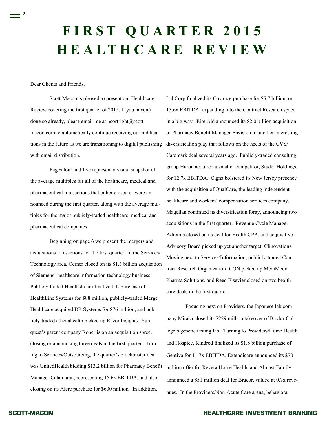# **F I R S T Q U A R T E R 2 0 1 5 H E A L T H C A R E R E V I E W**

Dear Clients and Friends,

 $\equiv$  2

Scott-Macon is pleased to present our Healthcare Review covering the first quarter of 2015. If you haven't done so already, please email me at ncortright $@$ scottmacon.com to automatically continue receiving our publications in the future as we are transitioning to digital publishing with email distribution.

Pages four and five represent a visual snapshot of the average multiples for all of the healthcare, medical and pharmaceutical transactions that either closed or were announced during the first quarter, along with the average multiples for the major publicly-traded healthcare, medical and pharmaceutical companies.

Beginning on page 6 we present the mergers and acquisitions transactions for the first quarter. In the Services/ Technology area, Cerner closed on its \$1.3 billion acquisition of Siemens' healthcare information technology business. Publicly-traded Healthstream finalized its purchase of HealthLine Systems for \$88 million, publicly-traded Merge Healthcare acquired DR Systems for \$76 million, and publicly-traded athenahealth picked up Razor Insights. Sunquest's parent company Roper is on an acquisition spree, closing or announcing three deals in the first quarter. Turning to Services/Outsourcing, the quarter's blockbuster deal was UnitedHealth bidding \$13.2 billion for Pharmacy Benefit Manager Catamaran, representing 15.6x EBITDA, and also closing on its Alere purchase for \$600 million. In addition,

LabCorp finalized its Covance purchase for \$5.7 billion, or 13.6x EBITDA, expanding into the Contract Research space in a big way. Rite Aid announced its \$2.0 billion acquisition of Pharmacy Benefit Manager Envision in another interesting diversification play that follows on the heels of the CVS/ Caremark deal several years ago. Publicly-traded consulting group Huron acquired a smaller competitor, Studer Holdings, for 12.7x EBITDA. Cigna bolstered its New Jersey presence with the acquisition of QualCare, the leading independent healthcare and workers' compensation services company. Magellan continued its diversification foray, announcing two acquisitions in the first quarter. Revenue Cycle Manager Adreima closed on its deal for Health CPA, and acquisitive Advisory Board picked up yet another target, Clinovations. Moving next to Services/Information, publicly-traded Contract Research Organization ICON picked up MediMedia Pharma Solutions, and Reed Elsevier closed on two healthcare deals in the first quarter.

Focusing next on Providers, the Japanese lab company Miraca closed its \$229 million takeover of Baylor College's genetic testing lab. Turning to Providers/Home Health and Hospice, Kindred finalized its \$1.8 billion purchase of Gentiva for 11.7x EBITDA. Extendicare announced its \$70 million offer for Revera Home Health, and Almost Family announced a \$51 million deal for Bracor, valued at 0.7x revenues. In the Providers/Non-Acute Care arena, behavioral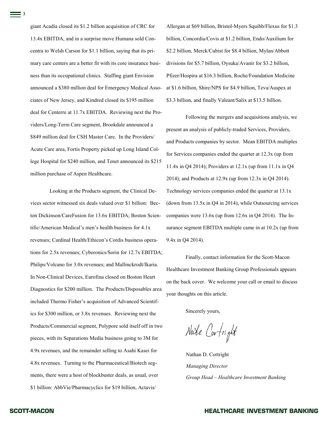giant Acadia closed its \$1.2 billion acquisition of CRC for 13.4x EBITDA, and in a surprise move Humana sold Concentra to Welsh Carson for \$1.1 billion, saying that its primary care centers are a better fit with its core insurance business than its occupational clinics. Staffing giant Envision announced a \$380 million deal for Emergency Medical Associates of New Jersey, and Kindred closed its \$195 million deal for Centerre at 11.7x EBITDA. Reviewing next the Providers/Long-Term Care segment, Brookdale announced a \$849 million deal for CSH Master Care. In the Providers/ Acute Care area, Fortis Property picked up Long Island College Hospital for \$240 million, and Tenet announced its \$215 million purchase of Aspen Healthcare.

Looking at the Products segment, the Clinical Devices sector witnessed six deals valued over \$1 billion: Becton Dickinson/CareFusion for 13.6x EBITDA; Boston Scientific/American Medical's men's health business for 4.1x revenues; Cardinal Health/Ethicon's Cordis business operations for 2.5x revenues; Cyberonics/Sorin for 12.7x EBITDA; Philips/Volcano for 3.0x revenues; and Mallinckrodt/Ikaria. In Non-Clinical Devices, Eurofina closed on Boston Heart Diagnostics for \$200 million. The Products/Disposables area included Thermo Fisher's acquisition of Advanced Scientifics for \$300 million, or 3.8x revenues. Reviewing next the Products/Commercial segment, Polypore sold itself off in two pieces, with its Separations Media business going to 3M for 4.9x revenues, and the remainder selling to Asahi Kasei for 4.8x revenues. Turning to the Pharmaceutical/Biotech segments, there were a host of blockbuster deals, as usual, over \$1 billion: AbbVie/Pharmacyclics for \$19 billion, Actavis/

Allergan at \$69 billion, Bristol-Myers Squibb/Flexus for \$1.3 billion, Concordia/Covis at \$1.2 billion, Endo/Auxilium for \$2.2 billion, Merck/Cubist for \$8.4 billion, Mylan/Abbott divisions for \$5.7 billion, Oysuka/Avanir for \$3.2 billion, Pfizer/Hospira at \$16.3 billion, Roche/Foundation Medicine at \$1.6 billion, Shire/NPS for \$4.9 billion, Teva/Auspex at \$3.3 billion, and finally Valeant/Salix at \$13.5 billion.

Following the mergers and acquisitions analysis, we present an analysis of publicly-traded Services, Providers, and Products companies by sector. Mean EBITDA multiples for Services companies ended the quarter at 12.3x (up from 11.4x in Q4 2014); Providers at 12.1x (up from 11.1x in Q4 2014); and Products at 12.9x (up from 12.3x in Q4 2014). Technology services companies ended the quarter at 13.1x (down from 13.5x in Q4 in 2014), while Outsourcing services companies were 13.6x (up from 12.6x in Q4 2014). The Insurance segment EBITDA multiple came in at 10.2x (up from 9.4x in Q4 2014).

Finally, contact information for the Scott-Macon Healthcare Investment Banking Group Professionals appears on the back cover. We welcome your call or email to discuss your thoughts on this article.

Sincerely yours,

Nate Cortright

Nathan D. Cortright *Managing Director Group Head – Healthcare Investment Banking*

 $\equiv$  3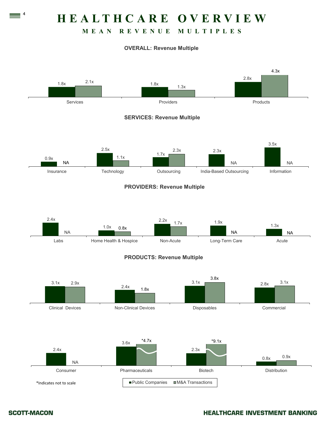## **H E A L T H C A R E O V E R V I E W**

### **M E A N R E V E N U E M U L T I P L E S**

#### **OVERALL: Revenue Multiple**



 $\equiv$   $\frac{4}{1}$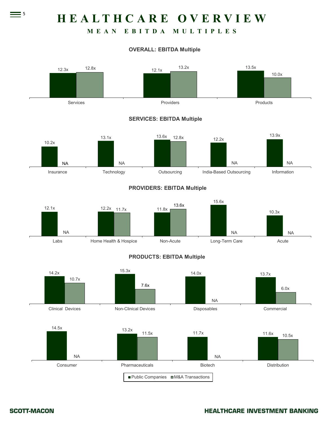## **H E A L T H C A R E O V E R V I E W**

## **M E A N E B I T D A M U L T I P L E S**

#### **OVERALL: EBITDA Multiple**



 $= 5$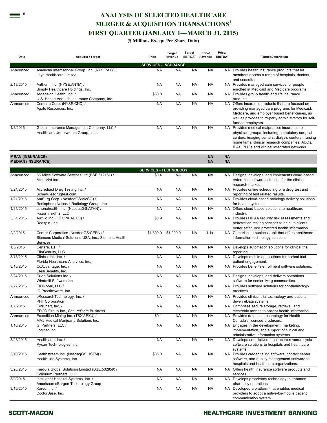## **ANALYSIS OF SELECTED HEALTHCARE MERGER & ACQUISITION TRANSACTIONS 1 FIRST QUARTER (JANUARY 1 —MARCH 31, 2015)**

#### **(\$ Millions Except Per Share Data)**

| Date                                                 | <b>Acquirer / Target</b>                                                                                | Price                                    | <b>Target</b><br>Revenue | Target<br>EBITDA <sup>2</sup> | Price/<br>Revenue      | Price/<br>EBITDA <sup>2</sup> | <b>Target Description</b>                                                                                                                                                                                                                                |
|------------------------------------------------------|---------------------------------------------------------------------------------------------------------|------------------------------------------|--------------------------|-------------------------------|------------------------|-------------------------------|----------------------------------------------------------------------------------------------------------------------------------------------------------------------------------------------------------------------------------------------------------|
|                                                      |                                                                                                         |                                          |                          |                               |                        |                               |                                                                                                                                                                                                                                                          |
| Announced                                            | American International Group, Inc. (NYSE:AIG) /<br>Laya Healthcare Limited                              | <b>SERVICES - INSURANCE</b><br><b>NA</b> | <b>NA</b>                | <b>NA</b>                     | <b>NA</b>              |                               | NA Provides health insurance products that let<br>members access a range of hospitals, doctors,<br>and consultants.                                                                                                                                      |
| 2/18/2015                                            | Anthem, Inc. (NYSE:ANTM) /<br>Simply Healthcare Holdings, Inc.                                          | <b>NA</b>                                | <b>NA</b>                | <b>NA</b>                     | <b>NA</b>              |                               | NA Provides managed care services for people<br>enrolled in Medicaid and Medicare programs.                                                                                                                                                              |
| Announced                                            | Ascension Health, Inc. /<br>U.S. Health And Life Insurance Company, Inc.                                | \$50.0                                   | <b>NA</b>                | <b>NA</b>                     | <b>NA</b>              |                               | NA Provides group health and life insurance<br>products.                                                                                                                                                                                                 |
| Announced                                            | Centene Corp. (NYSE:CNC) /<br>Agate Resources, Inc.                                                     | <b>NA</b>                                | <b>NA</b>                | <b>NA</b>                     | <b>NA</b>              |                               | NA Offers insurance products that are focused on<br>providing managed care programs for Medicaid,<br>Medicare, and employer based beneficiaries, as<br>well as provides third-party administrators for self-<br>funded employers.                        |
| 1/8/2015                                             | Global Insurance Management Company, LLC /<br>Healthcare Underwriters Group, Inc.                       | <b>NA</b>                                | <b>NA</b>                | <b>NA</b>                     | <b>NA</b>              |                               | NA Provides medical malpractice insurance to<br>physician groups, including ambulatory surgical<br>centers, imaging centers, dialysis centers, nursing<br>home firms, clinical research companies, ACOs,<br>IPAs, PHOs and clinical integrated networks. |
| <b>MEAN (INSURANCE)</b><br><b>MEDIAN (INSURANCE)</b> |                                                                                                         |                                          |                          |                               | <b>NA</b><br><b>NA</b> | <b>NA</b><br><b>NA</b>        |                                                                                                                                                                                                                                                          |
|                                                      |                                                                                                         | <b>SERVICES - TECHNOLOGY</b>             |                          |                               |                        |                               |                                                                                                                                                                                                                                                          |
| Announced                                            | 8K Miles Software Services Ltd (BSE:512161) /<br>Mindprint Inc.                                         | \$0.4                                    | <b>NA</b>                | <b>NA</b>                     | <b>NA</b>              |                               | NA Designs, develops, and implements cloud-based<br>enterprise software solutions for the clinical<br>research market.                                                                                                                                   |
| 3/24/2015                                            | Accredited Drug Testing Inc. /<br>Scheduleadrugtest.com                                                 | <b>NA</b>                                | <b>NA</b>                | NA                            | <b>NA</b>              |                               | NA Provides online scheduling of a drug test and<br>reporting of test related results.                                                                                                                                                                   |
| 1/21/2015                                            | AmSurg Corp. (NasdaqGS:AMSG) /<br>Radisphere National Radiology Group, Inc.                             | <b>NA</b>                                | <b>NA</b>                | NA                            | <b>NA</b>              |                               | NA Provides cloud-based radiology delivery solutions<br>for health systems.                                                                                                                                                                              |
| 1/31/2015                                            | athenahealth, Inc. (NasdaqGS:ATHN) /<br>Razor Insights, LLC                                             | <b>NA</b>                                | <b>NA</b>                | NA                            | <b>NA</b>              |                               | NA Offers cloud based solutions to healthcare<br>industry.                                                                                                                                                                                               |
| 3/31/2015                                            | Auxilio Inc. (OTCPK:AUXO) /<br>Redspin, Inc.                                                            | \$3.9                                    | <b>NA</b>                | <b>NA</b>                     | <b>NA</b>              |                               | NA Provides HIPAA security risk assessments and<br>penetration testing services to help its clients<br>better safeguard protected health information.                                                                                                    |
| 2/2/2015                                             | Cerner Corporation (NasdaqGS:CERN) /<br>Siemens Medical Solutions USA, Inc., Siemens Health<br>Services | \$1,300.0                                | \$1,200.0                | <b>NA</b>                     | 1.1x                   |                               | NA Comprises a business unit that offers healthcare<br>information technology solutions.                                                                                                                                                                 |
| 1/5/2015                                             | Certara, L.P. /<br>ClinGenuity, LLC                                                                     | <b>NA</b>                                | <b>NA</b>                | NA                            | <b>NA</b>              |                               | NA Develops automation solutions for clinical trial<br>reporting.                                                                                                                                                                                        |
| 3/18/2015                                            | Clinical Ink, Inc. /<br>Florida Healthcare Analytics, Inc.                                              | <b>NA</b>                                | <b>NA</b>                | NA                            | <b>NA</b>              |                               | NA Develops mobile applications for clinical trial<br>patient engagement.                                                                                                                                                                                |
| 3/18/2015                                            | CoAdvantage, Inc. /<br>ClearBenefits, Inc.                                                              | <b>NA</b>                                | <b>NA</b>                | NA                            | <b>NA</b>              |                               | NA Provides benefits enrollment software solutions.                                                                                                                                                                                                      |
| 3/24/2015                                            | Dude Solutions Inc. /<br>Windmill Software Inc.                                                         | <b>NA</b>                                | <b>NA</b>                | NA                            | <b>NA</b>              |                               | NA Designs, develops, and delivers operations<br>software for senior living communities.                                                                                                                                                                 |
| 2/27/2015                                            | Eli Global, LLC /<br>IO Practiceware, Inc.                                                              | <b>NA</b>                                | <b>NA</b>                | NA                            | <b>NA</b>              |                               | NA Provides software solutions for ophthalmology<br>practices.                                                                                                                                                                                           |
| Announced                                            | eResearchTechnology, Inc. /<br><b>PHT Corporation</b>                                                   | <b>NA</b>                                | <b>NA</b>                | NA                            | <b>NA</b>              |                               | NA Provides clinical trial technology and patient-<br>driven eData systems.                                                                                                                                                                              |
| 1/7/2015                                             | EvriChart, Inc. /<br>EDCO Group Inc., SecureStore Business                                              | <b>NA</b>                                | <b>NA</b>                | <b>NA</b>                     | <b>NA</b>              |                               | NA Comprises secure storage, retrieval, and<br>electronic access to patient health information.                                                                                                                                                          |
| Announced                                            | Expedition Mining Inc. (TSXV:EXU) /<br>MMJ Medical Marijuana Solutions Inc.                             | \$0.1                                    | <b>NA</b>                | NA                            | NA                     |                               | NA Provides database technology for Health<br>Canada's licensed producers.                                                                                                                                                                               |
| 1/16/2015                                            | GI Partners, LLC /<br>Logibec Inc.                                                                      | <b>NA</b>                                | <b>NA</b>                | <b>NA</b>                     | NA                     |                               | NA Engages in the development, marketing,<br>implementation, and support of clinical and<br>administrative information systems.                                                                                                                          |
| 3/23/2015                                            | Healthland, Inc. /<br>Rycan Technologies, Inc.                                                          | <b>NA</b>                                | <b>NA</b>                | <b>NA</b>                     | <b>NA</b>              |                               | NA Develops and delivers healthcare revenue cycle<br>software solutions to hospitals and healthcare<br>systems.                                                                                                                                          |
| 3/16/2015                                            | Healthstream Inc. (NasdaqGS:HSTM) /<br>HealthLine Systems, Inc.                                         | \$88.0                                   | <b>NA</b>                | <b>NA</b>                     | <b>NA</b>              |                               | NA Provides credentialing software, contact center<br>software, and quality management software to<br>hospitals and healthcare organizations.                                                                                                            |
| 3/28/2015                                            | Hinduja Global Solutions Limited (BSE:532859) /<br>Colibrium Partners, LLC                              | <b>NA</b>                                | <b>NA</b>                | <b>NA</b>                     | <b>NA</b>              |                               | NA Offers health insurance software products and<br>services.                                                                                                                                                                                            |
| 3/9/2015                                             | Intelligent Hospital Systems, Inc. /<br>AmerisourceBergen Technology Group                              | <b>NA</b>                                | <b>NA</b>                | NA                            | <b>NA</b>              |                               | NA Develops proprietary technology to enhance<br>pharmacy operations.                                                                                                                                                                                    |
| 3/10/2015                                            | Kareo, Inc. /<br>DoctorBase, Inc.                                                                       | <b>NA</b>                                | <b>NA</b>                | <b>NA</b>                     | <b>NA</b>              |                               | NA Developed a platform that enables medical<br>providers to adopt a native-for-mobile patient<br>communication system.                                                                                                                                  |

#### **SCOTT-MACON**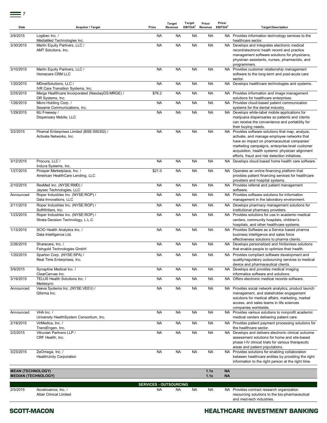| Date                                                   | Acquirer / Target                                                        | Price                         | Target<br>Revenue | Target<br>EBITDA <sup>2</sup> | Price/<br>Revenue | Price/<br>EBITDA <sup>2</sup> | <b>Target Description</b>                                                                                                                                                                                                                                                                               |
|--------------------------------------------------------|--------------------------------------------------------------------------|-------------------------------|-------------------|-------------------------------|-------------------|-------------------------------|---------------------------------------------------------------------------------------------------------------------------------------------------------------------------------------------------------------------------------------------------------------------------------------------------------|
| 3/9/2015                                               | Loqibec Inc. /<br>MédiaMed Technologies Inc.                             | NA                            | NA                | <b>NA</b>                     | <b>NA</b>         |                               | NA Provides information technology services to the<br>healthcare sector.                                                                                                                                                                                                                                |
| 3/30/2015                                              | Marlin Equity Partners, LLC /<br>AMT Solutions, Inc.                     | <b>NA</b>                     | <b>NA</b>         | <b>NA</b>                     | <b>NA</b>         |                               | NA Develops and integrates electronic medical<br>record/electronic heath record and practice<br>management software solutions for physicians,<br>physician assistants, nurses, pharmacists, and<br>programmers.                                                                                         |
| 3/10/2015                                              | Marlin Equity Partners, LLC /<br>Homecare CRM LLC                        | <b>NA</b>                     | <b>NA</b>         | <b>NA</b>                     | <b>NA</b>         |                               | NA Provides customer relationship management<br>software to the long-term and post-acute care<br>sector.                                                                                                                                                                                                |
| 1/20/2015                                              | MDnetSolutions. LLC /<br>IVR Care Transition Systems, Inc.               | NA                            | NA                | <b>NA</b>                     | <b>NA</b>         |                               | NA Develops healthcare technologies and systems.                                                                                                                                                                                                                                                        |
| 2/25/2015                                              | Merge Healthcare Incorporated (NasdaqGS:MRGE) /<br>DR Systems, Inc.      | \$76.2                        | <b>NA</b>         | <b>NA</b>                     | <b>NA</b>         |                               | NA Provides information and image management<br>solutions for healthcare enterprises.                                                                                                                                                                                                                   |
| 1/26/2015                                              | Micro Holding Corp. /<br>Sesame Communications, Inc.                     | <b>NA</b>                     | NA                | <b>NA</b>                     | <b>NA</b>         |                               | NA Provides cloud-based patient communication<br>systems for the dental industry.                                                                                                                                                                                                                       |
| 1/29/2015                                              | MJ Freeway /<br>Dispensary Mobile, LLC                                   | <b>NA</b>                     | <b>NA</b>         | <b>NA</b>                     | <b>NA</b>         |                               | NA Develops white-label mobile applications for<br>marijuana dispensaries so patients and clients<br>can receive the convenience and portability for<br>their buying needs.                                                                                                                             |
| 3/2/2015                                               | Piramal Enterprises Limited (BSE:500302) /<br>Activate Networks, Inc.    | <b>NA</b>                     | <b>NA</b>         | <b>NA</b>                     | <b>NA</b>         |                               | NA Provides software solutions that map, analyze,<br>activate, and manage employee networks that<br>have an impact on pharmaceutical companies'<br>marketing campaigns, enterprise-level customer<br>acquisition, health systems' physician alignment<br>efforts, fraud and risk detection initiatives. |
| 3/12/2015                                              | Procura, LLC /<br>Indura Systems, Inc.                                   | <b>NA</b>                     | <b>NA</b>         | <b>NA</b>                     | <b>NA</b>         |                               | NA Develops cloud-based home health care software.                                                                                                                                                                                                                                                      |
| 1/27/2015                                              | Prosper Marketplace, Inc. /<br>American HealthCare Lending, LLC          | \$21.0                        | <b>NA</b>         | <b>NA</b>                     | <b>NA</b>         |                               | NA Operates an online financing platform that<br>provides patient financing services for healthcare<br>providers and hospital systems.                                                                                                                                                                  |
| 2/10/2015                                              | ResMed Inc. (NYSE:RMD) /<br>Jaysec Technologies, LLC                     | <b>NA</b>                     | <b>NA</b>         | <b>NA</b>                     | <b>NA</b>         |                               | NA Provides referral and patient management<br>software.                                                                                                                                                                                                                                                |
| Announced                                              | Roper Industries Inc. (NYSE:ROP) /<br>Data Innovations, LLC              | <b>NA</b>                     | <b>NA</b>         | <b>NA</b>                     | <b>NA</b>         |                               | NA Provides software solutions for information<br>management in the laboratory environment.                                                                                                                                                                                                             |
| 2/11/2015                                              | Roper Industries Inc. (NYSE:ROP) /<br>SoftWriters, Inc.                  | NA                            | <b>NA</b>         | <b>NA</b>                     | <b>NA</b>         |                               | NA Develops pharmacy management solutions for<br>institutional pharmacy providers.                                                                                                                                                                                                                      |
| 1/23/2015                                              | Roper Industries Inc. (NYSE:ROP) /<br>Strata Decision Technology, L.L.C. | NA                            | <b>NA</b>         | <b>NA</b>                     | <b>NA</b>         |                               | NA Provides solutions for use in academic medical<br>centers, community hospitals, children's<br>hospitals, and other healthcare systems.                                                                                                                                                               |
| 1/13/2015                                              | SCIO Health Analytics Inc. /<br>Data Intelligence Ltd.                   | <b>NA</b>                     | <b>NA</b>         | <b>NA</b>                     | <b>NA</b>         |                               | NA Provides Software as a Service based pharma<br>business intelligence and sales force<br>effectiveness solutions to pharma clients.                                                                                                                                                                   |
| 2/26/2015                                              | Sharecare, Inc. /<br>Feingold Technologies GmbH                          | <b>NA</b>                     | <b>NA</b>         | <b>NA</b>                     | <b>NA</b>         |                               | NA Develops personalized and frictionless solutions<br>that enable people to optimize their health.                                                                                                                                                                                                     |
| 1/20/2015                                              | Sparton Corp. (NYSE:SPA) /<br>Real Time Enterprises, Inc.                | <b>NA</b>                     | <b>NA</b>         | <b>NA</b>                     | <b>NA</b>         |                               | NA Provides compliant software development and<br>quality/regulatory outsourcing services to medical<br>device and pharmaceutical clients.                                                                                                                                                              |
| 3/9/2015                                               | Synaptive Medical Inc. /<br>ClearCanvas Inc.                             | NA                            | NA                | NA                            | <b>NA</b>         |                               | NA Develops and provides medical imaging<br>informatics software and solutions.                                                                                                                                                                                                                         |
| 3/19/2015                                              | TELUS Health Solutions Inc. /<br>Medesync                                | <b>NA</b>                     | <b>NA</b>         | NA                            | <b>NA</b>         |                               | NA Offers electronic medical records software.                                                                                                                                                                                                                                                          |
| Announced                                              | Veeva Systems Inc. (NYSE:VEEV) /<br>Oforma Inc.                          | <b>NA</b>                     | <b>NA</b>         | <b>NA</b>                     | <b>NA</b>         |                               | NA Provides social network analytics, product launch<br>management, and stakeholder engagement<br>solutions for medical affairs, marketing, market<br>access, and sales teams in life sciences<br>companies worldwide.                                                                                  |
| Announced                                              | VHA Inc. /<br>University HealthSystem Consortium, Inc.                   | NA                            | NA                | <b>NA</b>                     | <b>NA</b>         |                               | NA Provides various solutions to nonprofit academic<br>medical centers delivering patient care.                                                                                                                                                                                                         |
| 2/19/2015                                              | VirMedica, Inc. /<br>TransEngen, Inc.                                    | <b>NA</b>                     | <b>NA</b>         | <b>NA</b>                     | <b>NA</b>         |                               | NA Provides patient payment processing solutions for<br>the healthcare sector.                                                                                                                                                                                                                          |
| 2/2/2015                                               | Vitruvian Partners LLP /<br>CRF Health, Inc.                             | <b>NA</b>                     | <b>NA</b>         | <b>NA</b>                     | <b>NA</b>         |                               | NA Develops and delivers electronic clinical outcome<br>assessment solutions for home and site-based<br>phase I-IV clinical trials for various therapeutic<br>areas and patient populations.                                                                                                            |
| 3/23/2015                                              | ZeOmega, Inc. /<br><b>HealthUnity Corporation</b>                        | <b>NA</b>                     | <b>NA</b>         | <b>NA</b>                     | <b>NA</b>         |                               | NA Provides solutions for enabling collaboration<br>between healthcare entities by providing the right<br>information to the right person at the right time.                                                                                                                                            |
| <b>MEAN (TECHNOLOGY)</b><br><b>MEDIAN (TECHNOLOGY)</b> |                                                                          |                               |                   |                               | 1.1x<br>1.1x      | <b>NA</b><br><b>NA</b>        |                                                                                                                                                                                                                                                                                                         |
|                                                        |                                                                          | <b>SERVICES - OUTSOURCING</b> |                   |                               |                   |                               |                                                                                                                                                                                                                                                                                                         |
| 2/5/2015                                               | Accelovance, Inc. /<br><b>Altair Clinical Limited</b>                    | NA                            | NA                | <b>NA</b>                     | <b>NA</b>         |                               | NA Provides contract research organization<br>resourcing solutions to the bio-pharmaceutical<br>and med-tech industries.                                                                                                                                                                                |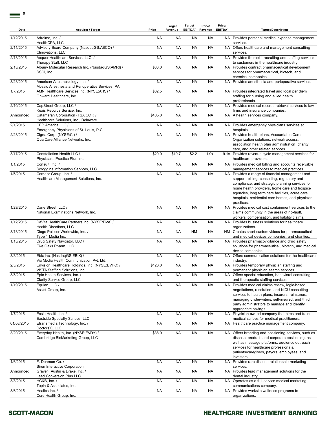| Date       | Acquirer / Target                                                                   | Price     | <b>Target</b><br>Revenue | Target<br>EBITDA <sup>2</sup> | Price/<br>Revenue | Price/<br>EBITDA <sup>2</sup> | <b>Target Description</b>                                                                                                                                                                                                                                                                                               |
|------------|-------------------------------------------------------------------------------------|-----------|--------------------------|-------------------------------|-------------------|-------------------------------|-------------------------------------------------------------------------------------------------------------------------------------------------------------------------------------------------------------------------------------------------------------------------------------------------------------------------|
| 1/12/2015  | Adreima, Inc. /<br>HealthCPA, LLC                                                   | NA        | <b>NA</b>                | NA                            | <b>NA</b>         |                               | NA Provides personal medical expense management<br>services.                                                                                                                                                                                                                                                            |
| 2/11/2015  | Advisory Board Company (NasdaqGS:ABCO) /<br>Clinovations, LLC                       | <b>NA</b> | <b>NA</b>                | <b>NA</b>                     | <b>NA</b>         |                               | NA Offers healthcare and management consulting<br>services.                                                                                                                                                                                                                                                             |
| 2/13/2015  | Aequor Healthcare Services, LLC. /<br>Therapy Staff, LLC                            | <b>NA</b> | <b>NA</b>                | <b>NA</b>                     | <b>NA</b>         |                               | NA Provides therapist recruiting and staffing services<br>to customers in the healthcare industry.                                                                                                                                                                                                                      |
| 2/13/2015  | Albany Molecular Research Inc. (NasdaqGS:AMRI) /<br>SSCI, Inc.                      | \$36.0    | <b>NA</b>                | <b>NA</b>                     | <b>NA</b>         |                               | NA Provides contract pharmaceutical development<br>services for pharmaceutical, biotech, and<br>chemical companies.                                                                                                                                                                                                     |
| 3/23/2015  | American Anesthesiology, Inc. /<br>Mosaic Anesthesia and Perioperative Services, PA | <b>NA</b> | <b>NA</b>                | <b>NA</b>                     | <b>NA</b>         |                               | NA Provides anesthesia and perioperative services.                                                                                                                                                                                                                                                                      |
| 1/7/2015   | AMN Healthcare Services Inc. (NYSE:AHS) /<br>Onward Healthcare, Inc.                | \$82.5    | <b>NA</b>                | <b>NA</b>                     | <b>NA</b>         |                               | NA Provides integrated travel and local per diem<br>staffing for nursing and allied health<br>professionals.                                                                                                                                                                                                            |
| 2/10/2015  | CapStreet Group, LLC /<br>Keais Records Service, Inc.                               | <b>NA</b> | <b>NA</b>                | <b>NA</b>                     | <b>NA</b>         |                               | NA Provides medical records retrieval services to law<br>firms and insurance companies.                                                                                                                                                                                                                                 |
| Announced  | Catamaran Corporation (TSX:CCT) /<br>Healthcare Solutions, Inc., Delaware           | \$405.0   | <b>NA</b>                | <b>NA</b>                     | <b>NA</b>         |                               | NA A health services company.                                                                                                                                                                                                                                                                                           |
| 2/1/2015   | CEP America LLC /<br>Emergency Physicians of St. Louis, P.C.                        | <b>NA</b> | <b>NA</b>                | <b>NA</b>                     | <b>NA</b>         |                               | NA Provides emergency physicians services at<br>hospitals.                                                                                                                                                                                                                                                              |
| 2/28/2015  | Cigna Corp. (NYSE:CI) /<br>QualCare Alliance Networks, Inc.                         | <b>NA</b> | <b>NA</b>                | <b>NA</b>                     | <b>NA</b>         |                               | NA Provides health plans, Accountable Care<br>Organization solutions, network access,<br>association health plan administration, charity<br>care, and other related services.                                                                                                                                           |
| 3/17/2015  | Constellation Health LLC /<br>Physicians Practice Plus Inc.                         | \$20.0    | \$10.7                   | \$2.2                         | 1.9x              |                               | 9.1x Provides revenue cycle management services for<br>healthcare providers.                                                                                                                                                                                                                                            |
| 1/1/2015   | Consult, Inc. /<br>Scroggins Information Services, LLC                              | <b>NA</b> | <b>NA</b>                | <b>NA</b>                     | <b>NA</b>         |                               | NA Provides medical billing and accounts receivable<br>management services to medical practices.                                                                                                                                                                                                                        |
| 1/6/2015   | Corridor Group, Inc. /<br>Healthcare Management Solutions, Inc.                     | <b>NA</b> | <b>NA</b>                | <b>NA</b>                     | <b>NA</b>         |                               | NA Provides a range of financial management and<br>support, billing, consulting, regulatory and<br>compliance, and strategic planning services for<br>home health providers, home care and hospice<br>agencies, long term care facilities, acute care<br>hospitals, residential care homes, and physician<br>practices. |
| 1/29/2015  | Dane Street, LLC /<br>National Examinations Network, Inc.                           | <b>NA</b> | <b>NA</b>                | <b>NA</b>                     | <b>NA</b>         |                               | NA Provides medical cost containment services to the<br>claims community in the areas of no-fault,<br>workers' compensation, and liability claims.                                                                                                                                                                      |
| 1/12/2015  | DaVita HealthCare Partners Inc. (NYSE:DVA) /<br>Health Directions, LLC              | <b>NA</b> | <b>NA</b>                | <b>NA</b>                     | <b>NA</b>         |                               | NA Provides business solutions for healthcare<br>organizations.                                                                                                                                                                                                                                                         |
| 3/13/2015  | Diego Pellicer Worldwide, Inc. /<br>Type 1 Media Inc.                               | <b>NA</b> | <b>NA</b>                | <b>NM</b>                     | <b>NA</b>         |                               | NM Creates short custom videos for pharmaceutical<br>and medical devices companies, and charities.                                                                                                                                                                                                                      |
| 1/15/2015  | Drug Safety Navigator, LLC /<br>Five Oaks Pharm, LLC                                | <b>NA</b> | <b>NA</b>                | <b>NA</b>                     | <b>NA</b>         |                               | NA Provides pharmacovigilance and drug safety<br>solutions for pharmaceutical, biotech, and medical<br>device companies.                                                                                                                                                                                                |
| 3/3/2015   | Ebix Inc. (NasdaqGS:EBIX) /<br>Via Media Health Communication Pvt. Ltd.             | <b>NA</b> | <b>NA</b>                | <b>NA</b>                     | <b>NA</b>         |                               | NA Offers communication solutions for the healthcare<br>industry.                                                                                                                                                                                                                                                       |
| 2/3/2015   | Envision Healthcare Holdings, Inc. (NYSE:EVHC) /<br>VISTA Staffing Solutions, Inc.  | \$123.0   | NA                       | ΝA                            | NA                |                               | NA Provides temporary physician staffing and<br>permanent physician search services.                                                                                                                                                                                                                                    |
| 3/5/2015   | Epic Health Services, Inc. /<br>Clarity Service Group, LLC                          | <b>NA</b> | <b>NA</b>                | <b>NA</b>                     | <b>NA</b>         |                               | NA Offers special education, behavioral consulting,<br>and therapeutic staffing services.                                                                                                                                                                                                                               |
| 1/19/2015  | Equian, LLC /<br>Assist Group, Inc.                                                 | <b>NA</b> | <b>NA</b>                | <b>NA</b>                     | <b>NA</b>         |                               | NA Provides medical claims review, logic-based<br>negotiations, resolution, and NICU consulting<br>services to health plans, insurers, reinsurers,<br>managing underwriters, self-insured, and third<br>party administrators to manage and identify<br>appropriate savings.                                             |
| 1/7/2015   | Essia Health Inc. /<br>Eastside Specialty Scribes, LLC                              | <b>NA</b> | <b>NA</b>                | <b>NA</b>                     | <b>NA</b>         |                               | NA Physician owned company that hires and trains<br>medical scribes for medical practitioners.                                                                                                                                                                                                                          |
| 01/08/2015 | Etransmedia Technology, Inc. /<br>DoctorsXL LLC                                     | <b>NA</b> | <b>NA</b>                | <b>NA</b>                     | <b>NA</b>         |                               | NA Healthcare practice management company.                                                                                                                                                                                                                                                                              |
| 3/20/2015  | Everyday Health, Inc. (NYSE:EVDY) /<br>Cambridge BioMarketing Group, LLC            | \$38.0    | <b>NA</b>                | <b>NA</b>                     | <b>NA</b>         |                               | NA Offers branding and positioning services, such as<br>disease, product, and corporate positioning, as<br>well as message platforms; audience outreach<br>services for healthcare professionals,<br>patients/caregivers, payors, employees, and<br>investors.                                                          |
| 1/6/2015   | F. Dohmen Co. /<br>Siren Interactive Corporation                                    | <b>NA</b> | <b>NA</b>                | <b>NA</b>                     | <b>NA</b>         |                               | NA Provides rare disease relationship marketing<br>services.                                                                                                                                                                                                                                                            |
| Announced  | Graven, Austin & Drake, Inc. /<br>Lead Conversion Plus LLC                          | <b>NA</b> | <b>NA</b>                | <b>NA</b>                     | <b>NA</b>         |                               | NA Provides lead management solutions for the<br>dental industry.                                                                                                                                                                                                                                                       |
| 3/3/2015   | HC&B, Inc. /<br>Topin & Associates, Inc.                                            | <b>NA</b> | <b>NA</b>                | <b>NA</b>                     | <b>NA</b>         |                               | NA Operates as a full-service medical marketing<br>communications company.                                                                                                                                                                                                                                              |
| 3/6/2015   | Healics Inc. /<br>Core Health Group, Inc.                                           | <b>NA</b> | <b>NA</b>                | <b>NA</b>                     | <b>NA</b>         |                               | NA Provides worksite wellness programs to<br>organizations.                                                                                                                                                                                                                                                             |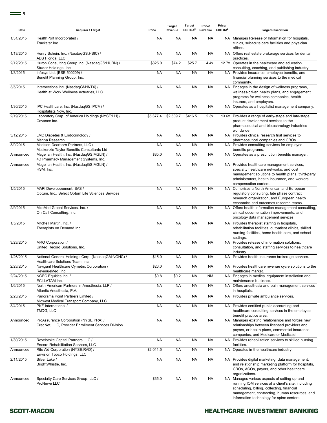| Date      | Acquirer / Target                                                                            | Price     | <b>Target</b><br>Revenue | Target<br>EBITDA <sup>2</sup> | Price/<br>Revenue | Price/<br>EBITDA <sup>2</sup> | <b>Target Description</b>                                                                                                                                                                                                                      |
|-----------|----------------------------------------------------------------------------------------------|-----------|--------------------------|-------------------------------|-------------------|-------------------------------|------------------------------------------------------------------------------------------------------------------------------------------------------------------------------------------------------------------------------------------------|
| 1/31/2015 | HealthPort Incorporated /<br>Trackstar Inc.                                                  | NA        | <b>NA</b>                | ΝA                            | <b>NA</b>         |                               | NA Manages Release of Information for hospitals,<br>clinics, subacute care facilities and physician<br>offices.                                                                                                                                |
| 1/13/2015 | Henry Schein, Inc. (NasdaqGS:HSIC) /<br>ADS Florida, LLC                                     | <b>NA</b> | <b>NA</b>                | <b>NA</b>                     | <b>NA</b>         |                               | NA Offers real estate brokerage services for dental<br>practices.                                                                                                                                                                              |
| 2/12/2015 | Huron Consulting Group Inc. (NasdaqGS:HURN) /<br>Studer Holdings, Inc.                       | \$325.0   | \$74.2                   | \$25.7                        | 4.4x              |                               | 12.7x Operates in the healthcare and education<br>consulting, coaching, and publishing industry.                                                                                                                                               |
| 1/8/2015  | Infosys Ltd. (BSE:500209) /<br>Benefit Planning Group, Inc.                                  | <b>NA</b> | <b>NA</b>                | <b>NA</b>                     | <b>NA</b>         |                               | NA Provides insurance, employee benefits, and<br>financial planning services to the medical<br>community.                                                                                                                                      |
| 3/5/2015  | Intersections Inc. (NasdaqGM:INTX) /<br>Health at Work Wellness Actuaries, LLC               | <b>NA</b> | <b>NA</b>                | <b>NA</b>                     | <b>NA</b>         |                               | NA Engages in the design of wellness programs,<br>wellness-driven health plans, and engagement<br>programs for wellness companies, health<br>insurers, and employers.                                                                          |
| 1/30/2015 | IPC Healthcare, Inc. (NasdaqGS:IPCM) /<br>Hospitalists Now, Inc.                             | <b>NA</b> | <b>NA</b>                | <b>NA</b>                     | <b>NA</b>         |                               | NA Operates as a hospitalist management company.                                                                                                                                                                                               |
| 2/19/2015 | Laboratory Corp. of America Holdings (NYSE:LH) /<br>Covance Inc.                             | \$5,677.4 | \$2,509.7                | \$416.5                       | 2.3x              |                               | 13.6x Provides a range of early-stage and late-stage<br>product development services to the<br>pharmaceutical and biotechnology industries<br>worldwide.                                                                                       |
| 3/12/2015 | LMC Diabetes & Endocrinology /<br>Manna Research                                             | <b>NA</b> | <b>NA</b>                | <b>NA</b>                     | <b>NA</b>         |                               | NA Provides clinical research trial services to<br>pharmaceutical companies and CROs.                                                                                                                                                          |
| 3/9/2015  | Madison Dearborn Partners, LLC /<br>Mackenzie Taylor Benefits Consultants Ltd                | <b>NA</b> | <b>NA</b>                | <b>NA</b>                     | <b>NA</b>         |                               | NA Provides consulting services for employee<br>benefits programs.                                                                                                                                                                             |
| Announced | Magellan Health, Inc. (NasdaqGS:MGLN) /<br>4D Pharmacy Management Systems, Inc.              | \$85.0    | <b>NA</b>                | <b>NA</b>                     | <b>NA</b>         |                               | NA Operates as a prescription benefits manager.                                                                                                                                                                                                |
| Announced | Magellan Health, Inc. (NasdaqGS:MGLN) /<br>HSM, Inc.                                         | <b>NA</b> | <b>NA</b>                | <b>NA</b>                     | <b>NA</b>         |                               | NA Provides healthcare management services,<br>specialty healthcare networks, and cost<br>management solutions to health plans, third-party<br>administrators, health insurance, and workers'<br>compensation carriers.                        |
| 1/5/2015  | MAPI Developpement, SAS /<br>Optum, Inc., Select Optum Life Sciences Services                | <b>NA</b> | <b>NA</b>                | <b>NA</b>                     | <b>NA</b>         |                               | NA Comprises a North American and European<br>regulatory consulting, late phase contract<br>research organization, and European health<br>economics and outcomes research teams.                                                               |
| 2/9/2015  | MiraMed Global Services, Inc. /<br>On Call Consulting, Inc.                                  | NA        | <b>NA</b>                | NA                            | <b>NA</b>         |                               | NA Offers health information management consulting,<br>clinical documentation improvements, and<br>oncology data management services.                                                                                                          |
| 1/5/2015  | Mitchell Martin, Inc. /<br>Therapists on Demand Inc.                                         | <b>NA</b> | <b>NA</b>                | <b>NA</b>                     | <b>NA</b>         |                               | NA Provides therapist staffing in hospitals,<br>rehabilitation facilities, outpatient clinics, skilled<br>nursing facilities, home health care, and school<br>settings.                                                                        |
| 3/23/2015 | MRO Corporation /<br>United Record Solutions, Inc.                                           | <b>NA</b> | <b>NA</b>                | <b>NA</b>                     | <b>NA</b>         |                               | NA Provides release of information solutions,<br>consultation, and staffing services to healthcare<br>industry.                                                                                                                                |
| 1/26/2015 | National General Holdings Corp. (NasdaqGM:NGHC) /<br>Healthcare Solutions Team, Inc.         | \$15.0    | <b>NA</b>                | <b>NA</b>                     | <b>NA</b>         |                               | NA Provides health insurance brokerage services.                                                                                                                                                                                               |
| 2/23/2015 | Navigant Healthcare Cymetrix Corporation /<br>RevenueMed, Inc.                               | \$26.0    | NA                       | ΝA                            | <b>NA</b>         |                               | NA Provides healthcare revenue cycle solutions to the<br>healthcare market.                                                                                                                                                                    |
| 2/24/2015 | NGFC Equities Inc. /<br>ECI-LATAM Inc.                                                       | \$0.8     | \$0.2                    | <b>NA</b>                     | <b>NM</b>         |                               | NA Engages in medical equipment installation and<br>maintenance business.                                                                                                                                                                      |
| 1/6/2015  | North American Partners in Anesthesia, LLP /<br>Atlantic Anesthesia, P.A.                    | <b>NA</b> | <b>NA</b>                | <b>NA</b>                     | <b>NA</b>         |                               | NA Offers anesthesia and pain management services<br>in hospitals.                                                                                                                                                                             |
| 2/23/2015 | Panorama Point Partners Limited /<br>Midwest Medical Transport Company, LLC                  | <b>NA</b> | <b>NA</b>                | <b>NA</b>                     | <b>NA</b>         |                               | NA Provides private ambulance services.                                                                                                                                                                                                        |
| 3/4/2015  | PKF International /<br>TMDG, LLC                                                             | <b>NA</b> | <b>NA</b>                | <b>NA</b>                     | <b>NA</b>         |                               | NA Provides certified public accounting and<br>healthcare consulting services in the employee<br>benefit practice area.                                                                                                                        |
| Announced | ProAssurance Corporation (NYSE:PRA) /<br>CredNet, LLC, Provider Enrollment Services Division | <b>NA</b> | <b>NA</b>                | <b>NA</b>                     | <b>NA</b>         |                               | NA Manages existing relationships and forges new<br>relationships between licensed providers and<br>payors, or health plans, commercial insurance<br>companies, and Medicare or Medicaid.                                                      |
| 1/30/2015 | Revelstoke Capital Partners LLC /<br>Encore Rehabilitation Services, LLC                     | <b>NA</b> | <b>NA</b>                | <b>NA</b>                     | <b>NA</b>         |                               | NA Provides rehabilitation services to skilled nursing<br>facilities.                                                                                                                                                                          |
| Announced | Rite Aid Corporation (NYSE:RAD) /<br>Envision Topco Holdings, LLC                            | \$2,011.5 | <b>NA</b>                | <b>NA</b>                     | <b>NA</b>         |                               | NA Operates in the healthcare industry.                                                                                                                                                                                                        |
| 2/11/2015 | Silver Lake /<br>BrightWhistle, Inc.                                                         | <b>NA</b> | <b>NA</b>                | <b>NA</b>                     | <b>NA</b>         |                               | NA Provides digital marketing, data management,<br>and relationship marketing platform for hospitals,<br>CROs, ACOs, payors, and other healthcare<br>organizations.                                                                            |
| Announced | Specialty Care Services Group, LLC /<br>ProNerve LLC                                         | \$35.0    | <b>NA</b>                | <b>NA</b>                     | <b>NA</b>         |                               | NA Manages various aspects of setting up and<br>running IOM services at a client's site, including<br>scheduling, billing, collecting, financial<br>management, contracting, human resources, and<br>information technology for spine centers. |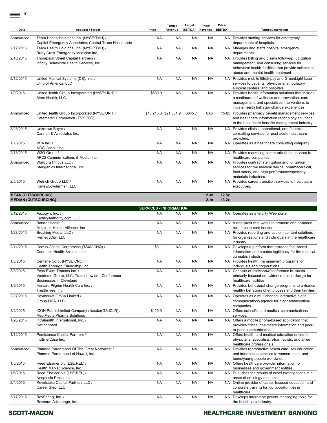| Date                      | Acquirer / Target                                                                                    | Price                         | <b>Target</b><br>Revenue | Target<br>EBITDA <sup>2</sup> | Price/<br>Revenue | Price/<br>EBITDA <sup>2</sup> | <b>Target Description</b>                                                                                                                                                                             |
|---------------------------|------------------------------------------------------------------------------------------------------|-------------------------------|--------------------------|-------------------------------|-------------------|-------------------------------|-------------------------------------------------------------------------------------------------------------------------------------------------------------------------------------------------------|
| Announced                 | Team Health Holdings, Inc. (NYSE:TMH) /<br>Capitol Emergency Associates; Central Texas Hospitalists  | <b>NA</b>                     | <b>NA</b>                | <b>NA</b>                     | <b>NA</b>         |                               | NA Provides staffing services for emergency<br>departments of hospitals.                                                                                                                              |
| 2/12/2015                 | Team Health Holdings, Inc. (NYSE:TMH) /<br>Ruby Crest Emergency Medicine Inc.                        | <b>NA</b>                     | <b>NA</b>                | <b>NA</b>                     | <b>NA</b>         |                               | NA Manages and staffs hospital emergency<br>departments.                                                                                                                                              |
| 2/10/2015                 | Thompson Street Capital Partners /<br>Infinity Behavioral Health Services, Inc.                      | <b>NA</b>                     | <b>NA</b>                | <b>NA</b>                     | <b>NA</b>         |                               | NA Provides billing and claims follow-up, utilization<br>management, and consulting services for<br>behavioral health facilities that provide substance<br>abuse and mental health treatment.         |
| 2/12/2015                 | United Medical Systems (DE), Inc. /<br>Litho of America, LLC                                         | <b>NA</b>                     | <b>NA</b>                | <b>NA</b>                     | <b>NA</b>         |                               | NA Provides mobile lithotripsy and GreenLight laser<br>services to patients, physicians, ambulatory<br>surgical centers, and hospitals.                                                               |
| 1/9/2015                  | UnitedHealth Group Incorporated (NYSE:UNH) /<br>Alere Health, LLC                                    | \$600.0                       | <b>NA</b>                | <b>NA</b>                     | <b>NA</b>         |                               | NA Provides health information solutions that include<br>a continuum of wellness and prevention, care<br>management, and specialized interventions to<br>initiate health behavior change experiences. |
| Announced                 | UnitedHealth Group Incorporated (NYSE:UNH) /<br>Catamaran Corporation (TSX:CCT)                      | \$13,215.3 \$21,581.9         |                          | \$845.7                       | 0.6x              |                               | 15.6x Provides pharmacy benefit management services<br>and healthcare information technology solutions<br>to the healthcare benefits management industry.                                             |
| 3/23/2015                 | Unknown Buyer /<br>Cannon & Associates Inc.                                                          | <b>NA</b>                     | <b>NA</b>                | <b>NA</b>                     | <b>NA</b>         |                               | NA Provides clinical, operational, and financial<br>consulting services for post-acute healthcare<br>providers.                                                                                       |
| 1/7/2015                  | VHA Inc. /<br><b>MDS Consulting</b>                                                                  | <b>NA</b>                     | <b>NA</b>                | <b>NA</b>                     | <b>NA</b>         |                               | NA Operates as a healthcare consulting company.                                                                                                                                                       |
| 2/18/2015                 | W2O Group /<br>ARC2 Communications & Media, Inc.                                                     | <b>NA</b>                     | <b>NA</b>                | <b>NA</b>                     | <b>NA</b>         |                               | NA Provides marketing communications services to<br>healthcare companies.                                                                                                                             |
| Announced                 | Warburg Pincus LLC /<br>Sterigenics International, Inc.                                              | <b>NA</b>                     | <b>NA</b>                | <b>NA</b>                     | <b>NA</b>         |                               | NA Provides contract sterilization and ionization<br>services for the medical device, pharmaceutical,<br>food safety, and high performance/specialty<br>materials industries.                         |
| 2/5/2015                  | Wetrich Group LLC /<br>Haney/Lowderman, LLC                                                          | <b>NA</b>                     | <b>NA</b>                | <b>NA</b>                     | <b>NA</b>         |                               | NA Provides career transition services to healthcare<br>executives.                                                                                                                                   |
| <b>MEAN (OUTSOURCING)</b> | <b>MEDIAN (OUTSOURCING)</b>                                                                          |                               |                          |                               | 2.3x<br>2.1x      | 12.8x<br>13.2x                |                                                                                                                                                                                                       |
|                           |                                                                                                      | <b>SERVICES - INFORMATION</b> |                          |                               |                   |                               |                                                                                                                                                                                                       |
| 3/12/2015                 | Auxogyn, Inc. /<br>FertilityAuthority.com, LLC                                                       | <b>NA</b>                     | <b>NA</b>                | <b>NA</b>                     | <b>NA</b>         |                               | NA Operates as a fertility Web portal.                                                                                                                                                                |
| Announced                 | Banner Health /<br>Mogollon Health Alliance, Inc.                                                    | <b>NA</b>                     | <b>NA</b>                | <b>NA</b>                     | <b>NA</b>         |                               | NA A non-profit that works to promote and enhance<br>rural health care issues.                                                                                                                        |
| 1/23/2015                 | Breaking Media, LLC /<br>RemedyCity, LLC                                                             | <b>NA</b>                     | <b>NA</b>                | <b>NA</b>                     | <b>NA</b>         |                               | NA Provides reporting and custom content solutions<br>for organizations and individuals in the healthcare<br>industry.                                                                                |
| 2/11/2015                 | Carrus Capital Corporation (TSXV:CHQ) /<br>Cannabis Health Sciences Inc.                             | \$0.1                         | <b>NA</b>                | <b>NA</b>                     | <b>NA</b>         |                               | NA Develops a platform that provides fact-based<br>information and creates legitimacy for the medical<br>cannabis industry.                                                                           |
| 1/5/2015                  | Centene Corp. (NYSE:CNC) /<br>Health Through Friendship, Inc.                                        | <b>NA</b>                     | <b>NA</b>                | <b>NA</b>                     | <b>NA</b>         |                               | NA Provides health management programs for<br>individuals and corporations.                                                                                                                           |
| 3/3/2015                  | Expo Event Transco Inc. /<br>Vendome Group, LLC, Tradeshow and Conference<br>Businesses in Cleveland | <b>NA</b>                     | <b>NA</b>                | <b>NA</b>                     | <b>NA</b>         |                               | NA Consists of tradeshow/conference business<br>primarily focused on evidence-based design for<br>healthcare facilities.                                                                              |
| 1/9/2015                  | Harvard Pilgrim Health Care Inc. /<br>TrestleTree, Inc.                                              | <b>NA</b>                     | <b>NA</b>                | <b>NA</b>                     | <b>NA</b>         |                               | NA Provides behavioral change programs to enhance<br>healthy behaviors of employees and their families.                                                                                               |
| 2/27/2015                 | Haymarket Group Limited /<br>Group DCA, LLC                                                          | <b>NA</b>                     | <b>NA</b>                | <b>NA</b>                     | <b>NA</b>         |                               | NA Operates as a multichannel interactive digital<br>communications agency for biopharmaceutical<br>companies.                                                                                        |
| 3/2/2015                  | ICON Public Limited Company (NasdaqGS:ICLR) /<br>MediMedia Pharma Solutions                          | \$120.0                       | <b>NA</b>                | <b>NA</b>                     | <b>NA</b>         |                               | NA Offers scientific and medical communications<br>services.                                                                                                                                          |
| 1/28/2015                 | Intrahealth International, Inc. /<br>Switchboard                                                     | <b>NA</b>                     | <b>NA</b>                | <b>NA</b>                     | <b>NA</b>         |                               | NA Offers a mobile phone-based application that<br>provides critical healthcare information and peer-<br>to-peer communication.                                                                       |
| 1/12/2015                 | Persistence Capital Partners /<br>mdBriefCase Inc.                                                   | <b>NA</b>                     | <b>NA</b>                | <b>NA</b>                     | <b>NA</b>         |                               | NA Offers health and medical education online for<br>physicians, specialists, pharmacists, and allied<br>healthcare professionals.                                                                    |
| Announced                 | Planned Parenthood Of The Great Northwest /<br>Planned Parenthood of Hawaii, Inc.                    | <b>NA</b>                     | <b>NA</b>                | <b>NA</b>                     | <b>NA</b>         |                               | NA Provides reproductive health care, sex education,<br>and information services to women, men, and<br>teens/young people worldwide.                                                                  |
| 1/5/2015                  | Reed Elsevier plc (LSE:REL) /<br>Health Market Science, Inc.                                         | <b>NA</b>                     | <b>NA</b>                | <b>NA</b>                     | <b>NA</b>         |                               | NA Offers healthcare provider information for<br>businesses and government entities.                                                                                                                  |
| 1/6/2015                  | Reed Elsevier plc (LSE:REL) /<br>Neoplasia Press Inc.                                                | <b>NA</b>                     | <b>NA</b>                | <b>NA</b>                     | <b>NA</b>         |                               | NA Publishes the results of novel investigations in all<br>areas of oncology research.                                                                                                                |
| 2/4/2015                  | Revelstoke Capital Partners LLC /<br>Career Step, LLC                                                | <b>NA</b>                     | <b>NA</b>                | <b>NA</b>                     | <b>NA</b>         |                               | NA Online provider of career-focused education and<br>corporate training for job opportunities in<br>healthcare.                                                                                      |
| 3/17/2015                 | RevSpring, Inc. /<br>Revenue Advantage, Inc.                                                         | <b>NA</b>                     | <b>NA</b>                | <b>NA</b>                     | <b>NA</b>         |                               | NA Develops interactive patient messaging tools for<br>the healthcare industry.                                                                                                                       |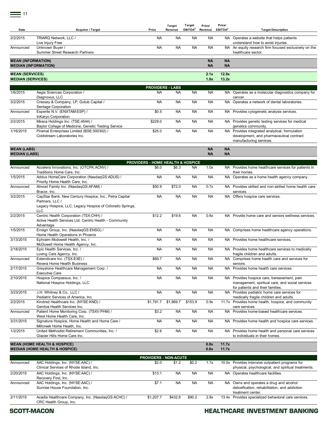| Date                                               | Acquirer / Target                                                                                                                                   | Price                                                 | <b>Target</b><br>Revenue | <b>Target</b><br>EBITDA <sup>2</sup> | Price/<br>Revenue      | Price/<br>EBITDA <sup>2</sup> | <b>Target Description</b>                                                                                                          |
|----------------------------------------------------|-----------------------------------------------------------------------------------------------------------------------------------------------------|-------------------------------------------------------|--------------------------|--------------------------------------|------------------------|-------------------------------|------------------------------------------------------------------------------------------------------------------------------------|
| 2/2/2015                                           | TRIARQ Network, LLC /<br>Live Injury Free                                                                                                           | <b>NA</b>                                             | <b>NA</b>                | <b>NA</b>                            | <b>NA</b>              |                               | NA Operates a website that helps patients<br>understand how to avoid injuries.                                                     |
| Announced                                          | Unknown Buyer /<br>Summer Street Research Partners                                                                                                  | <b>NA</b>                                             | <b>NA</b>                | <b>NA</b>                            | <b>NA</b>              |                               | NA An equity research firm focused exclusively on the<br>healthcare sector.                                                        |
| <b>MEAN (INFORMATION)</b>                          | <b>MEDIAN (INFORMATION)</b>                                                                                                                         |                                                       |                          |                                      | <b>NA</b><br><b>NA</b> | <b>NA</b><br><b>NA</b>        |                                                                                                                                    |
| <b>MEAN (SERVICES)</b><br><b>MEDIAN (SERVICES)</b> |                                                                                                                                                     |                                                       |                          |                                      | 2.1x<br>1.9x           | 12.8x<br>13.2x                |                                                                                                                                    |
|                                                    |                                                                                                                                                     | <b>PROVIDERS - LABS</b>                               |                          |                                      |                        |                               |                                                                                                                                    |
| 1/6/2015                                           | Aegis Sciences Corporation /<br>Diagnovus, LLC                                                                                                      | <b>NA</b>                                             | <b>NA</b>                | <b>NA</b>                            | NA                     |                               | NA Operates as a molecular diagnostics company for<br>cancer.                                                                      |
| 3/2/2015                                           | Cressey & Company, LP; Golub Capital /<br>Sentage Corporation                                                                                       | <b>NA</b>                                             | <b>NA</b>                | <b>NA</b>                            | <b>NA</b>              |                               | NA Operates a network of dental laboratories.                                                                                      |
| Announced                                          | Esperite N.V. (ENXTAM:ESP) /<br>InKaryo Corporation                                                                                                 | \$0.5                                                 | <b>NA</b>                | <b>NA</b>                            | <b>NA</b>              |                               | NA Provides cytogenetic analysis services.                                                                                         |
| 2/2/2015                                           | Miraca Holdings Inc. (TSE:4544) /<br>Baylor College of Medicine, Genetic Testing Service                                                            | \$229.0                                               | <b>NA</b>                | <b>NA</b>                            | <b>NA</b>              |                               | NA Provides genetic testing services for medical<br>genetics community.                                                            |
| 1/16/2015                                          | Piramal Enterprises Limited (BSE:500302) /<br>Coldstream Laboratories Inc.                                                                          | \$25.0                                                | <b>NA</b>                | <b>NA</b>                            | <b>NA</b>              |                               | NA Provides integrated analytical, formulation<br>development, and pharmaceutical contract<br>manufacturing services.              |
| <b>MEAN (LABS)</b><br><b>MEDIAN (LABS)</b>         |                                                                                                                                                     |                                                       |                          |                                      | <b>NA</b><br><b>NA</b> | <b>NA</b><br><b>NA</b>        |                                                                                                                                    |
|                                                    |                                                                                                                                                     |                                                       |                          |                                      |                        |                               |                                                                                                                                    |
| Announced                                          | Accelera Innovations, Inc. (OTCPK:ACNV) /<br>Traditions Home Care, Inc.                                                                             | <b>PROVIDERS - HOME HEALTH &amp; HOSPICE</b><br>\$6.0 | \$6.3                    | <b>NA</b>                            | 1.0x                   |                               | NA Provides home healthcare services for patients in<br>their homes.                                                               |
| 1/5/2015                                           | Addus HomeCare Corporation (NasdaqGS:ADUS) /<br>Priority Home Health Care, Inc.                                                                     | <b>NA</b>                                             | <b>NA</b>                | <b>NA</b>                            | <b>NA</b>              |                               | NA Operates as a home health agency company.                                                                                       |
| Announced                                          | Almost Family Inc. (NasdaqGS:AFAM) /<br>Bracor, Inc.                                                                                                | \$50.9                                                | \$72.0                   | <b>NA</b>                            | 0.7x                   |                               | NA Provides skilled and non-skilled home health care<br>services.                                                                  |
| 3/2/2015                                           | CapStar Bank; New Century Hospice, Inc.; Petra Capital<br>Partners, LLC /<br>Legacy Hospice, LLC; Legacy Hospice of Colorado Springs,<br><b>LLC</b> | <b>NA</b>                                             | <b>NA</b>                | <b>NA</b>                            | <b>NA</b>              |                               | NA Offers hospice care services.                                                                                                   |
| 2/2/2015                                           | Centric Health Corporation (TSX:CHH) /<br>Active Health Services Ltd; Centric Health - Community                                                    | \$12.2                                                | \$19.6                   | <b>NA</b>                            | 0.6x                   |                               | NA Provide home care and seniors wellness services.                                                                                |
| 1/5/2015                                           | Advantage<br>Ensign Group, Inc. (NasdaqGS:ENSG) /<br>Home Health Operations in Phoenix                                                              | <b>NA</b>                                             | <b>NA</b>                | <b>NA</b>                            | <b>NA</b>              |                               | NA Comprises home healthcare agency operations.                                                                                    |
| 3/13/2015                                          | Ephraim Mcdowell Health, Inc. /<br>McDowell Home Health Agency, Inc.                                                                                | <b>NA</b>                                             | <b>NA</b>                | <b>NA</b>                            | <b>NA</b>              |                               | NA Provides home healthcare services.                                                                                              |
| 2/18/2015                                          | Epic Health Services. Inc. /<br>Loving Care Agency, Inc.                                                                                            | <b>NA</b>                                             | <b>NA</b>                | <b>NA</b>                            | <b>NA</b>              |                               | NA Provides home healthcare services to medically<br>fragile children and adults.                                                  |
| Announced                                          | Extendicare Inc. (TSX:EXE) /<br>Revera Home Health Business                                                                                         | \$69.7                                                | <b>NA</b>                | <b>NA</b>                            | <b>NA</b>              |                               | NA Comprises home health care and services for<br>seniors.                                                                         |
| 2/17/2015                                          | Greystone Healthcare Management Corp. /<br><b>Executive Care</b>                                                                                    | <b>NA</b>                                             | <b>NA</b>                | <b>NA</b>                            | <b>NA</b>              |                               | NA Provides home health care services.                                                                                             |
| 2/10/2015                                          | Hospice Compassus, Inc. /<br>National Hospice Holdings, LLC                                                                                         | <b>NA</b>                                             | <b>NA</b>                | <b>NA</b>                            | <b>NA</b>              |                               | NA Provides hospice care, bereavement, pain<br>management, spiritual care, and social services<br>for patients and their families. |
| 3/23/2015                                          | J.H. Whitney & Co., LLC /<br>Pediatric Services of America, Inc.                                                                                    | <b>NA</b>                                             | <b>NA</b>                | <b>NA</b>                            | <b>NA</b>              |                               | NA Provides pediatric home care services for<br>medically fragile children and adults.                                             |
| 2/2/2015                                           | Kindred Healthcare Inc. (NYSE:KND) /<br>Gentiva Health Services Inc.                                                                                | \$1,791.7                                             | \$1,969.7                | \$153.9                              | 0.9x                   |                               | 11.7x Provides home health, hospice, and community<br>care services.                                                               |
| Announced                                          | Patient Home Monitoring Corp. (TSXV:PHM) /<br>West Home Health Care, Inc.                                                                           | \$3.2                                                 | <b>NA</b>                | <b>NA</b>                            | <b>NA</b>              |                               | NA Provides home-based healthcare services.                                                                                        |
| 3/31/2015                                          | Signature Hospice, Home Health and Home Care /<br>Millcreek Home Health, Inc.                                                                       | <b>NA</b>                                             | <b>NA</b>                | <b>NA</b>                            | <b>NA</b>              |                               | NA Provides home health and hospice care services.                                                                                 |
| 1/2/2015                                           | United Methodist Retirement Communities, Inc. /<br>Glacier Hills Home Care Inc.                                                                     | \$2.6                                                 | <b>NA</b>                | <b>NA</b>                            | <b>NA</b>              |                               | NA Provides home health and personal care services<br>to individuals in their homes.                                               |
|                                                    | <b>MEAN (HOME HEALTH &amp; HOSPICE)</b><br><b>MEDIAN (HOME HEALTH &amp; HOSPICE)</b>                                                                |                                                       |                          |                                      | 0.8x<br>0.8x           | 11.7x<br>11.7x                |                                                                                                                                    |
|                                                    |                                                                                                                                                     | <b>PROVIDERS - NON-ACUTE</b>                          |                          |                                      |                        |                               |                                                                                                                                    |
| Announced                                          | AAC Holdings, Inc. (NYSE:AAC) /<br>Clinical Services of Rhode Island, Inc.                                                                          | \$2.0                                                 | \$1.2                    | \$0.2                                | 1.7x                   |                               | 10.0x Provides intensive outpatient programs for<br>physical, psychological, and spiritual treatments.                             |
| 2/20/2015                                          | AAC Holdings, Inc. (NYSE:AAC) /<br>Recovery First, Inc.                                                                                             | \$13.1                                                | <b>NA</b>                | <b>NA</b>                            | <b>NA</b>              |                               | NA Operates healthcare facilities.                                                                                                 |
| Announced                                          | AAC Holdings, Inc. (NYSE:AAC) /<br>Sunrise House Foundation, Inc.                                                                                   | \$7.1                                                 | <b>NA</b>                | <b>NA</b>                            | <b>NA</b>              |                               | NA Owns and operates a drug and alcohol<br>detoxification, rehabilitation, and addiction<br>treatment center.                      |
| 2/11/2015                                          | Acadia Healthcare Company, Inc. (NasdaqGS:ACHC) /<br>CRC Health Group, Inc.                                                                         | \$1,207.7                                             | \$432.6                  | \$90.2                               | 2.8x                   |                               | 13.4x Provides specialized behavioral care services.                                                                               |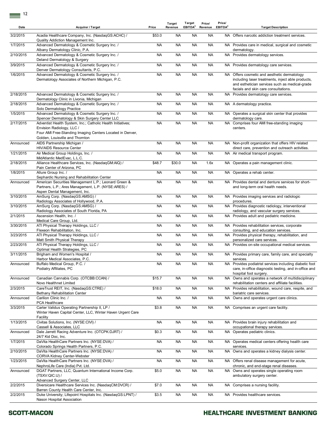| Date      | Acquirer / Target                                                                                                                                                                        | Price     | Target<br>Revenue | Target<br>EBITDA <sup>2</sup> | Price/<br>Revenue | Price/<br>EBITDA <sup>2</sup> | <b>Target Description</b>                                                                                                                                                                   |
|-----------|------------------------------------------------------------------------------------------------------------------------------------------------------------------------------------------|-----------|-------------------|-------------------------------|-------------------|-------------------------------|---------------------------------------------------------------------------------------------------------------------------------------------------------------------------------------------|
| 3/2/2015  | Acadia Healthcare Company, Inc. (NasdaqGS:ACHC) /<br>Quality Addiction Management Inc.                                                                                                   | \$53.0    | <b>NA</b>         | <b>NA</b>                     | <b>NA</b>         |                               | NA Offers narcotic addiction treatment services.                                                                                                                                            |
| 1/7/2015  | Advanced Dermatology & Cosmetic Surgery Inc. /<br>Albany Dermatology Clinic, P.A.                                                                                                        | <b>NA</b> | <b>NA</b>         | <b>NA</b>                     | <b>NA</b>         |                               | NA Provides care in medical, surgical and cosmetic<br>dermatology.                                                                                                                          |
| 2/10/2015 | Advanced Dermatology & Cosmetic Surgery Inc. /<br>Deland Dermatology & Surgery                                                                                                           | <b>NA</b> | <b>NA</b>         | <b>NA</b>                     | <b>NA</b>         |                               | NA Provides dermatology services.                                                                                                                                                           |
| 3/9/2015  | Advanced Dermatology & Cosmetic Surgery Inc. /<br>Denver Dermatology Consultants, P.C.                                                                                                   | <b>NA</b> | NA                | NA.                           | NA                |                               | NA Provides dermatology care services.                                                                                                                                                      |
| 1/6/2015  | Advanced Dermatology & Cosmetic Surgery Inc. /<br>Dermatology Associates of Northern Michigan, P.C.                                                                                      | <b>NA</b> | <b>NA</b>         | <b>NA</b>                     | <b>NA</b>         |                               | NA Offers cosmetic and aesthetic dermatology<br>including laser treatments, inject able products,<br>and esthetician services such as medical-grade<br>facials and skin care consultations. |
| 2/18/2015 | Advanced Dermatology & Cosmetic Surgery Inc. /<br>Dermatology Clinic in Livonia, Michigan                                                                                                | NA        | <b>NA</b>         | <b>NA</b>                     | <b>NA</b>         |                               | NA Provides dermatology care services.                                                                                                                                                      |
| 2/18/2015 | Advanced Dermatology & Cosmetic Surgery Inc. /<br>Solo Dermatology Practice                                                                                                              | <b>NA</b> | <b>NA</b>         | <b>NA</b>                     | <b>NA</b>         |                               | NA A dermatology practice.                                                                                                                                                                  |
| 1/5/2015  | Advanced Dermatology & Cosmetic Surgery Inc. /<br>Spencer Dermatology & Skin Surgery Center LLC                                                                                          | <b>NA</b> | <b>NA</b>         | <b>NA</b>                     | <b>NA</b>         |                               | NA Operates a surgical skin center that provides<br>dermatology care.                                                                                                                       |
| 2/17/2015 | Adventist Health System, Inc.; Catholic Health Initiatives;<br>Envision Radiology, LLC /<br>Four AMI Free-Standing Imaging Centers Located in Denver,<br>Golden. Louisville and Thornton | <b>NA</b> | <b>NA</b>         | <b>NA</b>                     | <b>NA</b>         |                               | NA Comprises four AMI free-standing imaging<br>centers.                                                                                                                                     |
| Announced | AIDS Partnership Michigan /<br>HIV/AIDS Resource Center                                                                                                                                  | <b>NA</b> | <b>NA</b>         | <b>NA</b>                     | <b>NA</b>         |                               | NA Non-profit organization that offers HIV related<br>direct care, prevention and outreach activities.                                                                                      |
| 1/21/2015 | Air Medical Group Holdings, Inc. /<br>MidAtlantic MedEvac, L.L.C.                                                                                                                        | <b>NA</b> | <b>NA</b>         | <b>NA</b>                     | <b>NA</b>         |                               | NA Air medical transport program.                                                                                                                                                           |
| 2/18/2015 | Alliance Healthcare Services, Inc. (NasdaqGM:AIQ) /<br>Pain Center of Arizona, PC                                                                                                        | \$48.7    | \$30.0            | <b>NA</b>                     | 1.6x              |                               | NA Operates a pain management clinic.                                                                                                                                                       |
| 1/8/2015  | Allure Group Inc. /<br>Sephardic Nursing and Rehabilitation Center                                                                                                                       | <b>NA</b> | <b>NA</b>         | <b>NA</b>                     | <b>NA</b>         |                               | NA Operates a rehab center.                                                                                                                                                                 |
| Announced | American Securities Management L.P.; Leonard Green &<br>Partners, L.P.; Ares Management, L.P. (NYSE:ARES) /<br>Aspen Dental Management, Inc.                                             | <b>NA</b> | <b>NA</b>         | <b>NA</b>                     | <b>NA</b>         |                               | NA Provides dental and denture services for short-<br>and long-term oral health needs.                                                                                                      |
| 3/10/2015 | AmSurg Corp. (NasdaqGS:AMSG) /<br>Radiology Associates of Hollywood, P.A.                                                                                                                | <b>NA</b> | <b>NA</b>         | <b>NA</b>                     | <b>NA</b>         |                               | NA Provides imaging services and radiologic<br>procedures.                                                                                                                                  |
| 3/10/2015 | AmSurg Corp. (NasdaqGS:AMSG) /                                                                                                                                                           | <b>NA</b> | <b>NA</b>         | <b>NA</b>                     | <b>NA</b>         |                               | NA Provides diagnostic radiology, interventional                                                                                                                                            |
| 2/1/2015  | Radiology Associates of South Florida, PA<br>Ascension Health, Inc. /<br>Medical Care Group, Ltd.                                                                                        | <b>NA</b> | <b>NA</b>         | <b>NA</b>                     | <b>NA</b>         |                               | radiology, and vascular surgery services.<br>NA Provides adult and pediatric medicine.                                                                                                      |
| 3/30/2015 | ATI Physical Therapy Holdings, LLC /<br>Flexeon Rehabilitation, Inc.                                                                                                                     | <b>NA</b> | <b>NA</b>         | <b>NA</b>                     | <b>NA</b>         |                               | NA Provides rehabilitation services, corporate<br>consulting, and education services.                                                                                                       |
| 3/23/2015 | ATI Physical Therapy Holdings, LLC /<br>Matt Smith Physical Therapy                                                                                                                      | <b>NA</b> | <b>NA</b>         | <b>NA</b>                     | <b>NA</b>         |                               | NA Provides physical therapy, rehabilitation, and<br>personalized care services.                                                                                                            |
| 2/23/2015 | ATI Physical Therapy Holdings, LLC /<br>Optimal Health Strategies, PC                                                                                                                    | NA        | <b>NA</b>         | <b>NA</b>                     | <b>NA</b>         |                               | NA Provides on-site occupational medical services.                                                                                                                                          |
| 3/11/2015 | Brigham and Women's Hospital /<br>Harbor Medical Associates, P.C.                                                                                                                        | <b>NA</b> | <b>NA</b>         | <b>NA</b>                     | <b>NA</b>         |                               | NA Provides primary care, family care, and specialty<br>services.                                                                                                                           |
| Announced | Buffalo Medical Group, P.C. /<br>Podiatry Affiliates, PC                                                                                                                                 | <b>NA</b> | <b>NA</b>         | <b>NA</b>                     | <b>NA</b>         |                               | NA Provides podiatrist services including diabetic foot<br>care, in-office diagnostic testing, and in-office and<br>hospital foot surgery.                                                  |
| Announced | Canadian Cannabis Corp. (OTCBB:CCAN) /<br>Novo Healthnet Limited                                                                                                                         | \$15.7    | <b>NA</b>         | <b>NA</b>                     | <b>NA</b>         |                               | NA Owns and operates a network of multidisciplinary<br>rehabilitation centers and affiliate facilities.                                                                                     |
| 2/3/2015  | CareTrust REIT, Inc. (NasdaqGS:CTRE) /<br><b>Bethany Rehabilitation Center</b>                                                                                                           | \$18.0    | <b>NA</b>         | <b>NA</b>                     | <b>NA</b>         |                               | NA Provides rehabilitation, wound care, respite, and<br>bariatric care services.                                                                                                            |
| Announced | Carilion Clinic Inc. /<br>PCA Healthcare                                                                                                                                                 | <b>NA</b> | NA                | <b>NA</b>                     | <b>NA</b>         |                               | NA Owns and operates urgent care clinics.                                                                                                                                                   |
| 3/3/2015  | Carter Validus Operating Partnership II, LP /<br>Winter Haven Capital Center, LLC, Winter Haven Urgent Care<br>Facility                                                                  | \$3.8     | <b>NA</b>         | <b>NA</b>                     | <b>NA</b>         |                               | NA Comprises an urgent care facility.                                                                                                                                                       |
| 1/13/2015 | Civitas Solutions, Inc. (NYSE:CIVI) /<br>Cassell & Associates, LLC                                                                                                                       | NA        | <b>NA</b>         | <b>NA</b>                     | <b>NA</b>         |                               | NA Provides brain injury rehabilitation and<br>occupational therapy services.                                                                                                               |
| Announced | Dale Jarrett Racing Adventure Inc. (OTCPK:DJRT) /<br>24/7 Kid Doc, Inc.                                                                                                                  | \$0.3     | <b>NA</b>         | <b>NA</b>                     | <b>NA</b>         |                               | NA Operates pediatric clinics.                                                                                                                                                              |
| 1/7/2015  | DaVita HealthCare Partners Inc. (NYSE:DVA) /<br>Colorado Springs Health Partners, P.C.                                                                                                   | <b>NA</b> | <b>NA</b>         | <b>NA</b>                     | <b>NA</b>         |                               | NA Operates medical centers offering health care<br>services.                                                                                                                               |
| 2/10/2015 | DaVita HealthCare Partners Inc. (NYSE:DVA) /<br><b>CORVA Kidney Center-Webster</b>                                                                                                       | <b>NA</b> | NA                | <b>NA</b>                     | <b>NA</b>         |                               | NA Owns and operates a kidney dialysis center.                                                                                                                                              |
| 1/23/2015 | DaVita HealthCare Partners Inc. (NYSE:DVA) /<br>NephroLife Care (India) Pvt. Ltd.                                                                                                        | <b>NA</b> | <b>NA</b>         | <b>NA</b>                     | <b>NA</b>         |                               | NA Offers renal disease management for acute,<br>chronic, and end-stage renal diseases.                                                                                                     |
| Announced | DGAT Partners, LLC, Quantum International Income Corp.<br>(TSXY:QIC.U)                                                                                                                   | \$5.0     | <b>NA</b>         | <b>NA</b>                     | <b>NA</b>         |                               | NA Owns and operates single operating room<br>ambulatory surgery center.                                                                                                                    |
| 2/2/2015  | Advanced Surgery Center, LLC<br>Diversicare Healthcare Services Inc. (NasdaqCM:DVCR) /                                                                                                   | \$7.0     | <b>NA</b>         | <b>NA</b>                     | <b>NA</b>         |                               | NA Comprises a nursing facility.                                                                                                                                                            |
| 2/2/2015  | Barren County Health Care Center, Inc.<br>Duke University; Lifepoint Hospitals Inc. (NasdaqGS:LPNT) /                                                                                    | \$3.5     | <b>NA</b>         | <b>NA</b>                     | <b>NA</b>         |                               | NA Provides healthcare services.                                                                                                                                                            |

Nason Hospital Association

## **HEALTHCARE INVESTMENT BANKING**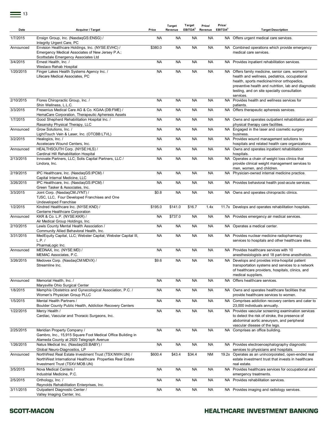$\equiv$  13

| Date      | Acquirer / Target                                                                                                                                    | Price     | <b>Target</b><br>Revenue | Target<br>EBITDA <sup>2</sup> | Price/<br>Revenue | Price/<br>EBITDA <sup>2</sup> | <b>Target Description</b>                                                                                                                                                                                                                                         |
|-----------|------------------------------------------------------------------------------------------------------------------------------------------------------|-----------|--------------------------|-------------------------------|-------------------|-------------------------------|-------------------------------------------------------------------------------------------------------------------------------------------------------------------------------------------------------------------------------------------------------------------|
| 1/7/2015  | Ensign Group, Inc. (NasdaqGS:ENSG) /<br>Integrity Urgent Care, PC                                                                                    | <b>NA</b> | <b>NA</b>                | <b>NA</b>                     | <b>NA</b>         |                               | NA Offers urgent medical care services.                                                                                                                                                                                                                           |
| Announced | Envision Healthcare Holdings, Inc. (NYSE:EVHC) /<br>Emergency Medical Associates of New Jersey P.A.;<br>Scottsdale Emergency Associates Ltd          | \$380.0   | <b>NA</b>                | <b>NA</b>                     | <b>NA</b>         |                               | NA Combined operations which provide emergency<br>medical care services.                                                                                                                                                                                          |
| 3/4/2015  | Ernest Health, Inc. /<br>Weslaco Rehab Hospital                                                                                                      | <b>NA</b> | <b>NA</b>                | <b>NA</b>                     | <b>NA</b>         |                               | NA Provides inpatient rehabilitation services.                                                                                                                                                                                                                    |
| 1/20/2015 | Finger Lakes Health Systems Agency Inc. /<br>Lifecare Medical Associates, PC                                                                         | <b>NA</b> | <b>NA</b>                | <b>NA</b>                     | <b>NA</b>         |                               | NA Offers family medicine, senior care, women's<br>health and wellness, pediatrics, occupational<br>health, sports medicine/minor orthopedics,<br>preventive health and nutrition, lab and diagnostic<br>testing, and on site specialty consultation<br>services. |
| 2/10/2015 | Flores Chiropractic Group, Inc. /<br>Shin Wellness, L.L.C.                                                                                           | <b>NA</b> | <b>NA</b>                | <b>NA</b>                     | <b>NA</b>         |                               | NA Provides health and wellness services for<br>patients.                                                                                                                                                                                                         |
| 3/3/2015  | Fresenius Medical Care AG & Co. KGAA (DB:FME) /<br>HemaCare Corporation, Therapeutic Apheresis Assets                                                | <b>NA</b> | <b>NA</b>                | <b>NA</b>                     | <b>NA</b>         |                               | NA Offers therapeutic apheresis services.                                                                                                                                                                                                                         |
| 1/7/2015  | Good Shepherd Rehabilitation Hospital Inc. /<br>Rasansky Physical Therapy, LLC                                                                       | <b>NA</b> | <b>NA</b>                | <b>NA</b>                     | <b>NA</b>         |                               | NA Owns and operates outpatient rehabilitation and<br>physical therapy care facilities.                                                                                                                                                                           |
| Announced | Grow Solutions, Inc. /<br>LightTouch Vein & Laser, Inc. (OTCBB:LTVL)                                                                                 | <b>NA</b> | <b>NA</b>                | <b>NA</b>                     | <b>NA</b>         |                               | NA Engaged in the laser and cosmetic surgery<br>business.                                                                                                                                                                                                         |
| 3/2/2015  | Healogics, Inc. /<br>Accelecare Wound Centers, Inc.                                                                                                  | <b>NA</b> | <b>NA</b>                | <b>NA</b>                     | <b>NA</b>         |                               | NA Provides wound management solutions to<br>hospitals and related health care organizations.                                                                                                                                                                     |
| Announced | HEALTHSOUTH Corp. (NYSE:HLS) /<br>Cardinal Hill Rehabilitation Hospital                                                                              | <b>NA</b> | <b>NA</b>                | <b>NA</b>                     | <b>NA</b>         |                               | NA Owns and operates inpatient rehabilitation<br>hospitals.                                                                                                                                                                                                       |
| 2/13/2015 | Innovate Partners, LLC; Solis Capital Partners, LLC /<br>Lindora, Inc.                                                                               | <b>NA</b> | <b>NA</b>                | <b>NA</b>                     | <b>NA</b>         |                               | NA Operates a chain of weight loss clinics that<br>provide clinical weight management services to<br>men, women, and children.                                                                                                                                    |
| 2/19/2015 | IPC Healthcare, Inc. (NasdaqGS:IPCM) /<br>Capital Internal Medicine, LLC                                                                             | <b>NA</b> | <b>NA</b>                | <b>NA</b>                     | <b>NA</b>         |                               | NA Physician-owned internal medicine practice.                                                                                                                                                                                                                    |
| 3/26/2015 | IPC Healthcare, Inc. (NasdaqGS:IPCM) /<br>Green Tasker & Associates, Inc.                                                                            | <b>NA</b> | <b>NA</b>                | <b>NA</b>                     | <b>NA</b>         |                               | NA Provides behavioral health post-acute services.                                                                                                                                                                                                                |
| 3/3/2015  | Joint Corp. (NasdaqCM:JYNT) /<br>TJSC, LLC, Four Developed Franchises and One<br>Undeveloped Franchise                                               | \$0.8     | <b>NA</b>                | <b>NA</b>                     | <b>NA</b>         |                               | NA Owns and operates chiropractic clinics.                                                                                                                                                                                                                        |
| 1/2/2015  | Kindred Healthcare Inc. (NYSE:KND) /<br>Centerre Healthcare Corporation                                                                              | \$195.0   | \$141.0                  | \$16.7                        | 1.4x              |                               | 11.7x Develops and operates rehabilitation hospitals.                                                                                                                                                                                                             |
| Announced | KKR & Co. L.P. (NYSE:KKR) /<br>Air Medical Group Holdings, Inc.                                                                                      | <b>NA</b> | \$737.0                  | <b>NA</b>                     | <b>NA</b>         |                               | NA Provides emergency air medical services.                                                                                                                                                                                                                       |
| 2/10/2015 | Lewis County Mental Health Association /<br>Community Allied Behavioral Health, Inc.                                                                 | <b>NA</b> | <b>NA</b>                | <b>NA</b>                     | <b>NA</b>         |                               | NA Operates a medical center.                                                                                                                                                                                                                                     |
| 3/31/2015 | MedEquity Capital, LLC; Webster Capital; Webster Capital III,<br>L.P./<br>PharmaLogic Inc.                                                           | <b>NA</b> | <b>NA</b>                | <b>NA</b>                     | <b>NA</b>         |                               | NA Provides nuclear medicine radiopharmacy<br>services to hospitals and other healthcare sites.                                                                                                                                                                   |
| Announced | MEDNAX, Inc. (NYSE:MD) /<br>MEMAC Associates, P.C.                                                                                                   | <b>NA</b> | <b>NA</b>                | <b>NA</b>                     | <b>NA</b>         |                               | NA Provides healthcare services with 10<br>anesthesiologists and 18 part-time anesthetists.                                                                                                                                                                       |
| 3/26/2015 | Medovex Corp. (NasdaqCM:MDVX) /<br>Streamline Inc.                                                                                                   | \$9.6     | <b>NA</b>                | <b>NA</b>                     | <b>NA</b>         |                               | NA Develops and provides intra-hospital patient<br>transportation systems and services to a network<br>of healthcare providers, hospitals, clinics, and<br>medical suppliers.                                                                                     |
| Announced | Memorial Health, Inc. /<br>Marysville Ohio Surgical Center                                                                                           | <b>NA</b> | <b>NA</b>                | <b>NA</b>                     | <b>NA</b>         |                               | NA Offers healthcare services.                                                                                                                                                                                                                                    |
| 1/8/2015  | Memphis Obstetrics and Gynecological Association, P.C. /<br>Women's Physician Group PLLC                                                             | <b>NA</b> | <b>NA</b>                | <b>NA</b>                     | <b>NA</b>         |                               | NA Owns and operates healthcare facilities that<br>provide healthcare services to women.                                                                                                                                                                          |
| 1/5/2015  | Mental Health Partners /<br>Boulder County Public Health, Addiction Recovery Centers                                                                 | <b>NA</b> | <b>NA</b>                | <b>NA</b>                     | <b>NA</b>         |                               | NA Comprises addiction recovery centers and cater to<br>23,000 individuals annually.                                                                                                                                                                              |
| 1/22/2015 | Mercy Health /<br>Cardiac, Vascular and Thoracic Surgeons, Inc.                                                                                      | <b>NA</b> | <b>NA</b>                | <b>NA</b>                     | <b>NA</b>         |                               | NA Provides vascular screening examination services<br>to detect the risk of stroke, the presence of<br>abdominal aortic aneurysm, and peripheral<br>vascular disease of the legs.                                                                                |
| 2/25/2015 | Meridian Property Company /<br>Gambro, Inc., 15,915 Square Foot Medical Office Building in<br>Alameda County at 2920 Telegraph Avenue                | <b>NA</b> | <b>NA</b>                | <b>NA</b>                     | <b>NA</b>         |                               | NA Comprises an office building.                                                                                                                                                                                                                                  |
| 1/26/2015 | Natus Medical Inc. (NasdaqGS:BABY) /<br>Global Neuro-Diagnostics, LP                                                                                 | <b>NA</b> | <b>NA</b>                | <b>NA</b>                     | <b>NA</b>         |                               | NA Provides electroencephalography diagnostic<br>services to physicians and hospitals.                                                                                                                                                                            |
| Announced | NorthWest Real Estate Investment Trust (TSX:NWH.UN) /<br>NorthWest International Healthcare Properties Real Estate<br>Investment Trust (TSXV:MOB.UN) | \$600.4   | \$43.4                   | \$34.4                        | <b>NM</b>         |                               | 19.2x Operates as an unincorporated, open-ended real<br>estate investment trust that invests in healthcare<br>real estate.                                                                                                                                        |
| 3/5/2015  | Nova Medical Centers /<br>Industrial Medicine, P.C.                                                                                                  | <b>NA</b> | <b>NA</b>                | <b>NA</b>                     | <b>NA</b>         |                               | NA Provides healthcare services for occupational and<br>emergency treatments.                                                                                                                                                                                     |
| 2/5/2015  | Orthology, Inc. /<br>Reynolds Rehabilitation Enterprises, Inc.                                                                                       | <b>NA</b> | <b>NA</b>                | <b>NA</b>                     | <b>NA</b>         |                               | NA Provides rehabilitation services.                                                                                                                                                                                                                              |
| 3/11/2015 | Outpatient Diagnostic Center /<br>Valley Imaging Center, Inc.                                                                                        | <b>NA</b> | <b>NA</b>                | <b>NA</b>                     | <b>NA</b>         |                               | NA Provides imaging and radiology services.                                                                                                                                                                                                                       |

#### SCOTT-MACON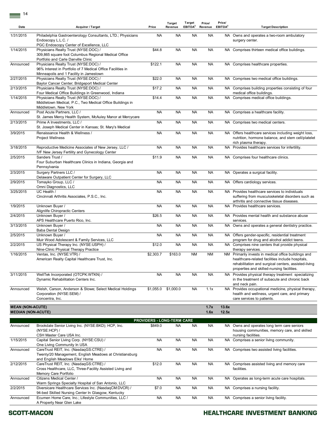| Date                                                 | Acquirer / Target                                                                                                                                                              | Price                             | <b>Target</b><br>Revenue | Target<br>EBITDA <sup>2</sup> | Price/<br>Revenue | Price/<br>EBITDA <sup>2</sup> | <b>Target Description</b>                                                                                                                                                                                      |
|------------------------------------------------------|--------------------------------------------------------------------------------------------------------------------------------------------------------------------------------|-----------------------------------|--------------------------|-------------------------------|-------------------|-------------------------------|----------------------------------------------------------------------------------------------------------------------------------------------------------------------------------------------------------------|
| 1/31/2015                                            | Philadelphia Gastroenterology Consultants, LTD.; Physicians<br>Endoscopy L.L.C. /                                                                                              | <b>NA</b>                         | <b>NA</b>                | <b>NA</b>                     | <b>NA</b>         |                               | NA Owns and operates a two-room ambulatory<br>surgery center.                                                                                                                                                  |
| 1/14/2015                                            | PGC Endoscopy Center of Excellence, LLC<br>Physicians Realty Trust (NYSE:DOC) /<br>309,865 square foot Columbus Regional Medical Office<br>Portfolio and Carle Danville Clinic | \$44.8                            | <b>NA</b>                | <b>NA</b>                     | <b>NA</b>         |                               | NA Comprises thirteen medical office buildings.                                                                                                                                                                |
| Announced                                            | Physicians Realty Trust (NYSE:DOC) /<br>96% Interest in Portfolio of 7 Medical Office Facilities in<br>Minneapolis and 1 Facility in Jamestown                                 | \$122.1                           | <b>NA</b>                | <b>NA</b>                     | <b>NA</b>         |                               | NA Comprises healthcare properties.                                                                                                                                                                            |
| 2/27/2015                                            | Physicians Realty Trust (NYSE:DOC) /<br>Baylor Cancer Center; Bridgeport Medical Center                                                                                        | \$22.0                            | <b>NA</b>                | <b>NA</b>                     | <b>NA</b>         |                               | NA Comprises two medical office buildings.                                                                                                                                                                     |
| 2/13/2015                                            | Physicians Realty Trust (NYSE:DOC) /<br>Four Medical Office Buildings in Greenwood, Indiana                                                                                    | \$17.2                            | <b>NA</b>                | <b>NA</b>                     | <b>NA</b>         |                               | NA Comprises building properties consisting of four<br>medical office buildings.                                                                                                                               |
| 1/14/2015                                            | Physicians Realty Trust (NYSE:DOC) /<br>Middletown Medical, P.C., Two Medical Office Buildings in<br>Middletown, New York                                                      | \$14.4                            | <b>NA</b>                | <b>NA</b>                     | <b>NA</b>         |                               | NA Comprises medical office buildings.                                                                                                                                                                         |
| Announced                                            | Post Acute Partners, LLC /                                                                                                                                                     | <b>NA</b>                         | <b>NA</b>                | <b>NA</b>                     | <b>NA</b>         |                               | NA Comprises a healthcare facility.                                                                                                                                                                            |
| 2/13/2015                                            | St. James Mercy Health System, McAuley Manor at Mercycare<br>Prime A Investments, LLC /                                                                                        | <b>NA</b>                         | <b>NA</b>                | <b>NA</b>                     | <b>NA</b>         |                               | NA Comprises two medical centers.                                                                                                                                                                              |
| 3/9/2015                                             | St. Joseph Medical Center in Kansas; St. Mary's Medical<br>Renaissance Health & Wellness /<br>Project Wellness                                                                 | <b>NA</b>                         | <b>NA</b>                | <b>NA</b>                     | <b>NA</b>         |                               | NA Offers healthcare services including weight loss,<br>nutrition, hormone balance, and stem cell/platelet<br>rich plasma therapy.                                                                             |
| 3/18/2015                                            | Reproductive Medicine Associates of New Jersey, LLC /<br><b>IVF New Jersey Fertility and Gynecology Center</b>                                                                 | <b>NA</b>                         | <b>NA</b>                | <b>NA</b>                     | <b>NA</b>         |                               | NA Provides healthcare services for infertility.                                                                                                                                                               |
| 2/5/2015                                             | Sanders Trust /<br>Four Suburban Healthcare Clinics in Indiana, Georgia and<br>Pennsylvania                                                                                    | \$11.9                            | <b>NA</b>                | <b>NA</b>                     | <b>NA</b>         |                               | NA Comprises four healthcare clinics.                                                                                                                                                                          |
| 2/3/2015                                             | Surgery Partners LLC /<br>Delaware Outpatient Center for Surgery, LLC                                                                                                          | <b>NA</b>                         | <b>NA</b>                | <b>NA</b>                     | <b>NA</b>         |                               | NA Operates a surgical facility.                                                                                                                                                                               |
| 2/9/2015                                             | Tomayko Group, LLC /<br>Omni Diagnostics, LLC                                                                                                                                  | <b>NA</b>                         | <b>NA</b>                | <b>NA</b>                     | <b>NA</b>         |                               | NA Offers cardiology services.                                                                                                                                                                                 |
| 3/25/2015                                            | UC Health /<br>Cincinnati Arthritis Associates, P.S.C., Inc.                                                                                                                   | <b>NA</b>                         | <b>NA</b>                | <b>NA</b>                     | <b>NA</b>         | NA.                           | Provides healthcare services to individuals<br>suffering from musculoskeletal disorders such as<br>arthritis and connective tissue diseases.                                                                   |
| 1/9/2015                                             | Unknown Buyer /<br>Alignlife Chiropractic Centers                                                                                                                              | <b>NA</b>                         | <b>NA</b>                | <b>NA</b>                     | <b>NA</b>         |                               | NA Provides healthcare services.                                                                                                                                                                               |
| 2/4/2015                                             | Unknown Buyer /<br>APS Healthcare Puerto Rico, Inc.                                                                                                                            | \$26.5                            | <b>NA</b>                | <b>NA</b>                     | <b>NA</b>         |                               | NA Provides mental health and substance abuse<br>services.                                                                                                                                                     |
| 3/13/2015                                            | Unknown Buyer /<br>Baba Dental Design                                                                                                                                          | <b>NA</b>                         | <b>NA</b>                | <b>NA</b>                     | <b>NA</b>         |                               | NA Owns and operates a general dentistry practice.                                                                                                                                                             |
| 2/5/2015                                             | Unknown Buyer /<br>Muir Wood Adolescent & Family Services, LLC                                                                                                                 | <b>NA</b>                         | <b>NA</b>                | <b>NA</b>                     | <b>NA</b>         |                               | NA Offers gender-specific, residential treatment<br>program for drug and alcohol addict teens.                                                                                                                 |
| 2/2/2015                                             | US Physical Therapy Inc. (NYSE:USPH) /<br>Nine-Clinic Physical Therapy Practice                                                                                                | \$12.0                            | <b>NA</b>                | <b>NA</b>                     | <b>NA</b>         |                               | NA Comprises nine centers that provide physical<br>therapy services.                                                                                                                                           |
| 1/16/2015                                            | Ventas, Inc. (NYSE:VTR) /<br>American Realty Capital Healthcare Trust, Inc.                                                                                                    | \$2,303.7                         | \$163.0                  | <b>NM</b>                     | <b>NM</b>         |                               | NM Primarily invests in medical office buildings and<br>healthcare-related facilities include hospitals,<br>rehabilitation and surgical centers, assisted-living<br>properties and skilled-nursing facilities. |
| 3/11/2015                                            | WellTek Incorporated (OTCPK:WTKN) /<br>Dynamic Rehabilitation Centers Inc.                                                                                                     | <b>NA</b>                         | <b>NA</b>                | <b>NA</b>                     | <b>NA</b>         |                               | NA Provides physical therapy treatment specializing<br>in the treatment of subacute and chronic back<br>and neck pain.                                                                                         |
| Announced                                            | Welsh, Carson, Anderson & Stowe; Select Medical Holdings<br>Corporation (NYSE:SEM) /<br>Concentra, Inc.                                                                        | \$1,055.0                         | \$1,000.0                | NA.                           | 1.1x              |                               | NA Provides occupational medicine, physical therapy,<br>health and wellness, urgent care, and primary<br>care services to patients.                                                                            |
| <b>MEAN (NON-ACUTE)</b><br><b>MEDIAN (NON-ACUTE)</b> |                                                                                                                                                                                |                                   |                          |                               | 1.7x<br>1.6x      | 13.6x<br>12.5x                |                                                                                                                                                                                                                |
|                                                      |                                                                                                                                                                                | <b>PROVIDERS - LONG-TERM CARE</b> |                          |                               |                   |                               |                                                                                                                                                                                                                |
| Announced                                            | Brookdale Senior Living Inc. (NYSE:BKD); HCP, Inc.<br>(NYSE:HCP)/<br>CSH Master Care USA Inc.                                                                                  | \$849.0                           | <b>NA</b>                | <b>NA</b>                     | <b>NA</b>         |                               | NA Owns and operates long term care seniors<br>housing communities, memory care, and skilled<br>nursing facilities.                                                                                            |
| 1/15/2015                                            | Capital Senior Living Corp. (NYSE:CSU) /<br>One Living Community In USA                                                                                                        | <b>NA</b>                         | <b>NA</b>                | <b>NA</b>                     | <b>NA</b>         |                               | NA Comprises a senior living community.                                                                                                                                                                        |
| Announced                                            | CareTrust REIT, Inc. (NasdaqGS:CTRE) /<br>Twenty/20 Management, English Meadows at Christiansburg                                                                              | <b>NA</b>                         | <b>NA</b>                | <b>NA</b>                     | <b>NA</b>         |                               | NA Comprises two assisted living facilities.                                                                                                                                                                   |
| 2/12/2015                                            | and English Meadows Elks' Home<br>CareTrust REIT, Inc. (NasdaqGS:CTRE) /<br>Cross Healthcare, LLC, Three-Facility Assisted Living and<br>Memory Care Portfolio                 | \$12.0                            | <b>NA</b>                | <b>NA</b>                     | <b>NA</b>         |                               | NA Comprises assisted living and memory care<br>facilities.                                                                                                                                                    |
| Announced                                            | Citizens Medical Center /<br>Warm Springs Specialty Hospital of San Antonio, LLC                                                                                               | <b>NA</b>                         | <b>NA</b>                | <b>NA</b>                     | <b>NA</b>         |                               | NA Operates as long-term acute care hospitals.                                                                                                                                                                 |
| 2/2/2015                                             | Diversicare Healthcare Services Inc. (NasdaqCM:DVCR) /<br>94-bed Skilled Nursing Center In Glasgow, Kentucky                                                                   | \$7.0                             | <b>NA</b>                | NA.                           | <b>NA</b>         |                               | NA Comprises a nursing facility.                                                                                                                                                                               |
| Announced                                            | Ecumen Home Care, Inc.; Lifestyle Communities, LLC /<br>A Property Near Glen Lake                                                                                              | <b>NA</b>                         | NA                       | <b>NA</b>                     | <b>NA</b>         |                               | NA Comprises a senior living facility.                                                                                                                                                                         |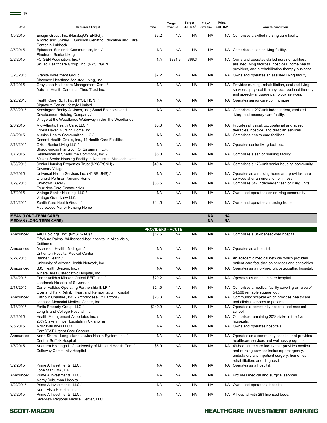$\equiv$  15

| Date      | Acquirer / Target                                                                                                                               | Price                    | Target<br>Revenue | Target<br>EBITDA <sup>2</sup> | Price/<br>Revenue | Price/<br>EBITDA <sup>2</sup> | <b>Target Description</b>                                                                                                                                                                        |
|-----------|-------------------------------------------------------------------------------------------------------------------------------------------------|--------------------------|-------------------|-------------------------------|-------------------|-------------------------------|--------------------------------------------------------------------------------------------------------------------------------------------------------------------------------------------------|
| 1/5/2015  | Ensign Group, Inc. (NasdagGS:ENSG) /<br>Mildred and Shirley L. Garrison Geriatric Education and Care<br>Center in Lubbock                       | \$6.2                    | <b>NA</b>         | <b>NA</b>                     | <b>NA</b>         |                               | NA Comprises a skilled nursing care facility.                                                                                                                                                    |
| 2/5/2015  | Episcopal Seniorlife Communities, Inc. /<br>Pinehurst Senior Living                                                                             | NA                       | <b>NA</b>         | NA                            | <b>NA</b>         |                               | NA Comprises a senior living facility.                                                                                                                                                           |
| 2/2/2015  | FC-GEN Acquisition, Inc. /<br>Skilled Healthcare Group, Inc. (NYSE:GEN)                                                                         | <b>NA</b>                | \$831.3           | \$66.3                        | <b>NA</b>         |                               | NA Owns and operates skilled nursing facilities,<br>assisted living facilities, hospices, home health<br>providers, and a rehabilitation therapy business.                                       |
| 3/23/2015 | Granite Investment Group /                                                                                                                      | \$7.2                    | <b>NA</b>         | <b>NA</b>                     | <b>NA</b>         |                               | NA Owns and operates an assisted living facility.                                                                                                                                                |
| 3/1/2015  | Shawnee Heartland Assisted Living, Inc.<br>Greystone Healthcare Management Corp. /<br>Autumn Health Care Inc.; TheraTrust Inc.                  | <b>NA</b>                | <b>NA</b>         | <b>NA</b>                     | <b>NA</b>         |                               | NA Provides nursing, rehabilitation, assisted living<br>services, physical therapy, occupational therapy,<br>and speech-language pathology services.                                             |
| 2/26/2015 | Health Care REIT, Inc. (NYSE:HCN) /<br>Signature Senior Lifestyle Limited                                                                       | NA                       | <b>NA</b>         | <b>NA</b>                     | <b>NA</b>         |                               | NA Operates senior care communities.                                                                                                                                                             |
| 3/30/2015 | Kensington Realty Advisors, Inc.; Saudi Economic and<br>Development Holding Company /<br>Village at the Woodlands Waterway in the The Woodlands | <b>NA</b>                | <b>NA</b>         | <b>NA</b>                     | <b>NA</b>         |                               | NA Comprises a 207-unit independent, assisted<br>living, and memory care facility.                                                                                                               |
| 2/6/2015  | Mid-Atlantic Health Care, LLC /<br>Forest Haven Nursing Home, Inc.                                                                              | \$8.6                    | <b>NA</b>         | <b>NA</b>                     | <b>NA</b>         |                               | NA Provides physical, occupational and speech<br>therapies, hospice, and dietician services.                                                                                                     |
| 3/4/2015  | Mission Health Communities LLC /                                                                                                                | <b>NA</b>                | <b>NA</b>         | <b>NA</b>                     | <b>NA</b>         |                               | NA Comprises health care facilities.                                                                                                                                                             |
| 3/19/2015 | Deseret Health Group, Inc., 14 Health Care Facilities<br>Oxton Senior Living LLC /                                                              | <b>NA</b>                | <b>NA</b>         | <b>NA</b>                     | <b>NA</b>         |                               | NA Operates senior living facilities.                                                                                                                                                            |
| 1/7/2015  | Shadowmoss Plantation Of Savannah, L.P.<br>Residences at Sherburne Commons. Inc. /                                                              | \$5.0                    | <b>NA</b>         | <b>NA</b>                     | <b>NA</b>         |                               | NA Comprises a senior housing facility.                                                                                                                                                          |
| 1/30/2015 | 60 Unit Senior Housing Facility in Nantucket, Massachusetts<br>Senior Housing Properties Trust (NYSE:SNH) /<br><b>Coventry Village</b>          | \$40.4                   | <b>NA</b>         | <b>NA</b>                     | <b>NA</b>         |                               | NA Comprises a 176-unit senior housing community.                                                                                                                                                |
| 2/9/2015  | Universal Health Services Inc. (NYSE:UHS) /                                                                                                     | <b>NA</b>                | <b>NA</b>         | NA.                           | <b>NA</b>         |                               | NA Operates as a nursing home and provides care                                                                                                                                                  |
| 1/29/2015 | Orchard Portman Nursing Home<br>Unknown Buyer /                                                                                                 | \$36.5                   | <b>NA</b>         | <b>NA</b>                     | <b>NA</b>         |                               | services after an operation or illness.<br>NA Comprises 547 independent senior living units.                                                                                                     |
| 1/7/2015  | Four Non-Core Communities<br>Vintage Senior Housing, LLC /                                                                                      | <b>NA</b>                | <b>NA</b>         | <b>NA</b>                     | <b>NA</b>         |                               | NA Owns and operates senior living community.                                                                                                                                                    |
| 2/10/2015 | Vintage Grandview LLC<br>Zenith Care Health Group /<br>Maplewood Manor Nursing Home                                                             | \$14.5                   | <b>NA</b>         | <b>NA</b>                     | <b>NA</b>         |                               | NA Owns and operates a nursing home.                                                                                                                                                             |
|           | <b>MEAN (LONG-TERM CARE)</b>                                                                                                                    |                          |                   |                               | <b>NA</b>         | <b>NA</b>                     |                                                                                                                                                                                                  |
|           | <b>MEDIAN (LONG-TERM CARE)</b>                                                                                                                  |                          |                   |                               | <b>NA</b>         | <b>NA</b>                     |                                                                                                                                                                                                  |
|           |                                                                                                                                                 |                          |                   |                               |                   |                               |                                                                                                                                                                                                  |
|           |                                                                                                                                                 | <b>PROVIDERS - ACUTE</b> |                   |                               |                   |                               |                                                                                                                                                                                                  |
| Announced | AAC Holdings, Inc. (NYSE:AAC) /<br>FiftyNine Palms, 84-licensed-bed hospital in Aliso Viejo,<br>California                                      | \$12.5                   | NA                | NA                            | <b>NA</b>         |                               | NA Comprises a 84-licensed-bed hospital.                                                                                                                                                         |
| Announced | Ascension Health, Michigan /<br>Crittenton Hospital Medical Center                                                                              | <b>NA</b>                | <b>NA</b>         | <b>NA</b>                     | <b>NA</b>         |                               | NA Operates as a hospital.                                                                                                                                                                       |
| 2/27/2015 | Banner Health /<br>University of Arizona Health Network, Inc.                                                                                   | NA                       | <b>NA</b>         | <b>NA</b>                     | <b>NA</b>         |                               | NA An academic medical network which provides<br>patient care focusing on services and specialties.                                                                                              |
| Announced | BJC Health System, Inc. /                                                                                                                       | <b>NA</b>                | <b>NA</b>         | <b>NA</b>                     | <b>NA</b>         |                               | NA Operates as a not-for-profit osteopathic hospital.                                                                                                                                            |
| 1/31/2015 | Mineral Area Osteopathic Hospital, Inc.<br>Carter Validus Mission Critical REIT, Inc. /                                                         | \$20.2                   | <b>NA</b>         | <b>NA</b>                     | <b>NA</b>         |                               | NA Operates as an acute care hospital.                                                                                                                                                           |
| 2/17/2015 | Landmark Hospital of Savannah<br>Carter Validus Operating Partnership II, LP /                                                                  | \$24.6                   | <b>NA</b>         | <b>NA</b>                     | <b>NA</b>         |                               | NA Comprises a medical facility covering an area of                                                                                                                                              |
| Announced | Overland Park Rehab, Heartland Rehabilitation Hospital<br>Catholic Charities, Inc. - Archdiocese Of Hartford /                                  | \$23.8                   | <b>NA</b>         | <b>NA</b>                     | <b>NA</b>         |                               | 54,568 rentable square foot.<br>NA Community hospital which provides healthcare                                                                                                                  |
| 1/13/2015 | Johnson Memorial Medical Center, Inc.<br>Fortis Property Group, LLC /                                                                           | \$240.0                  | <b>NA</b>         | <b>NA</b>                     | <b>NA</b>         |                               | and clinical services to patients.<br>NA Operates a community hospital and medical                                                                                                               |
| 3/2/2015  | Long Island College Hospital Inc.<br>Health Management Associates Inc. /                                                                        | <b>NA</b>                | NA                | NA.                           | <b>NA</b>         |                               | school.<br>NA Comprises remaining 20% stake in the five                                                                                                                                          |
| 2/5/2015  | 20% Stake in Five Hospitals in Oklahoma<br>MNR Industries LLC /                                                                                 | NA                       | NA                | NA.                           | <b>NA</b>         |                               | hospitals.<br>NA Owns and operates hospitals.                                                                                                                                                    |
| Announced | CareSTAT Urgent Care Centers<br>North Shore - Long Island Jewish Health System, Inc. /                                                          | NA                       | NA                | ΝA                            | <b>NA</b>         |                               | NA Operates as a community hospital that provides                                                                                                                                                |
| 1/5/2015  | Central Suffolk Hospital<br>Nueterra Holdings LLC; University of Missouri Health Care /<br>Callaway Community Hospital                          | \$6.0                    | <b>NA</b>         | <b>NA</b>                     | <b>NA</b>         |                               | healthcare services and wellness programs.<br>NA 49-bed acute care facility that provides medical<br>and nursing services including emergency,<br>ambulatory and inpatient surgery, home health, |
| 3/2/2015  | Prime A Investments, LLC /                                                                                                                      | NA                       | <b>NA</b>         | <b>NA</b>                     | <b>NA</b>         |                               | rehabilitation, and diagnostic.<br>NA Operates as a hospital.                                                                                                                                    |
| Announced | Lone Star HMA, L.P.<br>Prime A Investments, LLC /                                                                                               | <b>NA</b>                | <b>NA</b>         | <b>NA</b>                     | <b>NA</b>         |                               | NA Provides medical and surgical services.                                                                                                                                                       |
| 1/22/2015 | Mercy Suburban Hospital<br>Prime A Investments, LLC /<br>North Vista Hospital, Inc.                                                             | <b>NA</b>                | <b>NA</b>         | <b>NA</b>                     | <b>NA</b>         |                               | NA Owns and operates a hospital.                                                                                                                                                                 |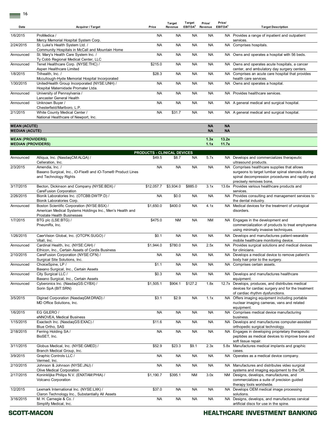$\equiv$  16

| Date                                         | Acquirer / Target                                                                                                           | Price                                 | Target<br>Revenue | <b>Target</b><br>EBITDA <sup>2</sup> | Price/<br>Revenue      | Price/<br>EBITDA <sup>2</sup> | <b>Target Description</b>                                                                                                                                                   |
|----------------------------------------------|-----------------------------------------------------------------------------------------------------------------------------|---------------------------------------|-------------------|--------------------------------------|------------------------|-------------------------------|-----------------------------------------------------------------------------------------------------------------------------------------------------------------------------|
| 1/6/2015                                     | ProMedica /                                                                                                                 | <b>NA</b>                             | <b>NA</b>         | <b>NA</b>                            | <b>NA</b>              |                               | NA Provides a range of inpatient and outpatient                                                                                                                             |
| 2/24/2015                                    | Mercy Memorial Hospital System Corp.<br>St. Luke's Health System Ltd. /<br>Community Hospitals in McCall and Mountain Home  | <b>NA</b>                             | <b>NA</b>         | <b>NA</b>                            | <b>NA</b>              |                               | services.<br>NA Comprises hospitals.                                                                                                                                        |
| Announced                                    | St. Mary's Health Care System Inc. /<br>Ty Cobb Regional Medical Center, LLC                                                | <b>NA</b>                             | <b>NA</b>         | <b>NA</b>                            | <b>NA</b>              |                               | NA Owns and operates a hospital with 56 beds.                                                                                                                               |
| Announced                                    | Tenet Healthcare Corp. (NYSE:THC) /<br>Aspen Healthcare Limited                                                             | \$215.0                               | <b>NA</b>         | <b>NA</b>                            | <b>NA</b>              |                               | NA Owns and operates acute hospitals, a cancer<br>center, and ambulatory day surgery centers.                                                                               |
| 1/8/2015                                     | Trihealth, Inc. /<br>Mccullough-Hyde Memorial Hospital Incorporated                                                         | \$28.3                                | <b>NA</b>         | <b>NA</b>                            | <b>NA</b>              |                               | NA Comprises an acute care hospital that provides<br>health care services.                                                                                                  |
| 1/30/2015                                    | UnitedHealth Group Incorporated (NYSE:UNH) /<br>Hospital Maternidade Promater Ltda.                                         | <b>NA</b>                             | <b>NA</b>         | <b>NA</b>                            | <b>NA</b>              |                               | NA Owns and operates a hospital.                                                                                                                                            |
| Announced                                    | University of Pennsylvania /<br>Lancaster General Health                                                                    | <b>NA</b>                             | <b>NA</b>         | <b>NA</b>                            | <b>NA</b>              |                               | NA Provides healthcare services.                                                                                                                                            |
| Announced                                    | Unknown Buyer /<br>Chesterfield/Marlboro, L.P.                                                                              | <b>NA</b>                             | <b>NA</b>         | <b>NA</b>                            | <b>NA</b>              |                               | NA A general medical and surgical hospital.                                                                                                                                 |
| 2/1/2015                                     | White County Medical Center /<br>National Healthcare of Newport, Inc.                                                       | <b>NA</b>                             | \$31.7            | <b>NA</b>                            | <b>NA</b>              |                               | NA A general medical and surgical hospital.                                                                                                                                 |
| <b>MEAN (ACUTE)</b><br><b>MEDIAN (ACUTE)</b> |                                                                                                                             |                                       |                   |                                      | <b>NA</b><br><b>NA</b> | <b>NA</b><br><b>NA</b>        |                                                                                                                                                                             |
| <b>MEAN (PROVIDERS)</b>                      |                                                                                                                             |                                       |                   |                                      | 1.3x                   | 13.2x                         |                                                                                                                                                                             |
| <b>MEDIAN (PROVIDERS)</b>                    |                                                                                                                             |                                       |                   |                                      | 1.1x                   | 11.7x                         |                                                                                                                                                                             |
| Announced                                    | Alliqua, Inc. (NasdaqCM:ALQA) /                                                                                             | PRODUCTS - CLINICAL DEVICES<br>\$49.5 | \$8.7             | <b>NA</b>                            | 5.7x                   |                               | NA Develops and commercializes therapeutic                                                                                                                                  |
| 2/3/2015                                     | Celleration, Inc.<br>Amendia, Inc. /<br>Baxano Surgical, Inc., iO-Flex® and iO-Tome® Product Lines<br>and Technology Rights | <b>NA</b>                             | <b>NA</b>         | <b>NA</b>                            | <b>NA</b>              |                               | ultrasound products.<br>NA Comprises healthcare supplies that allows<br>surgeons to target lumbar spinal stenosis during<br>spinal decompression procedures and rapidly and |
| 3/17/2015                                    | Becton, Dickinson and Company (NYSE:BDX) /<br>CareFusion Corporation                                                        | \$12,057.7                            | \$3,934.0         | \$885.0                              | 3.1x                   |                               | precisely removes bone,<br>13.6x Provides various healthcare products and<br>services.                                                                                      |
| 2/26/2015                                    | Bionik Laboratories Inc. (OTCBB:DWTP.D) /<br>Bionik Laboratories Corp.                                                      | <b>NA</b>                             | \$0.0             | <b>NA</b>                            | <b>NA</b>              |                               | NA Provides consulting and management services to<br>the dental industry.                                                                                                   |
| Announced                                    | Boston Scientific Corporation (NYSE:BSX) /<br>American Medical Systems Holdings Inc., Men's Health and                      | \$1,650.0                             | \$400.0           | <b>NA</b>                            | 4.1x                   |                               | NA Medical devices for the treatment of urological<br>disorders.                                                                                                            |
| 1/7/2015                                     | Prostate Health Businesses<br>BTG plc (LSE:BTG) /<br>PneumRx, Inc.                                                          | \$475.0                               | <b>NM</b>         | <b>NA</b>                            | <b>NM</b>              |                               | NA Engages in the development and<br>commercialization of products to treat emphysema<br>using minimally invasive techniques.                                               |
| 1/26/2015                                    | CaerVision Global, Inc. (OTCPK:SUGO) /<br>Vitall, Inc.                                                                      | \$0.1                                 | <b>NA</b>         | <b>NA</b>                            | <b>NA</b>              |                               | NA Develops and manufactures patient-wearable<br>mobile healthcare monitoring device.                                                                                       |
| Announced                                    | Cardinal Health, Inc. (NYSE:CAH) /<br>Ethicon, Inc., Certain Assets of Cordis Business                                      | \$1,944.0                             | \$780.0           | <b>NA</b>                            | 2.5x                   |                               | NA Provides surgical solutions and medical devices<br>for clinicians.                                                                                                       |
| 2/10/2015                                    | CareFusion Corporation (NYSE:CFN) /<br>Surgical Site Solutions, Inc.                                                        | <b>NA</b>                             | <b>NA</b>         | <b>NA</b>                            | <b>NA</b>              |                               | NA Develops a medical device to remove patient's<br>body hair prior to the surgery.                                                                                         |
| Announced                                    | ChoiceSpine, LP /<br>Baxano Surgical, Inc., Certain Assets                                                                  | \$1.1                                 | <b>NA</b>         | <b>NA</b>                            | <b>NA</b>              |                               | NA Comprises certain assets.                                                                                                                                                |
| Announced                                    | City Surgical LLC /<br>Baxano Surgical, Inc., Certain Assets                                                                | \$0.3                                 | <b>NA</b>         | <b>NA</b>                            | <b>NA</b>              |                               | NA Develops and manufactures healthcare<br>equipment.                                                                                                                       |
| Announced                                    | Cyberonics Inc. (NasdaqGS:CYBX) /<br>Sorin SpA (BIT:SRN)                                                                    | \$1,505.1                             | \$904.1           | \$127.2                              | 1.8x                   |                               | 12.7x Develops, produces, and distributes medical<br>devices for cardiac surgery and for the treatment<br>of cardiac rhythm dysfunctions.                                   |
| 3/5/2015                                     | Digirad Corporation (NasdaqGM:DRAD) /<br>MD Office Solutions, Inc.                                                          | \$3.1                                 | \$2.9             | <b>NA</b>                            | 1.1x                   |                               | NA Offers imaging equipment including portable<br>nuclear imaging cameras, vans and related<br>equipment.                                                                   |
| 1/6/2015                                     | EG GILERO /<br>eNNOVEA, Medical Business                                                                                    | <b>NA</b>                             | <b>NA</b>         | <b>NA</b>                            | <b>NA</b>              |                               | NA Comprises medical device manufacturing<br>business.                                                                                                                      |
| 1/15/2015                                    | Exactech Inc. (NasdaqGS:EXAC) /<br>Blue Ortho, SAS                                                                          | \$11.6                                | <b>NA</b>         | <b>NA</b>                            | <b>NA</b>              |                               | NA Develops and manufactures computer-assisted<br>orthopedic surgical technology.                                                                                           |
| 2/18/2015                                    | Ferring Holding SA /<br>BioSET, Inc.                                                                                        | <b>NA</b>                             | <b>NA</b>         | <b>NA</b>                            | <b>NA</b>              |                               | NA Engages in developing proprietary therapeutic<br>peptides as medical devices to improve bone and<br>soft tissue repair.                                                  |
| 3/11/2015                                    | Globus Medical, Inc. (NYSE:GMED) /<br>Branch Medical Group, Inc.                                                            | \$52.9                                | \$23.3            | \$9.1                                | 2.3x                   |                               | 5.8x Manufactures medical implants and graphic<br>cases.                                                                                                                    |
| 3/9/2015                                     | Graphic Controls LLC /<br>Vermed, Inc.                                                                                      | <b>NA</b>                             | <b>NA</b>         | <b>NA</b>                            | <b>NA</b>              |                               | NA Operates as a medical device company.                                                                                                                                    |
| 2/10/2015                                    | Johnson & Johnson (NYSE: JNJ) /<br>Olive Medical Corporation                                                                | <b>NA</b>                             | <b>NA</b>         | <b>NA</b>                            | <b>NA</b>              |                               | NA Manufactures and distributes video surgical<br>systems and imaging equipment to the OR.                                                                                  |
| 2/17/2015                                    | Koninklijke Philips N.V. (ENXTAM:PHIA) /<br>Volcano Corporation                                                             | \$1,190.7                             | \$395.1           | <b>NM</b>                            | 3.0x                   |                               | NM Designs, develops, manufactures, and<br>commercializes a suite of precision guided<br>therapy tools worldwide.                                                           |
| 1/2/2015                                     | Lexmark International Inc. (NYSE:LXK) /<br>Claron Technology Inc., Substantially All Assets                                 | \$37.0                                | <b>NA</b>         | <b>NA</b>                            | <b>NA</b>              |                               | NA Develops OEM medical image processing<br>solutions.                                                                                                                      |
| 3/16/2015                                    | M. H. Carnegie & Co. /<br>Simplify Medical, Inc.                                                                            | <b>NA</b>                             | <b>NA</b>         | <b>NA</b>                            | <b>NA</b>              |                               | NA Designs, develops, and manufactures cervical<br>artificial discs for use in the spine.                                                                                   |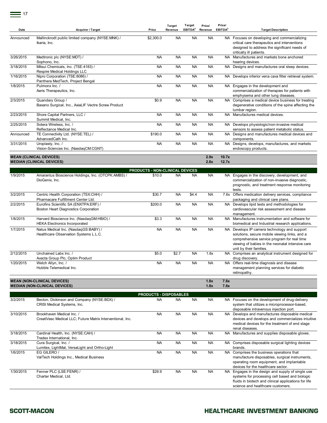| Date      | <b>Acquirer / Target</b>                                                                | Price                                  | Target<br>Revenue | Target<br>EBITDA <sup>2</sup> | Price/<br>Revenue | Price/<br>EBITDA <sup>2</sup> | <b>Target Description</b>                                                                                                                                                                                                   |
|-----------|-----------------------------------------------------------------------------------------|----------------------------------------|-------------------|-------------------------------|-------------------|-------------------------------|-----------------------------------------------------------------------------------------------------------------------------------------------------------------------------------------------------------------------------|
| Announced | Mallinckrodt public limited company (NYSE:MNK) /<br>Ikaria, Inc.                        | \$2,300.0                              | <b>NA</b>         | <b>NA</b>                     | <b>NA</b>         |                               | NA Focuses on developing and commercializing<br>critical care therapeutics and interventions<br>designed to address the significant needs of<br>critically ill patients.                                                    |
| 3/26/2015 | Medtronic plc (NYSE:MDT) /<br>Sophono, Inc.                                             | <b>NA</b>                              | <b>NA</b>         | <b>NA</b>                     | <b>NA</b>         |                               | NA Manufactures and markets bone anchored<br>hearing devices.                                                                                                                                                               |
| 3/18/2015 | Mitsui Chemicals, Inc. (TSE:4183) /<br>Respire Medical Holdings LLC                     | <b>NA</b>                              | <b>NA</b>         | <b>NA</b>                     | <b>NA</b>         |                               | NA Designs and manufactures oral sleep devices.                                                                                                                                                                             |
| 1/16/2015 | Nipro Corporation (TSE:8086) /<br>Panthera MedTech, Project Bengal                      | <b>NA</b>                              | <b>NA</b>         | <b>NA</b>                     | <b>NA</b>         |                               | NA Develops inferior vena cava filter retrieval system.                                                                                                                                                                     |
| 1/8/2015  | Pulmonx Inc. /<br>Aeris Therapeutics, Inc.                                              | <b>NA</b>                              | <b>NA</b>         | <b>NA</b>                     | <b>NA</b>         |                               | NA Engages in the development and<br>commercialization of therapies for patients with<br>emphysema and other lung diseases.                                                                                                 |
| 2/3/2015  | Quandary Group /<br>Baxano Surgical, Inc., AxiaLIF Vectre Screw Product                 | \$0.9                                  | <b>NA</b>         | <b>NA</b>                     | <b>NA</b>         |                               | NA Comprises a medical device business for treating<br>degenerative conditions of the spine affecting the<br>lumbar region.                                                                                                 |
| 2/23/2015 | Shore Capital Partners, LLC /<br>Summit Medical, Inc.                                   | <b>NA</b>                              | <b>NA</b>         | <b>NA</b>                     | <b>NA</b>         |                               | NA Manufactures medical devices.                                                                                                                                                                                            |
| 2/25/2015 | Sotera Wireless, Inc. /<br>Reflectance Medical Inc.                                     | <b>NA</b>                              | <b>NA</b>         | <b>NA</b>                     | <b>NA</b>         |                               | NA Develops physiologic/non-invasive medical<br>sensors to assess patient metabolic status.                                                                                                                                 |
| Announced | TE Connectivity Ltd. (NYSE:TEL) /<br>AdvancedCath Inc.                                  | \$190.0                                | <b>NA</b>         | <b>NA</b>                     | <b>NA</b>         |                               | NA Designs and manufactures medical devices and<br>components.                                                                                                                                                              |
| 3/31/2015 | Uroplasty, Inc. /<br>Vision-Sciences Inc. (NasdaqCM:CGNT)                               | <b>NA</b>                              | <b>NA</b>         | <b>NA</b>                     | <b>NA</b>         | NA                            | Designs, develops, manufactures, and markets<br>endoscopy products.                                                                                                                                                         |
|           | <b>MEAN (CLINICAL DEVICES)</b><br><b>MEDIAN (CLINICAL DEVICES)</b>                      |                                        |                   |                               | 2.9x<br>2.8x      | 10.7x<br>12.7x                |                                                                                                                                                                                                                             |
|           |                                                                                         | <b>PRODUCTS - NON-CLINICAL DEVICES</b> |                   |                               |                   |                               |                                                                                                                                                                                                                             |
| 1/9/2015  | Amarantus Bioscience Holdings, Inc. (OTCPK:AMBS) /<br>DioGenix, Inc.                    | \$10.0                                 | <b>NA</b>         | <b>NA</b>                     | <b>NA</b>         |                               | NA Engages in the discovery, development, and<br>commercialization of non-invasive diagnostic,<br>prognostic, and treatment response monitoring<br>tests.                                                                   |
| 3/2/2015  | Centric Health Corporation (TSX:CHH) /<br>Pharmacare Fulfillment Center Ltd.            | \$30.7                                 | <b>NA</b>         | \$4.4                         | <b>NA</b>         |                               | 7.6x Offers medication delivery services, compliance<br>packaging and clinical care plans.                                                                                                                                  |
| 2/2/2015  | Eurofins Scientific SA (ENXTPA:ERF) /<br>Boston Heart Diagnostics Corporation           | \$200.0                                | <b>NA</b>         | <b>NA</b>                     | <b>NA</b>         |                               | NA Develops lipid tests and methodologies for<br>cardiovascular risk assessment and disease<br>management.                                                                                                                  |
| 1/8/2015  | Harvard Bioscience Inc. (NasdaqGM:HBIO) /<br><b>HEKA Electronics Incorporated</b>       | \$3.3                                  | <b>NA</b>         | <b>NA</b>                     | <b>NA</b>         |                               | NA Manufactures instrumentation and software for<br>biomedical and Industrial research applications.                                                                                                                        |
| 1/7/2015  | Natus Medical Inc. (NasdaqGS:BABY) /<br>Healthcare Observation Systems L.L.C.           | <b>NA</b>                              | <b>NA</b>         | <b>NA</b>                     | <b>NA</b>         |                               | NA Develops IP camera technology and support<br>solutions, secure mobile viewing links, and a<br>comprehensive service program for real time<br>viewing of babies in the neonatal intensive care<br>unit by their families. |
| 2/12/2015 | Unchained Labs Inc. /<br>Avacta Group Plc, Optim Product                                | \$5.0                                  | \$2.7             | <b>NA</b>                     | 1.8x              | NA                            | Comprises an analytical instrument designed for<br>drug discovery.                                                                                                                                                          |
| 1/20/2015 | Welch Allyn, Inc. /<br>Hubble Telemedical Inc.                                          | NA                                     | NA                | NA                            | NA                |                               | NA Offers real-time diagnosis and disease<br>management planning services for diabetic<br>retinopathy.                                                                                                                      |
|           | <b>MEAN (NON-CLINICAL DEVICES)</b><br><b>MEDIAN (NON-CLINICAL DEVICES)</b>              |                                        |                   |                               | 1.8x<br>1.8x      | 7.6x<br>7.6x                  |                                                                                                                                                                                                                             |
|           |                                                                                         | <b>PRODUCTS - DISPOSABLES</b>          |                   |                               |                   |                               |                                                                                                                                                                                                                             |
| 3/2/2015  | Becton, Dickinson and Company (NYSE:BDX) /<br>CRISI Medical Systems, Inc.               | <b>NA</b>                              | NA                | NA.                           | <b>NA</b>         |                               | NA Focuses on the development of drug-delivery<br>system that utilizes a microprocessor-based,<br>disposable intravenous injection port.                                                                                    |
| 3/10/2015 | Brookhaven Medical Inc. /<br>CreatiVasc Medical LLC; Future Matrix Interventional, Inc. | <b>NA</b>                              | <b>NA</b>         | NA.                           | <b>NA</b>         |                               | NA Develops and manufactures disposable medical<br>devices and develops and commercializes intuitive<br>medical devices for the treatment of end stage<br>renal diseases.                                                   |
| 3/18/2015 | Cardinal Health, Inc. (NYSE:CAH) /<br>Tradex International, Inc.                        | <b>NA</b>                              | <b>NA</b>         | <b>NA</b>                     | <b>NA</b>         |                               | NA Manufactures and supplies disposable gloves.                                                                                                                                                                             |
| 3/18/2015 | Cura Surgical, Inc. /<br>Lumitex, LightMat, VersaLight and Ortho-Light                  | <b>NA</b>                              | <b>NA</b>         | NA.                           | <b>NA</b>         |                               | NA Comprises disposable surgical lighting devices<br>brands.                                                                                                                                                                |
| 1/6/2015  | EG GILERO /<br>ValTech Holdings Inc., Medical Business                                  | <b>NA</b>                              | NA                | NA.                           | <b>NA</b>         |                               | NA Comprises the business operations that<br>manufacture disposables, surgical instruments,<br>operating room equipment, and implantable<br>devices for the healthcare sector.                                              |
| 1/30/2015 | Fenner PLC (LSE:FENR) /<br>Charter Medical, Ltd.                                        | \$29.9                                 | <b>NA</b>         | <b>NA</b>                     | <b>NA</b>         |                               | NA Engages in the design and supply of single use<br>systems for processing cell based and biologic<br>fluids in biotech and clinical applications for life<br>science and healthcare customers.                            |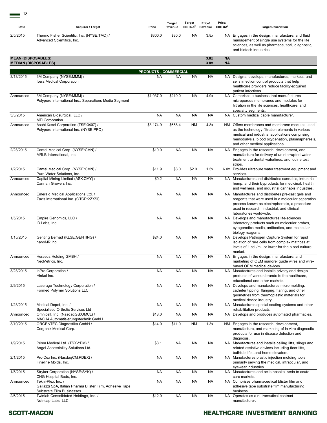| ×. |              |
|----|--------------|
|    |              |
|    | I<br>۰,<br>× |

| Date                      | Acquirer / Target                                                                                           | Price                        | Target<br>Revenue | Target<br>EBITDA <sup>2</sup> | Price/<br>Revenue | Price/<br>EBITDA <sup>2</sup> | <b>Target Description</b>                                                                                                                                                                                                                  |
|---------------------------|-------------------------------------------------------------------------------------------------------------|------------------------------|-------------------|-------------------------------|-------------------|-------------------------------|--------------------------------------------------------------------------------------------------------------------------------------------------------------------------------------------------------------------------------------------|
| 2/5/2015                  | Thermo Fisher Scientific, Inc. (NYSE:TMO) /<br>Advanced Scientifics, Inc.                                   | \$300.0                      | \$80.0            | <b>NA</b>                     | 3.8x              |                               | NA Engages in the design, manufacture, and fluid<br>management of single use systems for the life<br>sciences, as well as pharmaceutical, diagnostic,<br>and biotech industries.                                                           |
| <b>MEAN (DISPOSABLES)</b> | <b>MEDIAN (DISPOSABLES)</b>                                                                                 |                              |                   |                               | 3.8x<br>3.8x      | <b>NA</b><br><b>NA</b>        |                                                                                                                                                                                                                                            |
|                           |                                                                                                             | <b>PRODUCTS - COMMERCIAL</b> |                   |                               |                   |                               |                                                                                                                                                                                                                                            |
| 3/13/2015                 | 3M Company (NYSE:MMM) /<br>Ivera Medical Corporation                                                        | NA                           | <b>NA</b>         | <b>NA</b>                     | <b>NA</b>         |                               | NA Designs, develops, manufactures, markets, and<br>sells infection control products that help<br>healthcare providers reduce facility-acquired<br>patient infections.                                                                     |
| Announced                 | 3M Company (NYSE:MMM) /<br>Polypore International Inc., Separations Media Segment                           | \$1,037.0                    | \$210.0           | <b>NA</b>                     | 4.9x              |                               | NA Comprises a business that manufactures<br>microporous membranes and modules for<br>filtration in the life sciences, healthcare, and<br>specialty segments.                                                                              |
| 3/3/2015                  | American Biosurgical, LLC /<br>MTI Corporation                                                              | NA                           | <b>NA</b>         | <b>NA</b>                     | <b>NA</b>         |                               | NA Custom medical cable manufacturer.                                                                                                                                                                                                      |
| Announced                 | Asahi Kasei Corporation (TSE:3407) /<br>Polypore International Inc. (NYSE:PPO)                              | \$3,174.9                    | \$658.4           | ΝM                            | 4.8x              |                               | NM Offers membranes and membrane modules used<br>as the technology filtration elements in various<br>medical and industrial applications comprising<br>hemodialysis, blood oxygenation, plasmapheresis,<br>and other medical applications. |
| 2/23/2015                 | Cantel Medical Corp. (NYSE:CMN) /<br>MRLB International, Inc.                                               | \$10.0                       | <b>NA</b>         | <b>NA</b>                     | <b>NA</b>         |                               | NA Engages in the research, development, and<br>manufacture for delivery of uninterrupted water<br>treatment to dental waterlines; and iodine test<br>strips.                                                                              |
| 1/2/2015                  | Cantel Medical Corp. (NYSE:CMN) /<br>Pure Water Solutions, Inc.                                             | \$11.9                       | \$8.0             | \$2.0                         | 1.5x              |                               | 6.0x Provides ultrapure water treatment equipment and<br>services.                                                                                                                                                                         |
| Announced                 | Capital Mining Limited (ASX:CMY) /<br>Cannan Growers Inc.                                                   | \$0.2                        | <b>NA</b>         | <b>NA</b>                     | <b>NA</b>         |                               | NA Manufactures and distributes cannabis, industrial<br>hemp, and their byproducts for medicinal, health<br>and wellness, and industrial cannabis industries.                                                                              |
| Announced                 | Emerald Medical Applications Ltd. /<br>Zaxis International Inc. (OTCPK:ZXSI)                                | <b>NA</b>                    | <b>NA</b>         | <b>NA</b>                     | <b>NA</b>         |                               | NA Manufactures and distributes pre-cast gels and<br>reagents that were used in a molecular separation<br>process known as electrophoresis, a procedure<br>used in research, industrial, and clinical<br>laboratories worldwide.           |
| 1/5/2015                  | Empire Genomics, LLC /<br>ID Labs. Inc.                                                                     | <b>NA</b>                    | <b>NA</b>         | <b>NA</b>                     | <b>NA</b>         |                               | NA Develops and manufactures life-sciences<br>laboratory products such as molecular probes,<br>cytogenetics media, antibodies, and molecular<br>biology reagents.                                                                          |
| 1/15/2015                 | Genting Berhad (KLSE:GENTING) /<br>nanoMR Inc.                                                              | \$24.0                       | <b>NA</b>         | <b>NA</b>                     | <b>NA</b>         |                               | NA Develops Pathogen Capture System for rapid<br>isolation of rare cells from complex matrices at<br>levels of 1 cell/mL or lower for the blood culture<br>market.                                                                         |
| Announced                 | Heraeus Holding GMBH /<br>NeoMetrics, Inc.                                                                  | NA                           | <b>NA</b>         | <b>NA</b>                     | <b>NA</b>         |                               | NA Engages in the design, manufacture, and<br>marketing of OEM mandrel guide wires and wire-<br>based OEM medical devices.                                                                                                                 |
| 3/23/2015                 | InPro Corporation /<br>Hinkel Inc.                                                                          | <b>NA</b>                    | <b>NA</b>         | <b>NA</b>                     | <b>NA</b>         |                               | NA Manufactures and installs privacy and design<br>products of various brands to the healthcare,<br>educational and other markets.                                                                                                         |
| 2/9/2015                  | Laserage Technology Corporation /<br><b>Formed Polymer Solutions LLC</b>                                    | <b>NA</b>                    | <b>NA</b>         | <b>NA</b>                     | <b>NA</b>         |                               | NA Develops and manufactures micro-molding,<br>catheter tipping, flanging, flaring, and other<br>geometries from thermoplastic materials for<br>medical device industry.                                                                   |
| 1/23/2015                 | Medical Depot, Inc. /<br>Specialised Orthotic Services Ltd                                                  | <b>NA</b>                    | <b>NA</b>         | <b>NA</b>                     | <b>NA</b>         |                               | NA Manufactures special seating systems and other<br>rehabilitation products.                                                                                                                                                              |
| Announced                 | Omnicell, Inc. (NasdaqGS:OMCL) /<br>MACH4 Automatisierungstechnik GmbH                                      | \$18.0                       | <b>NA</b>         | <b>NA</b>                     | <b>NA</b>         |                               | NA Develops and produces automated pharmacies.                                                                                                                                                                                             |
| 3/10/2015                 | ORGENTEC Diagnostika GmbH /<br>Corgenix Medical Corp.                                                       | \$14.0                       | \$11.0            | <b>NM</b>                     | 1.3x              |                               | NM Engages in the research, development,<br>manufacture, and marketing of in vitro diagnostic<br>products for use in disease detection and<br>diagnosis.                                                                                   |
| 1/9/2015                  | Prism Medical Ltd. (TSXV:PM) /<br>Angel Accessibility Solutions Ltd.                                        | \$3.1                        | <b>NA</b>         | <b>NA</b>                     | <b>NA</b>         |                               | NA Manufactures and installs ceiling lifts, slings and<br>related assistive devices including floor lifts,<br>bathtub lifts, and home elevators.                                                                                           |
| 2/1/2015                  | Pro-Dex Inc. (NasdaqCM:PDEX) /<br>Fineline Molds, Inc.                                                      | <b>NA</b>                    | <b>NA</b>         | <b>NA</b>                     | <b>NA</b>         |                               | NA Manufactures plastic injection molding tools<br>primarily serving the medical, intraocular, and<br>eyewear industries.                                                                                                                  |
| 1/5/2015                  | Stryker Corporation (NYSE:SYK) /<br>CHG Hospital Beds, Inc.                                                 | <b>NA</b>                    | <b>NA</b>         | <b>NA</b>                     | <b>NA</b>         |                               | NA Manufactures and sells hospital beds to acute<br>care markets.                                                                                                                                                                          |
| Announced                 | Tekni-Plex, Inc. /<br>Gallazzi SpA, Italian Pharma Blister Film, Adhesive Tape<br>Substrate Film Businesses | <b>NA</b>                    | <b>NA</b>         | NA.                           | <b>NA</b>         |                               | NA Comprises pharmaceutical blister film and<br>adhesive tape substrate film manufacturing<br>business.                                                                                                                                    |
| 2/6/2015                  | Twinlab Consolidated Holdings, Inc. /<br>Nutricap Labs, LLC                                                 | \$12.0                       | <b>NA</b>         | <b>NA</b>                     | <b>NA</b>         |                               | NA Operates as a nutraceutical contract<br>manufacturer.                                                                                                                                                                                   |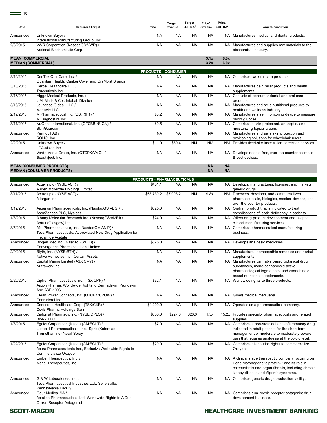| Date                                                   | Acquirer / Target                                                                                                         | Price                                        | <b>Target</b><br>Revenue | Target<br>EBITDA <sup>2</sup> | Price/<br>Revenue      | Price/<br>EBITDA <sup>2</sup> | <b>Target Description</b>                                                                                                                                                                            |
|--------------------------------------------------------|---------------------------------------------------------------------------------------------------------------------------|----------------------------------------------|--------------------------|-------------------------------|------------------------|-------------------------------|------------------------------------------------------------------------------------------------------------------------------------------------------------------------------------------------------|
| Announced                                              | Unknown Buyer /                                                                                                           | NA                                           | <b>NA</b>                | <b>NA</b>                     | <b>NA</b>              |                               | NA Manufactures medical and dental products.                                                                                                                                                         |
| 2/3/2015                                               | International Manufacturing Group, Inc.<br>VWR Corporation (NasdaqGS:VWR) /                                               | <b>NA</b>                                    | <b>NA</b>                | <b>NA</b>                     | <b>NA</b>              |                               | NA Manufactures and supplies raw materials to the                                                                                                                                                    |
|                                                        | National Biochemicals Corp.                                                                                               |                                              |                          |                               |                        |                               | biochemical industry.                                                                                                                                                                                |
| <b>MEAN (COMMERCIAL)</b><br><b>MEDIAN (COMMERCIAL)</b> |                                                                                                                           |                                              |                          |                               | 3.1x<br>3.2x           | 6.0x<br>6.0x                  |                                                                                                                                                                                                      |
|                                                        |                                                                                                                           | <b>PRODUCTS - CONSUMER</b>                   |                          |                               |                        |                               |                                                                                                                                                                                                      |
| 3/16/2015                                              | DenTek Oral Care, Inc. /<br>Quantum Health, Canker Cover and OraMoist Brands                                              | <b>NA</b>                                    | <b>NA</b>                | <b>NA</b>                     | <b>NA</b>              |                               | NA Comprises two oral care products.                                                                                                                                                                 |
| 3/10/2015                                              | Herbal Healthcare LLC /<br>Truceuticals Inc.                                                                              | <b>NA</b>                                    | <b>NA</b>                | <b>NA</b>                     | <b>NA</b>              |                               | NA Manufactures pain relief products and health<br>supplements.                                                                                                                                      |
| 3/16/2015                                              | Higgs Medical Products, Inc. /<br>J.M. Maris & Co., InfaLab Division                                                      | NA                                           | <b>NA</b>                | <b>NA</b>                     | <b>NA</b>              |                               | NA Consists of consumer dental and oral care<br>products.                                                                                                                                            |
| 3/16/2015                                              | Jeunesse Global, LLC /<br>MonaVie LLC                                                                                     | <b>NA</b>                                    | <b>NA</b>                | <b>NA</b>                     | <b>NA</b>              |                               | NA Manufactures and sells nutritional products to<br>health and wellness industry.                                                                                                                   |
| 2/19/2015                                              | M Pharmaceutical Inc. (DB:T3F1) /<br>M Diagnostics Inc.                                                                   | \$0.2                                        | <b>NA</b>                | <b>NA</b>                     | <b>NA</b>              |                               | NA Manufactures a self monitoring device to measure<br>blood glucose.                                                                                                                                |
| 3/17/2015                                              | NuGene International, Inc. (OTCBB:NUGN) /<br>SkinGuardian                                                                 | \$0.5                                        | <b>NA</b>                | <b>NA</b>                     | <b>NA</b>              |                               | NA Comprises a skin protectant, antiseptic, and<br>moisturizing topical cream.                                                                                                                       |
| Announced                                              | Permobil AB /<br>ROHO, Inc.                                                                                               | <b>NA</b>                                    | <b>NA</b>                | <b>NA</b>                     | <b>NA</b>              |                               | NA Manufactures and sells skin protection and<br>positioning solutions for wheelchair users.                                                                                                         |
| 2/2/2015                                               | Unknown Buyer /                                                                                                           | \$11.9                                       | \$89.4                   | <b>NM</b>                     | <b>NM</b>              |                               | NM Provides fixed-site laser vision correction services.                                                                                                                                             |
| Announced                                              | LCA-Vision Inc.<br>Verde Media Group, Inc. (OTCPK: VMGI) /                                                                | <b>NA</b>                                    | <b>NA</b>                | <b>NA</b>                     | <b>NA</b>              |                               | NA Develops needle-free, over-the-counter cosmetic                                                                                                                                                   |
|                                                        | Beautyject, Inc.                                                                                                          |                                              |                          |                               |                        |                               | B-Ject devices.                                                                                                                                                                                      |
|                                                        | <b>MEAN (CONSUMER PRODUCTS)</b><br><b>MEDIAN (CONSUMER PRODUCTS)</b>                                                      |                                              |                          |                               | <b>NA</b><br><b>NA</b> | <b>NA</b><br><b>NA</b>        |                                                                                                                                                                                                      |
|                                                        |                                                                                                                           |                                              |                          |                               |                        |                               |                                                                                                                                                                                                      |
| Announced                                              | Actavis plc (NYSE:ACT) /                                                                                                  | <b>PRODUCTS - PHARMACEUTICALS</b><br>\$461.1 | <b>NA</b>                | <b>NA</b>                     | <b>NA</b>              |                               | NA Develops, manufactures, licenses, and markets                                                                                                                                                     |
| 3/17/2015                                              | Auden Mckenzie Holdings Limited<br>Actavis plc (NYSE:ACT) /                                                               | \$68,730.2                                   | \$7,003.2                | <b>NM</b>                     | 9.8x                   |                               | generic drugs.<br>NM Discovers, develops, and commercializes                                                                                                                                         |
|                                                        | Allergan Inc.                                                                                                             |                                              |                          |                               |                        |                               | pharmaceuticals, biologics, medical devices, and<br>over-the-counter products.                                                                                                                       |
| 1/12/2015                                              | Aegerion Pharmaceuticals, Inc. (NasdaqGS:AEGR) /<br>AstraZeneca PLC, Myalept                                              | \$325.0                                      | <b>NA</b>                | <b>NA</b>                     | <b>NA</b>              |                               | NA Orphan product that is indicated to treat<br>complications of leptin deficiency in patients.                                                                                                      |
| 1/8/2015                                               | Albany Molecular Research Inc. (NasdaqGS:AMRI) /<br>Aptuit (Glasgow) Ltd.                                                 | \$24.0                                       | <b>NA</b>                | <b>NA</b>                     | <b>NA</b>              |                               | NA Offers drug product development and aseptic<br>clinical manufacturing services.                                                                                                                   |
| 3/5/2015                                               | ANI Pharmaceuticals, Inc. (NasdaqGM:ANIP) /<br>Teva Pharmaceuticals, Abbreviated New Drug Application for                 | <b>NA</b>                                    | <b>NA</b>                | <b>NA</b>                     | <b>NA</b>              |                               | NA Comprises pharmaceutical manufacturing<br>business.                                                                                                                                               |
| Announced                                              | Flecainide Acetate<br>Biogen Idec Inc. (NasdagGS:BIIB) /                                                                  | \$675.0                                      | <b>NA</b>                | <b>NA</b>                     | <b>NA</b>              |                               | NA Develops analgesic medicines.                                                                                                                                                                     |
| 2/9/2015                                               | Convergence Pharmaceuticals Limited<br>Blyth, Inc. (NYSE:BTH) /                                                           | <b>NA</b>                                    | <b>NA</b>                | <b>NA</b>                     | <b>NA</b>              |                               | NA Manufactures homeopathic remedies and herbal                                                                                                                                                      |
|                                                        | Native Remedies Inc., Certain Assets                                                                                      |                                              |                          |                               |                        |                               | supplements.                                                                                                                                                                                         |
| Announced                                              | Capital Mining Limited (ASX:CMY) /<br>Nutrawerx Inc.                                                                      | <b>NA</b>                                    | <b>NA</b>                | <b>NA</b>                     | <b>NA</b>              |                               | NA Manufactures cannabis based botanical drug<br>substances, mono-cannabinoid active<br>pharmacological ingredients, and cannabinoid<br>based nutritional supplements.                               |
| 2/26/2015                                              | Cipher Pharmaceuticals Inc. (TSX:CPH) /<br>Astion Pharma, Worldwide Rights to Dermadexin, Pruridexin<br>And ASF-1096      | \$32.1                                       | <b>NA</b>                | <b>NA</b>                     | <b>NA</b>              |                               | NA Worldwide rights to three products.                                                                                                                                                               |
| Announced                                              | Clean Power Concepts, Inc. (OTCPK:CPOW) /<br>Canruderal Inc.                                                              | <b>NA</b>                                    | <b>NA</b>                | <b>NA</b>                     | NA                     |                               | NA Grows medical marijuana.                                                                                                                                                                          |
| Announced                                              | Concordia Healthcare Corp. (TSX:CXR) /<br>Covis Pharma Holdings S.à r.l.                                                  | \$1,200.0                                    | <b>NA</b>                | <b>NA</b>                     | <b>NA</b>              |                               | NA Operates as a pharmaceutical company.                                                                                                                                                             |
| Announced                                              | Diplomat Pharmacy, Inc. (NYSE:DPLO) /<br>BioRx, LLC                                                                       | \$350.0                                      | \$227.0                  | \$23.0                        | 1.5x                   |                               | 15.2x Provides specialty pharmaceuticals and related<br>supplies.                                                                                                                                    |
| 1/8/2015                                               | Egalet Corporation (NasdaqGM:EGLT) /<br>Luitpold Pharmaceuticals, Inc., Sprix (Ketorolac                                  | \$7.0                                        | <b>NA</b>                | <b>NA</b>                     | <b>NA</b>              |                               | NA Comprises a non-steroidal anti-inflammatory drug<br>indicated in adult patients for the short-term                                                                                                |
|                                                        | Tromethamine) Nasal Spray                                                                                                 |                                              |                          |                               |                        |                               | management of moderate to moderately severe<br>pain that requires analgesia at the opioid level.                                                                                                     |
| 1/22/2015                                              | Egalet Corporation (NasdaqGM:EGLT) /<br>Acura Pharmaceuticals Inc., Exclusive Worldwide Rights to<br>Commercialize Oxaydo | \$20.0                                       | <b>NA</b>                | <b>NA</b>                     | <b>NA</b>              |                               | NA Comprises distribution rights to commercialize<br>Oxaydo.                                                                                                                                         |
| Announced                                              | Ember Therapeutics, Inc. /<br>Mariel Therapeutics, Inc.                                                                   | <b>NA</b>                                    | <b>NA</b>                | <b>NA</b>                     | <b>NA</b>              |                               | NA A clinical stage therapeutic company focusing on<br>Bone Morphogenetic protein-7 and its role in<br>osteoarthritis and organ fibrosis, including chronic<br>kidney disease and Alport's syndrome. |
| Announced                                              | G & W Laboratories, Inc. /<br>Teva Pharmaceutical Industries Ltd., Sellersville,<br>Pennsylvania Facility                 | <b>NA</b>                                    | <b>NA</b>                | <b>NA</b>                     | <b>NA</b>              |                               | NA Comprises generic drugs production facility.                                                                                                                                                      |
| Announced                                              | Gour Medical SA /<br>Actelion Pharmaceuticals Ltd, Worldwide Rights to A Dual<br>Orexin Receptor Antagonist               | <b>NA</b>                                    | <b>NA</b>                | <b>NA</b>                     | <b>NA</b>              |                               | NA Comprises dual orexin receptor antagonist drug<br>development business.                                                                                                                           |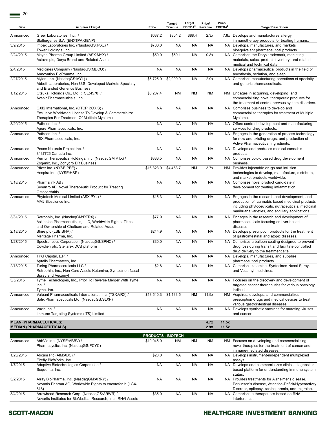| Date      | Acquirer / Target                                                                                                                                | Price                     | Target<br>Revenue | Target<br>EBITDA <sup>2</sup> | Price/<br>Revenue | Price/<br>EBITDA <sup>2</sup> | <b>Target Description</b>                                                                                                                                                                                     |
|-----------|--------------------------------------------------------------------------------------------------------------------------------------------------|---------------------------|-------------------|-------------------------------|-------------------|-------------------------------|---------------------------------------------------------------------------------------------------------------------------------------------------------------------------------------------------------------|
| Announced | Greer Laboratories. Inc. /<br>Stallergenes S.A. (ENXTPA:GENP)                                                                                    | \$637.2                   | \$304.2           | \$88.4                        | 2.3x              |                               | 7.8x Develops and manufactures allergy<br>immunotherapy products for treating humans.                                                                                                                         |
| 3/9/2015  | Impax Laboratories Inc. (NasdaqGS:IPXL) /<br>Tower Holdings, Inc.                                                                                | \$700.0                   | <b>NA</b>         | <b>NA</b>                     | <b>NA</b>         |                               | NA Develops, manufactures, and markets<br>bioequivalent pharmaceutical products.                                                                                                                              |
| 2/24/2015 | Mayne Pharma Group Limited (ASX:MYX) /<br>Actavis plc, Doryx Brand and Related Assets                                                            | \$50.0                    | \$60.1            | <b>NA</b>                     | 0.8x              |                               | NA Comprises the Doryx trademark, marketing<br>materials, select product inventory, and related<br>medical and technical data.                                                                                |
| 2/4/2015  | Medicines Company (NasdaqGS:MDCO) /<br>Annovation BioPharma, Inc.                                                                                | <b>NA</b>                 | <b>NA</b>         | <b>NA</b>                     | <b>NA</b>         |                               | NA Develops pharmaceutical products in the field of<br>anesthesia, sedation, and sleep.                                                                                                                       |
| 2/27/2015 | Mylan, Inc. (NasdaqGS:MYL) /<br>Abbott Laboratories, Non-U.S. Developed Markets Specialty<br>and Branded Generics Business                       | \$5,725.0                 | \$2,000.0         | <b>NA</b>                     | 2.9x              |                               | NA Comprises manufacturing operations of specialty<br>and generic pharmaceuticals.                                                                                                                            |
| 1/12/2015 | Otsuka Holdings Co., Ltd. (TSE:4578) /<br>Avanir Pharmaceuticals, Inc.                                                                           | \$3,207.4                 | <b>NM</b>         | <b>NM</b>                     | NM                |                               | NM Engages in acquiring, developing, and<br>commercializing novel therapeutic products for<br>the treatment of central nervous system disorders.                                                              |
| Announced | OXIS International, Inc. (OTCPK:OXIS) /<br>Exclusive Worldwide License To Develop & Commercialize<br>Therapies For Treatment Of Multiple Myeloma | <b>NA</b>                 | <b>NA</b>         | <b>NA</b>                     | <b>NA</b>         |                               | NA Comprises business to develop and<br>commercialize therapies for treatment of Multiple<br>Myeloma.                                                                                                         |
| 3/20/2015 | Patheon Inc. /<br>Agere Pharmaceuticals, Inc.                                                                                                    | <b>NA</b>                 | <b>NA</b>         | <b>NA</b>                     | <b>NA</b>         |                               | NA Offers contract development and manufacturing<br>services for drug products.                                                                                                                               |
| Announced | Patheon Inc. /<br>IRIX Pharmaceuticals, Inc.                                                                                                     | <b>NA</b>                 | <b>NA</b>         | <b>NA</b>                     | <b>NA</b>         |                               | NA Engages in the generation of process technology<br>for new and existing drugs, and production of<br>Active Pharmaceutical Ingredients.                                                                     |
| Announced | Peace Naturals Project Inc. /<br>8437726 Canada Inc.                                                                                             | <b>NA</b>                 | <b>NA</b>         | <b>NA</b>                     | <b>NA</b>         |                               | NA Develops and produces medical cannabis<br>products.                                                                                                                                                        |
| Announced | Pernix Therapeutics Holdings, Inc. (NasdaqGM:PTX) /<br>Zogenix, Inc., Zohydro ER Business                                                        | \$383.5                   | <b>NA</b>         | <b>NA</b>                     | <b>NA</b>         |                               | NA Comprises opioid based drug development<br>business.                                                                                                                                                       |
| Announced | Pfizer Inc. (NYSE:PFE) /<br>Hospira Inc. (NYSE:HSP)                                                                                              | \$16,323.0                | \$4,463.7         | <b>NM</b>                     | 3.7x              |                               | NM Provides injectable drugs and infusion<br>technologies to develop, manufacture, distribute,<br>and market products worldwide.                                                                              |
| 3/18/2015 | Pharmalink AB /<br>Synartro AB, Novel Therapeutic Product for Treating<br>Osteoarthritis                                                         | <b>NA</b>                 | <b>NA</b>         | <b>NA</b>                     | <b>NA</b>         |                               | NA Comprises novel product candidate in<br>development for treating inflammation.                                                                                                                             |
| Announced | Phytotech Medical Limited (ASX:PYL) /<br>MMJ Bioscience Inc.                                                                                     | \$16.3                    | <b>NA</b>         | <b>NA</b>                     | <b>NA</b>         |                               | NA Engages in the research and development, and<br>production of cannabis-based medicinal products<br>including phytoceuticals, nutraceuticals, medicinal<br>marihuana varieties, and ancillary applications. |
| 3/31/2015 | Retrophin, Inc. (NasdaqGM:RTRX) /<br>Asklepion Pharmaceuticals, LLC, Worldwide Rights, Titles,<br>and Ownership of Cholbam and Related Asset     | \$77.9                    | <b>NA</b>         | <b>NA</b>                     | <b>NA</b>         |                               | NA Engages in the research and development of<br>pharmaceuticals focusing on liver-based<br>diseases.                                                                                                         |
| 2/18/2015 | Shire plc (LSE:SHP) /<br>Meritage Pharma, Inc.                                                                                                   | \$244.9                   | <b>NA</b>         | <b>NA</b>                     | <b>NA</b>         |                               | NA Develops prescription products for the treatment<br>of gastrointestinal and atopic diseases.                                                                                                               |
| 1/27/2015 | Spectranetics Corporation (NasdaqGS:SPNC) /<br>Covidien plc, Stellarex DCB platform                                                              | \$30.0                    | <b>NA</b>         | <b>NA</b>                     | <b>NA</b>         |                               | NA Comprises a balloon coating designed to prevent<br>drug loss during transit and facilitate controlled<br>drug delivery to the treatment site.                                                              |
| Announced | TPG Capital, L.P. /<br>Aptalis Pharmatech, Inc.                                                                                                  | <b>NA</b>                 | <b>NA</b>         | <b>NA</b>                     | <b>NA</b>         |                               | NA Develops, manufactures, and supplies<br>pharmaceutical products.                                                                                                                                           |
| 2/13/2015 | Turing Pharmaceuticals LLC /<br>Retrophin, Inc., Non-Core Assets Ketamine, Syntocinon Nasal<br>Spray and Vecamyl                                 | \$2.8                     | <b>NA</b>         | <b>NA</b>                     | <b>NA</b>         |                               | NA Comprises ketamine, Syntocinon Nasal Spray,<br>and Vecamyl medicines.                                                                                                                                      |
| 3/5/2015  | Tyme Technologies, Inc., Prior To Reverse Merger With Tyme,<br>Inc. /<br>Tyme, Inc.                                                              | <b>NA</b>                 | <b>NA</b>         | <b>NA</b>                     | <b>NA</b>         |                               | NA Focuses on the discovery and development of<br>targeted cancer therapeutics for various oncology<br>indications.                                                                                           |
| Announced | Valeant Pharmaceuticals International, Inc. (TSX:VRX) /<br>Salix Pharmaceuticals Ltd. (NasdaqGS:SLXP)                                            | \$13,540.3                | \$1,133.5         | <b>NM</b>                     | 11.9x             |                               | NM Acquires, develops, and commercializes<br>prescription drugs and medical devices to treat<br>various gastrointestinal diseases.                                                                            |
| Announced | Vaxin Inc. /<br>Immune Targeting Systems (ITS) Limited                                                                                           | <b>NA</b>                 | <b>NA</b>         | <b>NA</b>                     | <b>NA</b>         |                               | NA Develops synthetic vaccines for mutating viruses<br>and cancer.                                                                                                                                            |
|           | <b>MEAN (PHARMACEUTICALS)</b><br><b>MEDIAN (PHARMACEUTICALS)</b>                                                                                 |                           |                   |                               | 4.7x<br>2.9x      | 11.5x<br>11.5x                |                                                                                                                                                                                                               |
|           |                                                                                                                                                  | <b>PRODUCTS - BIOTECH</b> |                   |                               |                   |                               |                                                                                                                                                                                                               |
| Announced | AbbVie Inc. (NYSE:ABBV) /<br>Pharmacyclics Inc. (NasdaqGS:PCYC)                                                                                  | \$19,045.0                | <b>NM</b>         | <b>NM</b>                     | ΝM                |                               | NM Focuses on developing and commercializing<br>novel therapies for the treatment of cancer and<br>immune-mediated diseases.                                                                                  |
| 1/23/2015 | Abcam Plc (AIM:ABC) /<br>Firefly BioWorks, Inc.                                                                                                  | \$28.0                    | <b>NA</b>         | <b>NA</b>                     | <b>NA</b>         |                               | NA Develops instrument-independent multiplexed<br>assays.                                                                                                                                                     |
| 1/7/2015  | Adaptive Biotechnologies Corporation /<br>Sequenta, Inc.                                                                                         | <b>NA</b>                 | <b>NA</b>         | <b>NA</b>                     | <b>NA</b>         |                               | NA Develops and commercializes clinical diagnostics<br>based platform for understanding immune system<br>status.                                                                                              |
| 3/2/2015  | Array BioPharma, Inc. (NasdaqGM:ARRY) /<br>Novartis Pharma AG, Worldwide Rights to encorafenib (LGX-<br>818)                                     | <b>NA</b>                 | <b>NA</b>         | <b>NA</b>                     | <b>NA</b>         |                               | NA Provides treatments for Alzheimer's disease,<br>Parkinson's disease, Attention-Deficit/Hyperactivity<br>Disorder, epilepsy, schizophrenia, and migraine.                                                   |
| 3/4/2015  | Arrowhead Research Corp. (NasdaqGS:ARWR) /<br>Novartis Institutes for BioMedical Research, Inc., RNAi Assets                                     | \$35.0                    | <b>NA</b>         | <b>NA</b>                     | <b>NA</b>         |                               | NA Comprises a therapeutics based on RNA<br>interference.                                                                                                                                                     |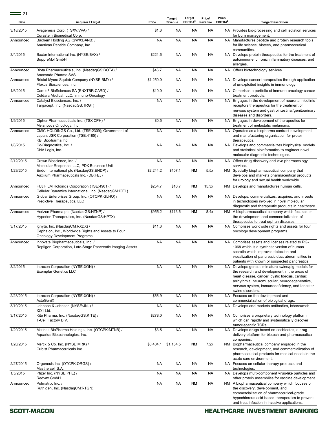| Date      | <b>Acquirer / Target</b>                                                                                               | Price     | <b>Target</b><br>Revenue | Target<br>EBITDA <sup>2</sup> | Price/<br>Revenue | Price/<br>EBITDA <sup>2</sup> | <b>Target Description</b>                                                                                                                                                                                                                                                    |
|-----------|------------------------------------------------------------------------------------------------------------------------|-----------|--------------------------|-------------------------------|-------------------|-------------------------------|------------------------------------------------------------------------------------------------------------------------------------------------------------------------------------------------------------------------------------------------------------------------------|
| 3/18/2015 | Avagenesis Corp. (TSXV:VVA) /<br>Curastem Biomedical Corp.                                                             | \$1.3     | <b>NA</b>                | <b>NA</b>                     | <b>NA</b>         |                               | NA Provides bio-processing and cell isolation services<br>for burn management.                                                                                                                                                                                               |
| Announced | Bachem Holding AG (SWX:BANB) /<br>American Peptide Company, Inc.                                                       | <b>NA</b> | <b>NA</b>                | <b>NA</b>                     | <b>NA</b>         |                               | NA Manufactures peptide and protein research tools<br>for life science, biotech, and pharmaceutical                                                                                                                                                                          |
| 3/4/2015  | Baxter International Inc. (NYSE:BAX) /<br>SuppreMol GmbH                                                               | \$221.6   | <b>NA</b>                | <b>NA</b>                     | <b>NA</b>         | NA.                           | communities.<br>Develops protein therapeutics for the treatment of<br>autoimmune, chronic inflammatory diseases, and<br>allergies.                                                                                                                                           |
| Announced | Biota Pharmaceuticals, Inc. (NasdaqGS:BOTA) /<br>Anaconda Pharma SAS                                                   | \$46.7    | <b>NA</b>                | <b>NA</b>                     | <b>NA</b>         |                               | NA Offers biotechnology services.                                                                                                                                                                                                                                            |
| Announced | Bristol-Myers Squibb Company (NYSE:BMY) /<br>Flexus Biosciences, Inc.                                                  | \$1,250.0 | <b>NA</b>                | <b>NA</b>                     | <b>NA</b>         |                               | NA Develops cancer therapeutics through application<br>of unexploited insights in immunology.                                                                                                                                                                                |
| 1/6/2015  | Cardio3 BioSciences SA (ENXTBR:CARD) /<br>Celdara Medical, LLC, Immuno-Oncology                                        | \$10.0    | <b>NA</b>                | <b>NA</b>                     | <b>NA</b>         |                               | NA Comprises a portfolio of immuno-oncology cancer<br>treatment products.                                                                                                                                                                                                    |
| Announced | Catalyst Biosciences, Inc. /<br>Targacept, Inc. (NasdaqGS:TRGT)                                                        | <b>NA</b> | <b>NA</b>                | <b>NA</b>                     | <b>NA</b>         |                               | NA Engages in the development of neuronal nicotinic<br>receptors therapeutics for the treatment of<br>nervous system and gastrointestinal/genitourinary<br>diseases and disorders.                                                                                           |
| 1/9/2015  | Cipher Pharmaceuticals Inc. (TSX:CPH) /<br>Melanovus Oncology, Inc.                                                    | \$0.5     | <b>NA</b>                | <b>NA</b>                     | <b>NA</b>         |                               | NA Engages in development of therapeutics for<br>treatment of metastatic melanoma.                                                                                                                                                                                           |
| Announced | CMIC HOLDINGS Co., Ltd. (TSE:2309); Government of<br>Japan; JSR Corporation (TSE:4185) /<br>KBI Biopharma Inc.         | <b>NA</b> | <b>NA</b>                | <b>NA</b>                     | <b>NA</b>         |                               | NA Operates as a biopharma contract development<br>and manufacturing organization for protein<br>therapeutics.                                                                                                                                                               |
| 1/8/2015  | Co-Diagnostics, Inc. /<br>DNA Logix, Inc.                                                                              | <b>NA</b> | <b>NA</b>                | <b>NA</b>                     | <b>NA</b>         |                               | NA Develops and commercializes biophysical models<br>and statistical bioinformatics to engineer novel<br>molecular diagnostic technologies.                                                                                                                                  |
| 2/12/2015 | Crown Bioscience, Inc. /<br>Molecular Response, LLC, PDX Business Unit                                                 | <b>NA</b> | <b>NA</b>                | <b>NA</b>                     | <b>NA</b>         |                               | NA Offers drug discovery and vivo pharmacology<br>services.                                                                                                                                                                                                                  |
| 1/29/2015 | Endo International plc (NasdaqGS:ENDP) /<br>Auxilium Pharmaceuticals Inc. (DB:FEJ)                                     | \$2.244.2 | \$407.1                  | <b>NM</b>                     | 5.5x              |                               | NM Specialty biopharmaceutical company that<br>develops and markets pharmaceutical products<br>for urology and sexual health worldwide.                                                                                                                                      |
| Announced | FUJIFILM Holdings Corporation (TSE:4901) /<br>Cellular Dynamics International, Inc. (NasdaqGM:ICEL)                    | \$254.7   | \$16.7                   | <b>NM</b>                     | 15.3x             |                               | NM Develops and manufactures human cells.                                                                                                                                                                                                                                    |
| Announced | Global Enterprises Group, Inc. (OTCPK:GLHO) /<br>Predictive Therapeutics, LLC                                          | <b>NA</b> | <b>NA</b>                | <b>NA</b>                     | <b>NA</b>         |                               | NA Develops, commercializes, acquires, and invests<br>in technologies involved in novel molecular<br>diagnostic and therapeutic products in healthcare.                                                                                                                      |
| Announced | Horizon Pharma plc (NasdaqGS:HZNP) /<br>Hyperion Therapeutics, Inc. (NasdaqGS:HPTX)                                    | \$955.2   | \$113.6                  | <b>NM</b>                     | 8.4x              |                               | NM A biopharmaceutical company which focuses on<br>the development and commercialization of<br>therapeutics to treat orphan diseases.                                                                                                                                        |
| 3/17/2015 | Ignyta, Inc. (NasdaqCM:RXDX) /<br>Cephalon, Inc., Worldwide Rights and Assets to Four<br>Oncology Development Programs | \$11.3    | <b>NA</b>                | <b>NA</b>                     | <b>NA</b>         |                               | NA Comprises worldwide rights and assets for four<br>oncology development programs.                                                                                                                                                                                          |
| Announced | Innovate Biopharmaceuticals, Inc. /<br>Repligen Corporation, Late-Stage Pancreatic Imaging Assets                      | <b>NA</b> | <b>NA</b>                | <b>NA</b>                     | <b>NA</b>         | NA.                           | Comprises assets and licenses related to RG-<br>1068 which is a synthetic version of human<br>secretin which improves detection and<br>visualization of pancreatic duct abnormalities in<br>patients with known or suspected pancreatitis.                                   |
| 3/2/2015  | Intrexon Corporation (NYSE:XON) /<br><b>Exemplar Genetics LLC</b>                                                      | <b>NA</b> | <b>NA</b>                | <b>NA</b>                     | <b>NA</b>         |                               | NA Develops genetic miniature swine/pig models for<br>the research and development in the areas of<br>heart disease, cancer, cystic fibrosis, cardiac<br>arrhythmia, neuromuscular, neurodegenerative,<br>nervous system, immunodeficiency, and lonestar<br>swine disorders. |
| 2/23/2015 | Intrexon Corporation (NYSE:XON) /<br>ActoGeniX                                                                         | \$66.9    | <b>NA</b>                | <b>NA</b>                     | <b>NA</b>         |                               | NA Focuses on the development and<br>commercialization of biological drugs.                                                                                                                                                                                                  |
| 3/19/2015 | Johnson & Johnson (NYSE:JNJ) /<br>XO1 Ltd.                                                                             | <b>NA</b> | <b>NA</b>                | <b>NA</b>                     | <b>NA</b>         | NA.                           | Develops and markets antibodies, ichorcumab.                                                                                                                                                                                                                                 |
| 3/17/2015 | Kite Pharma, Inc. (NasdaqGS:KITE) /<br>T-Cell Factory B.V.                                                             | \$278.0   | <b>NA</b>                | <b>NA</b>                     | <b>NA</b>         |                               | NA Comprises a proprietary technology platform<br>which can rapidly and systematically discover<br>tumor-specific TCRs.                                                                                                                                                      |
| 1/29/2015 | Matinas BioPharma Holdings, Inc. (OTCPK:MTNB) /<br>Aquarius Biotechnologies, Inc.                                      | \$3.5     | <b>NA</b>                | <b>NA</b>                     | <b>NA</b>         | NA.                           | Develops drugs based on cochleates, a drug<br>delivery platform for biotech and pharmaceutical<br>companies.                                                                                                                                                                 |
| 1/20/2015 | Merck & Co. Inc. (NYSE:MRK) /<br>Cubist Pharmaceuticals Inc.                                                           | \$8,404.1 | \$1,164.5                | <b>NM</b>                     | 7.2x              | NM                            | Biopharmaceutical company engaged in the<br>research, development, and commercialization of<br>pharmaceutical products for medical needs in the<br>acute care environment.                                                                                                   |
| 2/27/2015 | Orgenesis Inc. (OTCPK:ORGS) /<br>Masthercell S.A.                                                                      | <b>NA</b> | <b>NA</b>                | <b>NA</b>                     | <b>NA</b>         |                               | NA Focuses on cellular therapy products and<br>technologies.                                                                                                                                                                                                                 |
| 1/5/2015  | Pfizer Inc. (NYSE:PFE) /<br>Redvax GmbH                                                                                | <b>NA</b> | <b>NA</b>                | <b>NA</b>                     | <b>NA</b>         |                               | NA Develops multi-component virus-like particles and<br>other protein assemblies for vaccine development.                                                                                                                                                                    |
| Announced | Pulmatrix, Inc. /<br>Ruthigen, Inc. (NasdaqCM:RTGN)                                                                    | <b>NA</b> | <b>NA</b>                | ΝM                            | <b>NA</b>         |                               | NM A biopharmaceutical company which focuses on<br>the discovery, development, and<br>commercialization of pharmaceutical-grade<br>hypochlorous acid based therapeutics to prevent<br>and treat infection in invasive applications.                                          |

 $\equiv$  21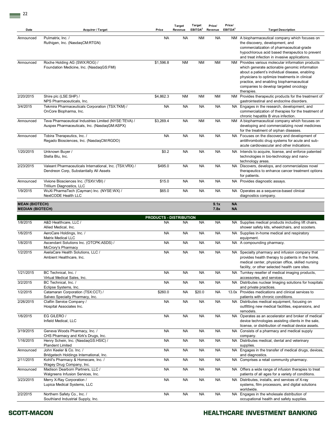| Date                                             | Acquirer / Target                                                                                    | Price                          | <b>Target</b><br>Revenue | Target<br>EBITDA <sup>2</sup> | Price/<br>Revenue | Price/<br>EBITDA <sup>2</sup> | <b>Target Description</b>                                                                                                                                                                                                                                                                                  |
|--------------------------------------------------|------------------------------------------------------------------------------------------------------|--------------------------------|--------------------------|-------------------------------|-------------------|-------------------------------|------------------------------------------------------------------------------------------------------------------------------------------------------------------------------------------------------------------------------------------------------------------------------------------------------------|
| Announced                                        | Pulmatrix, Inc. /<br>Ruthigen, Inc. (NasdaqCM:RTGN)                                                  | NA                             | <b>NA</b>                | <b>NM</b>                     | <b>NA</b>         |                               | NM A biopharmaceutical company which focuses on<br>the discovery, development, and<br>commercialization of pharmaceutical-grade<br>hypochlorous acid based therapeutics to prevent<br>and treat infection in invasive applications.                                                                        |
| Announced                                        | Roche Holding AG (SWX:ROG) /<br>Foundation Medicine, Inc. (NasdaqGS:FMI)                             | \$1,596.8                      | <b>NM</b>                | <b>NM</b>                     | ΝM                |                               | NM Provides various molecular information products<br>which generate actionable genomic information<br>about a patient's individual disease, enabling<br>physicians to optimize treatments in clinical<br>practice, and enabling biopharmaceutical<br>companies to develop targeted oncology<br>therapies. |
| 2/20/2015                                        | Shire plc (LSE:SHP) /<br>NPS Pharmaceuticals, Inc.                                                   | \$4,862.3                      | <b>NM</b>                | <b>NM</b>                     | <b>NM</b>         |                               | NM Provides therapeutic products for the treatment of<br>gastrointestinal and endocrine disorders.                                                                                                                                                                                                         |
| 3/4/2015                                         | Tekmira Pharmaceuticals Corporation (TSX:TKM) /<br>OnCore Biopharma, Inc.                            | <b>NA</b>                      | <b>NA</b>                | <b>NA</b>                     | <b>NA</b>         |                               | NA Engages in the research, development, and<br>commercialization of therapies for the treatment of<br>chronic hepatitis B virus infection.                                                                                                                                                                |
| Announced                                        | Teva Pharmaceutical Industries Limited (NYSE:TEVA) /<br>Auspex Pharmaceuticals, Inc. (NasdaqGM:ASPX) | \$3,269.4                      | <b>NA</b>                | <b>NM</b>                     | <b>NA</b>         |                               | NM A biopharmaceutical company which focuses on<br>developing and commercializing novel medicines<br>for the treatment of orphan diseases.                                                                                                                                                                 |
| Announced                                        | Tobira Therapeutics, Inc. /<br>Regado Biosciences, Inc. (NasdaqCM:RGDO)                              | <b>NA</b>                      | <b>NA</b>                | <b>NA</b>                     | <b>NA</b>         |                               | NA Focuses on the discovery and development of<br>antithrombotic drug systems for acute and sub-<br>acute cardiovascular and other indications.                                                                                                                                                            |
| 1/20/2015                                        | Unknown Buyer /<br>Stella Blu, Inc.                                                                  | \$0.2                          | <b>NA</b>                | ΝA                            | <b>NA</b>         |                               | NA Intends to acquire, license, and enforce patented<br>technologies in bio-technology and nano-<br>technology areas.                                                                                                                                                                                      |
| 2/23/2015                                        | Valeant Pharmaceuticals International, Inc. (TSX:VRX) /<br>Dendreon Corp, Substantially All Assets   | \$495.0                        | <b>NA</b>                | NA                            | <b>NA</b>         |                               | NA Discovers, develops, and commercializes novel<br>therapeutics to enhance cancer treatment options<br>for patients.                                                                                                                                                                                      |
| Announced                                        | Vivione Biosciences Inc. (TSXV:VBI) /<br>Trillium Diagnostics, LLC                                   | \$15.0                         | <b>NA</b>                | <b>NA</b>                     | <b>NA</b>         |                               | NA Provides diagnostic assays.                                                                                                                                                                                                                                                                             |
| 1/9/2015                                         | WuXi PharmaTech (Cayman) Inc. (NYSE:WX) /<br>NextCODE Health LLC                                     | \$65.0                         | <b>NA</b>                | ΝA                            | <b>NA</b>         |                               | NA Operates as a sequence-based clinical<br>diagnostics company.                                                                                                                                                                                                                                           |
| <b>MEAN (BIOTECH)</b><br><b>MEDIAN (BIOTECH)</b> |                                                                                                      |                                |                          |                               | 9.1x<br>7.8x      | <b>NA</b><br><b>NA</b>        |                                                                                                                                                                                                                                                                                                            |
|                                                  |                                                                                                      | <b>PRODUCTS - DISTRIBUTION</b> |                          |                               |                   |                               |                                                                                                                                                                                                                                                                                                            |
| 1/8/2015                                         | A&D Healthcare, LLC /<br>Allied Medical, Inc.                                                        | NA                             | <b>NA</b>                | <b>NA</b>                     | <b>NA</b>         |                               | NA Supplies medical products including lift chairs,<br>shower safety kits, wheelchairs, and scooters.                                                                                                                                                                                                      |
| 1/6/2015                                         | AeroCare Holdings, Inc. /<br><b>Matrix Medical LLC</b>                                               | NA                             | <b>NA</b>                | ΝA                            | <b>NA</b>         |                               | NA Supplies in-home medical and respiratory<br>equipment.                                                                                                                                                                                                                                                  |
| 1/8/2015                                         | Ascendant Solutions Inc. (OTCPK:ASDS) /<br>McCrory's Pharmacy                                        | NA                             | <b>NA</b>                | ΝA                            | <b>NA</b>         |                               | NA A compounding pharmacy.                                                                                                                                                                                                                                                                                 |
| 1/2/2015                                         | AxelaCare Health Solutions, LLC /<br>Ambient Healthcare, Inc.                                        | NA                             | <b>NA</b>                | NA                            | <b>NA</b>         |                               | NA Specialty pharmacy and infusion company that<br>provides health therapy to patients in the home,<br>medical center, physician office, skilled nursing<br>facility, or other selected health care sites.                                                                                                 |
| 1/21/2015                                        | BC Technical, Inc. /<br>Virtual Medical Sales, Inc.                                                  | <b>NA</b>                      | <b>NA</b>                | <b>NA</b>                     | <b>NA</b>         |                               | NA Turnkey reseller of medical imaging products,<br>accessories, and services.                                                                                                                                                                                                                             |
| 3/2/2015                                         | BC Technical, Inc. /<br>Eclipse Systems, Inc.                                                        | <b>NA</b>                      | <b>NA</b>                | <b>NA</b>                     | <b>NA</b>         |                               | NA Distributes nuclear Imaging solutions for hospitals<br>and private practices.                                                                                                                                                                                                                           |
| 1/2/2015                                         | Catamaran Corporation (TSX:CCT) /<br>Salveo Specialty Pharmacy, Inc.                                 | \$260.0                        | <b>NA</b>                | \$20.0                        | <b>NA</b>         |                               | 13.0x Provides medications and clinical services to<br>patients with chronic conditions.                                                                                                                                                                                                                   |
| 2/26/2015                                        | Claflin Service Company /<br>Hospital Associates Inc.                                                | <b>NA</b>                      | <b>NA</b>                | <b>NA</b>                     | <b>NA</b>         |                               | NA Distributes medical equipment, focusing on<br>outfitting new medical facilities, expansions, and<br>remodels.                                                                                                                                                                                           |
| 1/6/2015                                         | EG GILERO /<br>Infield Medical, LLC                                                                  | <b>NA</b>                      | <b>NA</b>                | <b>NA</b>                     | <b>NA</b>         |                               | NA Operates as an accelerator and broker of medical<br>device technologies assisting clients in the sale,<br>license, or distribution of medical device assets.                                                                                                                                            |
| 3/19/2015                                        | Geneva Woods Pharmacy, Inc. /<br>CHS Pharmacy and Kirk's Drugs, Inc.                                 | <b>NA</b>                      | <b>NA</b>                | <b>NA</b>                     | <b>NA</b>         |                               | NA Consists of a pharmacy and medical supply<br>company.                                                                                                                                                                                                                                                   |
| 1/16/2015                                        | Henry Schein, Inc. (NasdaqGS:HSIC) /<br><b>Plandent Limited</b>                                      | <b>NA</b>                      | <b>NA</b>                | <b>NA</b>                     | <b>NA</b>         |                               | NA Distributes medical, dental and veterinary<br>supplies.                                                                                                                                                                                                                                                 |
| Announced                                        | John Keeler & Co. Inc. /<br>Bridgetech Holdings International, Inc.                                  | <b>NA</b>                      | <b>NA</b>                | <b>NA</b>                     | <b>NA</b>         |                               | NA Engages in the transfer of medical drugs, devices,<br>and diagnostics.                                                                                                                                                                                                                                  |
| 2/11/2015                                        | Kohll's Pharmacy & Homecare, Inc. /<br>Wagey Drug Company, Inc.                                      | <b>NA</b>                      | <b>NA</b>                | ΝA                            | <b>NA</b>         |                               | NA Comprises a retail community pharmacy.                                                                                                                                                                                                                                                                  |
| Announced                                        | Madison Dearborn Partners, LLC /<br>Walgreens Infusion Services, Inc.                                | NA                             | <b>NA</b>                | <b>NA</b>                     | <b>NA</b>         |                               | NA Offers a wide range of infusion therapies to treat<br>patients of all ages for a variety of conditions.                                                                                                                                                                                                 |
| 3/23/2015                                        | Merry X-Ray Corporation /<br>Lupica Medical Systems, LLC                                             | <b>NA</b>                      | <b>NA</b>                | <b>NA</b>                     | <b>NA</b>         |                               | NA Distributes, installs, and services of X-ray<br>systems, film processors, and digital solutions<br>worldwide.                                                                                                                                                                                           |
| 2/2/2015                                         | Northern Safety Co., Inc. /<br>Southland Industrial Supply, Inc.                                     | <b>NA</b>                      | <b>NA</b>                | <b>NA</b>                     | <b>NA</b>         |                               | NA Engages in the wholesale distribution of<br>occupational health and safety supplies.                                                                                                                                                                                                                    |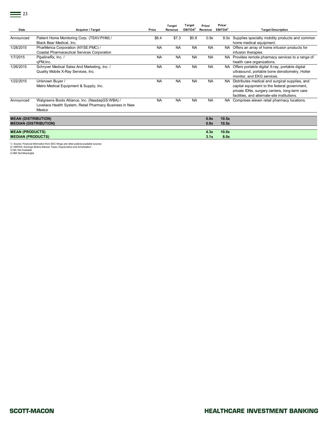| Date                                                       | <b>Acquirer / Target</b>                                                                                             | Price     | Target<br>Revenue | Target<br>EBITDA <sup>2</sup> | Price/<br>Revenue | Price/<br>EBITDA <sup>2</sup> | <b>Target Description</b>                                                                                                                                                                          |
|------------------------------------------------------------|----------------------------------------------------------------------------------------------------------------------|-----------|-------------------|-------------------------------|-------------------|-------------------------------|----------------------------------------------------------------------------------------------------------------------------------------------------------------------------------------------------|
| Announced                                                  | Patient Home Monitoring Corp. (TSXV:PHM) /<br>Black Bear Medical, Inc.                                               | \$6.4     | \$7.3             | \$0.9                         | 0.9x              |                               | 8.0x Supplies specialty mobility products and common<br>home medical equipment.                                                                                                                    |
| 1/28/2015                                                  | PharMerica Corporation (NYSE:PMC) /<br><b>Coastal Pharmaceutical Services Corporation</b>                            | <b>NA</b> | <b>NA</b>         | <b>NA</b>                     | <b>NA</b>         |                               | NA Offers an array of home infusion products for<br>infusion therapies.                                                                                                                            |
| 1/7/2015                                                   | PipelineRx, Inc. /<br>qPM, Inc.                                                                                      | <b>NA</b> | <b>NA</b>         | <b>NA</b>                     | <b>NA</b>         |                               | NA Provides remote pharmacy services to a range of<br>health care organizations.                                                                                                                   |
| 1/26/2015                                                  | Schryver Medical Sales And Marketing, Inc. /<br>Quality Mobile X-Ray Services, Inc.                                  | <b>NA</b> | <b>NA</b>         | <b>NA</b>                     | <b>NA</b>         |                               | NA Offers portable digital X-ray, portable digital<br>ultrasound, portable bone densitometry, Holter<br>monitor, and EKG services.                                                                 |
| 1/22/2015                                                  | Unknown Buyer /<br>Metro Medical Equipment & Supply, Inc.                                                            | <b>NA</b> | <b>NA</b>         | <b>NA</b>                     | <b>NA</b>         |                               | NA Distributes medical and surgical supplies, and<br>capital equipment to the federal government,<br>private IDNs, surgery centers, long-term care<br>facilities, and alternate-site institutions. |
| Announced                                                  | Walgreens Boots Alliance, Inc. (NasdaqGS:WBA) /<br>Lovelace Health System, Retail Pharmacy Business in New<br>Mexico | <b>NA</b> | <b>NA</b>         | <b>NA</b>                     | <b>NA</b>         |                               | NA Comprises eleven retail pharmacy locations.                                                                                                                                                     |
| <b>MEAN (DISTRIBUTION)</b><br><b>MEDIAN (DISTRIBUTION)</b> |                                                                                                                      |           |                   |                               | 0.9x<br>0.9x      | 10.5x<br>10.5x                |                                                                                                                                                                                                    |
| <b>MEAN (PRODUCTS)</b><br><b>MEDIAN (PRODUCTS)</b>         |                                                                                                                      |           |                   |                               | 4.3x<br>3.1x      | 10.0x<br>8.0x                 |                                                                                                                                                                                                    |

1) Source: Financial Information from SEC filings and other publicly-available sources<br>2) EBITDA: Earnings Before Interest, Taxes, Depreciation and Amortization<br>4) NM: Not Available<br>4) NM: Not Meaningful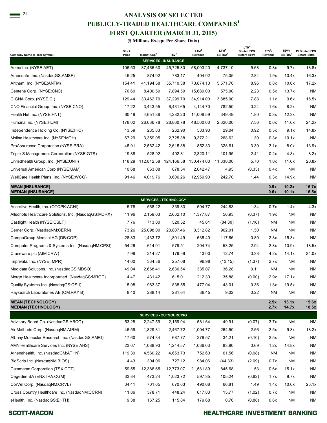## **24 ANALYSIS OF SELECTED PUBLICLY-TRADED HEALTHCARE COMPANIES<sup>1</sup> FIRST QUARTER (MARCH 31, 2015)**

| PUBLICLY-TRADED HEALTHCARE COMPANIES <sup>1</sup>      |              |                                       |                                                 |                  |                     |                                        |              |                     |                     |
|--------------------------------------------------------|--------------|---------------------------------------|-------------------------------------------------|------------------|---------------------|----------------------------------------|--------------|---------------------|---------------------|
|                                                        |              | <b>FIRST QUARTER (MARCH 31, 2015)</b> |                                                 |                  |                     |                                        |              |                     |                     |
|                                                        |              | (\$ Millions Except Per Share Data)   |                                                 |                  |                     |                                        |              |                     |                     |
|                                                        | <b>Stock</b> |                                       |                                                 | LTM <sup>4</sup> | LTM <sup>4</sup>    | LTM <sup>4</sup><br><b>Diluted EPS</b> | $TEV^3/$     | TEV <sup>3</sup> /  | P/ Diluted EPS      |
| <b>Company Name (Ticker Symbol)</b>                    | Price        | Market Cap <sup>2</sup>               | TEV <sup>3</sup><br><b>SERVICES - INSURANCE</b> | Revenue          | EBITDA <sup>5</sup> | <b>Before Extra</b>                    | Revenue      | EBITDA <sup>5</sup> | <b>Before Extra</b> |
| Aetna Inc. (NYSE:AET)                                  | 106.53       | 37,466.60                             | 45,725.30                                       | 58,003.20        | 4,737.10            | 5.68                                   | 0.8x         | 9.7x                | 18.8x               |
| Amerisafe, Inc. (NasdagGS:AMSF)                        | 46.25        | 874.02                                | 783.17                                          | 404.02           | 75.05               | 2.84                                   | 1.9x         | 10.4x               | 16.3x               |
| Anthem, Inc. (NYSE:ANTM)                               | 154.41       | 41,194.58                             | 55,710.38                                       | 73,874.10        | 5.571.70            | 8.96                                   | 0.8x         | 10.0x               | 17.2x               |
| Centene Corp. (NYSE:CNC)                               | 70.69        | 8,400.59                              | 7,894.59                                        | 15,689.00        | 575.00              | 2.23                                   | 0.5x         | 13.7x               | NM                  |
| CIGNA Corp. (NYSE:CI)                                  | 129.44       | 33,462.70                             | 37,299.70                                       | 34,914.00        | 3,885.00            | 7.83                                   | 1.1x         | 9.6x                | 16.5x               |
| CNO Financial Group, Inc. (NYSE:CNO)                   | 17.22        | 3,443.55                              | 6,431.65                                        | 4,144.70         | 782.50              | 0.24                                   | 1.6x         | 8.2x                | ΝM                  |
| Health Net Inc. (NYSE:HNT)                             | 60.49        | 4,651.86                              | 4,282.23                                        | 14,008.59        | 349.49              | 1.80                                   | 0.3x         | 12.3x               | ΝM                  |
| Humana Inc. (NYSE:HUM)                                 | 178.02       | 26,636.78                             | 28,860.78                                       | 48,500.00        | 2,620.00            | 7.36                                   | 0.6x         | 11.0x               | 24.2x               |
| Independence Holding Co. (NYSE:IHC)                    | 13.59        | 235.83                                | 262.90                                          | 533.93           | 29.04               | 0.92                                   | 0.5x         | 9.1x                | 14.8x               |
| Molina Healthcare Inc. (NYSE:MOH)                      | 67.29        | 3,359.05                              | 2,725.38                                        | 9,372.21         | 268.62              | 1.30                                   | 0.3x         | 10.1x               | <b>NM</b>           |
| ProAssurance Corporation (NYSE:PRA)                    | 45.91        | 2,562.42                              | 2,615.38                                        | 852.33           | 328.61              | 3.30                                   | 3.1x         | 8.0x                | 13.9x               |
| Triple-S Management Corporation (NYSE:GTS)             | 19.88        | 528.92                                | 492.81                                          | 2,320.11         | 101.95              | 2.41                                   | 0.2x         | 4.8x                | 8.2x                |
| Unitedhealth Group, Inc. (NYSE:UNH)                    | 118.29       | 112,812.58                            | 124,166.58                                      | 130,474.00       | 11,330.00           | 5.70                                   | 1.0x         | 11.0x               | 20.8x               |
| Universal American Corp (NYSE:UAM)                     | 10.68        | 863.08                                | 878.54                                          | 2,042.47         | 4.95                | (0.35)                                 | 0.4x         | <b>NM</b>           | ΝM                  |
| WellCare Health Plans, Inc. (NYSE:WCG)                 | 91.46        | 4,019.76                              | 3,606.26                                        | 12,959.90        | 242.70              | 1.44                                   | 0.3x         | 14.9x               | ΝM                  |
| <b>MEAN (INSURANCE)</b><br><b>MEDIAN (INSURANCE)</b>   |              |                                       |                                                 |                  |                     |                                        | 0.9x<br>0.6x | 10.2x<br>10.1x      | 16.7x<br>16.5x      |
|                                                        |              |                                       | <b>SERVICES - TECHNOLOGY</b>                    |                  |                     |                                        |              |                     |                     |
| Accretive Health, Inc. (OTCPK:ACHI)                    | 5.78         | 568.22                                | 339.33                                          | 504.77           | 244.83              | 1.34                                   | 0.7x         | 1.4x                | 4.3x                |
| Allscripts Healthcare Solutions, Inc. (NasdaqGS:MDRX)  | 11.96        | 2,159.03                              | 2,682.10                                        | 1,377.87         | 56.93               | (0.37)                                 | 1.9x         | <b>NM</b>           | NM                  |
| Castlight Health (NYSE:CSLT)                           | 7.76         | 713.00                                | 520.52                                          | 45.61            | (84.80)             | (1.16)                                 | NM           | <b>NM</b>           | ΝM                  |
| Cerner Corp. (NasdaqNM:CERN)                           | 73.26        | 25,098.00                             | 23,807.46                                       | 3,312.82         | 962.01              | 1.50                                   | <b>NM</b>    | <b>NM</b>           | ΝM                  |
| CompuGroup Medical AG (DB:COP)                         | 28.83        | 1,433.72                              | 1,801.49                                        | 635.40           | 117.66              | 0.80                                   | 2.8x         | 15.3x               | ΝM                  |
| Computer Programs & Systems Inc. (NasdaqNM:CPSI)       | 54.26        | 614.01                                | 579.51                                          | 204.74           | 53.25               | 2.94                                   | 2.8x         | 10.9x               | 18.5x               |
| Craneware plc (AIM:CRW)                                | 7.99         | 214.27                                | 179.59                                          | 43.00            | 12.74               | 0.33                                   | 4.2x         | 14.1x               | 24.0x               |
| Imprivata, Inc. (NYSE:IMPR)                            | 14.00        | 334.36                                | 257.08                                          | 96.98            | (13.15)             | (1.37)                                 | 2.7x         | <b>NM</b>           | <b>NM</b>           |
| Medidata Solutions, Inc. (NasdagGS:MDSO)               | 49.04        | 2,668.41                              | 2,636.54                                        | 335.07           | 36.28               | 0.11                                   | <b>NM</b>    | <b>NM</b>           | ΝM                  |
| Merge Healthcare Incorporated. (NasdaqGS:MRGE)         | 4.47         | 431.42                                | 615.01                                          | 212.30           | 35.88               | (0.00)                                 | 2.9x         | 17.1x               | ΝM                  |
| Quality Systems Inc. (NasdaqGS:QSII)                   | 15.98        | 963.37                                | 838.55                                          | 477.04           | 43.01               | 0.36                                   | 1.8x         | 19.5x               | ΝM                  |
| Raysearch Laboratories AB (OM:RAY B)                   | 8.40         | 288.14                                | 281.64                                          | 36.45            | 9.02                | 0.22                                   | ΝM           | <b>NM</b>           | ΝM                  |
| <b>MEAN (TECHNOLOGY)</b><br><b>MEDIAN (TECHNOLOGY)</b> |              |                                       |                                                 |                  |                     |                                        | 2.5x<br>2.7x | 13.1x<br>14.7x      | 15.6x<br>18.5x      |
|                                                        |              |                                       | <b>SERVICES - OUTSOURCING</b>                   |                  |                     |                                        |              |                     |                     |
| Advisory Board Co. (NasdaqGS:ABCO)                     | 53.28        | 2,247.59                              | 2,159.94                                        | 581.64           | 49.91               | (0.07)                                 | 3.7x         | <b>NM</b>           | NM                  |
| Air Methods Corp. (NasdaqNM:AIRM)                      | 46.59        | 1,829.31                              | 2,467.72                                        | 1,004.77         | 264.50              | 2.56                                   | 2.5x         | 9.3x                | 18.2x               |
| Albany Molecular Research Inc. (NasdaqGS:AMRI)         | 17.60        | 574.34                                | 687.77                                          | 276.57           | 34.21               | (0.10)                                 | 2.5x         | <b>NM</b>           | <b>NM</b>           |
| AMN Healthcare Services Inc. (NYSE:AHS)                | 23.07        | 1,088.93                              | 1,244.57                                        | 1,036.03         | 83.90               | 0.69                                   | 1.2x         | 14.8x               | ΝM                  |
| Athenahealth, Inc. (NasdaqGM:ATHN)                     | 119.39       | 4,560.22                              | 4,653.73                                        | 752.60           | 61.56               | (0.08)                                 | <b>NM</b>    | <b>NM</b>           | ΝM                  |
| BioScrip Inc. (NasdaqNM:BIOS)                          | 4.43         | 304.06                                | 727.12                                          | 984.06           | (44.33)             | (2.09)                                 | 0.7x         | <b>NM</b>           | ΝM                  |
| Catamaran Corporation (TSX:CCT)                        | 59.55        | 12,386.65                             | 12,773.07                                       | 21,581.89        | 845.68              | 1.53                                   | 0.6x         | 15.1x               | ΝM                  |
| Cegedim SA (ENXTPA:CGM)                                | 33.84        | 473.24                                | 1,023.72                                        | 597.35           | 105.24              | (0.82)                                 | 1.7x         | 9.7x                | ΝM                  |
| CorVel Corp. (NasdaqNM:CRVL)                           | 34.41        | 701.65                                | 670.63                                          | 490.68           | 66.81               | 1.49                                   | 1.4x         | 10.0x               | 23.1x               |
| Cross Country Healthcare Inc. (NasdaqNM:CCRN)          | 11.86        | 378.71                                | 448.24                                          | 617.83           | 15.77               | (1.02)                                 | 0.7x         | <b>NM</b>           | <b>NM</b>           |
| eHealth, Inc. (NasdaqGS:EHTH)                          | 9.38         | 167.25                                | 115.84                                          | 179.68           | 0.76                | (0.88)                                 | 0.6x         | <b>NM</b>           | NM                  |

**SCOTT-MACON**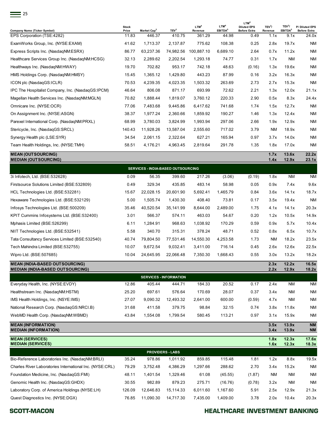| -25                                                       | <b>Stock</b> |                                    |                               | LTM <sup>4</sup> | LTM <sup>4</sup>    | LTM <sup>4</sup><br><b>Diluted EPS</b> | TEV <sup>3</sup> / | TEV <sup>3</sup> /  | P/ Diluted EPS      |
|-----------------------------------------------------------|--------------|------------------------------------|-------------------------------|------------------|---------------------|----------------------------------------|--------------------|---------------------|---------------------|
| <b>Company Name (Ticker Symbol)</b>                       | Price        | Market Cap <sup>2</sup>            | TEV <sup>3</sup>              | Revenue          | EBITDA <sup>5</sup> | <b>Before Extra</b>                    | Revenue            | EBITDA <sup>5</sup> | <b>Before Extra</b> |
| EPS Corporation (TSE:4282)                                | 11.83        | 446.37                             | 410.75                        | 361.29           | 44.98               | 0.49                                   | 1.1x               | 9.1x                | 24.0x               |
| ExamWorks Group, Inc. (NYSE:EXAM)                         | 41.62        | 1,713.37                           | 2,137.87                      | 775.62           | 108.38              | 0.25                                   | 2.8x               | 19.7x               | ΝM                  |
| Express Scripts Inc. (NasdaqNM:ESRX)                      | 86.77        | 63,237.36                          | 74,982.56                     | 100,887.10       | 6,689.10            | 2.64                                   | 0.7x               | 11.2x               | ΝM                  |
| Healthcare Services Group Inc. (NasdaqNM:HCSG)            | 32.13        | 2,289.62                           | 2,202.54                      | 1,293.18         | 74.77               | 0.31                                   | 1.7x               | <b>NM</b>           | NM                  |
| Healthways Inc. (NasdagNM:HWAY)                           | 19.70        | 702.82                             | 953.17                        | 742.18           | 48.63               | (0.16)                                 | 1.3x               | 19.6x               | NM                  |
| HMS Holdings Corp. (NasdaqNM:HMSY)                        | 15.45        | 1,365.12                           | 1,429.80                      | 443.23           | 87.99               | 0.16                                   | 3.2x               | 16.3x               | NM                  |
| ICON plc (NasdaqGS:ICLR)                                  | 70.53        | 4,239.35                           | 4,023.35                      | 1,503.32         | 263.69              | 2.73                                   | 2.7x               | 15.3x               | ΝM                  |
| IPC The Hospitalist Company, Inc. (NasdaqGS:IPCM)         | 46.64        | 806.08                             | 871.17                        | 693.99           | 72.62               | 2.21                                   | 1.3x               | 12.0x               | 21.1x               |
| Magellan Health Services Inc. (NasdaqNM:MGLN)             | 70.82        | 1,888.44                           | 1,819.07                      | 3,760.12         | 220.33              | 2.90                                   | 0.5x               | 8.3x                | 24.4x               |
| Omnicare Inc. (NYSE:OCR)                                  | 77.06        | 7,483.68                           | 9,445.86                      | 6,417.62         | 741.68              | 1.74                                   | 1.5x               | 12.7x               | ΝM                  |
| On Assignment Inc. (NYSE:ASGN)                            | 38.37        | 1,977.24                           | 2,360.66                      | 1,859.92         | 190.27              | 1.46                                   | 1.3x               | 12.4x               | NM                  |
| Parexel International Corp. (NasdaqNM:PRXL)               | 68.99        | 3,780.03                           | 3,824.99                      | 1,993.94         | 297.06              | 2.66                                   | 1.9x               | 12.9x               | NM                  |
| Stericycle, Inc. (NasdaqGS:SRCL)                          | 140.43       | 11,928.26                          | 13,587.04                     | 2,555.60         | 717.02              | 3.79                                   | <b>NM</b>          | 18.9x               | NM                  |
| Synergy Health plc (LSE:SYR)                              | 34.54        | 2,061.15                           | 2,322.64                      | 627.21           | 165.94              | 0.97                                   | 3.7x               | 14.0x               | NM                  |
| Team Health Holdings, Inc. (NYSE:TMH)                     | 58.51        | 4,176.21                           | 4,963.45                      | 2,819.64         | 291.78              | 1.35                                   | 1.8x               | 17.0x               | ΝM                  |
| <b>MEAN (OUT SOURCING)</b><br><b>MEDIAN (OUTSOURCING)</b> |              |                                    |                               |                  |                     |                                        | 1.7x<br>1.4x       | 13.6x<br>12.9x      | 22.2x<br>23.1x      |
|                                                           |              | SERVICES - INDIA-BASED OUTSOURCING |                               |                  |                     |                                        |                    |                     |                     |
| 3i Infotech, Ltd. (BSE:532628)                            | 0.09         | 56.35                              | 399.60                        | 217.26           | (3.06)              | (0.19)                                 | 1.8x               | <b>NM</b>           | <b>NM</b>           |
| Firstsource Solutions Limited (BSE:532809)                | 0.49         | 329.34                             | 435.85                        | 483.14           | 58.98               | 0.05                                   | 0.9x               | 7.4x                | 9.6x                |
| HCL Technologies Ltd. (BSE:532281)                        | 15.67        | 22,028.15                          | 20,601.90                     | 5,692.41         | 1,465.79            | 0.84                                   | 3.6x               | 14.1x               | 18.7x               |
| Hexaware Technologies Ltd. (BSE:532129)                   | 5.00         | 1,505.74                           | 1,430.30                      | 408.40           | 73.81               | 0.17                                   | 3.5x               | 19.4x               | ΝM                  |
| Infosys Technologies Ltd. (BSE:500209)                    | 35.46        | 40,520.54                          | 35,141.99                     | 8,644.00         | 2,489.00            | 1.75                                   | 4.1x               | 14.1x               | 20.3x               |
| KPIT Cummins Infosystems Ltd. (BSE:532400)                | 3.01         | 566.37                             | 574.11                        | 463.03           | 54.67               | 0.20                                   | 1.2x               | 10.5x               | 14.9x               |
| Mphasis Limited (BSE:526299)                              | 6.11         | 1,284.91                           | 968.63                        | 1,038.92         | 170.29              | 0.59                                   | 0.9x               | 5.7x                | 10.4x               |
| NIIT Technologies Ltd. (BSE:532541)                       | 5.58         | 340.70                             | 315.31                        | 378.24           | 48.71               | 0.52                                   | 0.8x               | 6.5x                | 10.7x               |
| Tata Consultancy Services Limited (BSE:532540)            | 40.74        | 79,804.50                          | 77,531.46                     | 14,550.30        | 4,253.58            | 1.73                                   | <b>NM</b>          | 18.2x               | 23.5x               |
| Tech Mahindra Limited (BSE:532755)                        | 10.07        | 9,672.54                           | 9,032.41                      | 3,411.00         | 716.14              | 0.45                                   | 2.6x               | 12.6x               | 22.5x               |
| Wipro Ltd. (BSE:507685)                                   | 10.04        | 24,645.95                          | 22,066.48                     | 7,350.30         | 1,668.43            | 0.55                                   | 3.0x               | 13.2x               | 18.2x               |
| <b>MEAN (INDIA-BASED OUTSOURCING)</b>                     |              |                                    |                               |                  |                     |                                        | 2.3x               | 12.2x               | 16.5x               |
| <b>MEDIAN (INDIA-BASED OUTSOURCING)</b>                   |              |                                    | <b>SERVICES - INFORMATION</b> |                  |                     |                                        | 2.2x               | 12.9x               | <u>18.2x</u>        |
| Everyday Health, Inc. (NYSE:EVDY)                         | 12.86        | 405.44                             | 444.71                        | 184.33           | 20.52               | 0.17                                   | 2.4x               | <b>NM</b>           | NM                  |
| Healthstream Inc. (NasdaqNM:HSTM)                         | 25.20        | 697.61                             | 576.64                        | 170.69           | 28.07               | 0.37                                   | 3.4x               | <b>NM</b>           | NM                  |
| IMS Health Holdings, Inc. (NSYE:IMS)                      | 27.07        | 9,090.32                           | 12,493.32                     | 2,641.00         | 600.00              | (0.59)                                 | 4.7x               | <b>NM</b>           | <b>NM</b>           |
| National Research Corp. (NasdaqGS:NRCI.B)                 | 31.68        | 411.58                             | 379.75                        | 98.84            | 32.15               | 0.74                                   | 3.8x               | 11.8x               | NM                  |
| WebMD Health Corp. (NasdaqNM:WBMD)                        | 43.84        | 1,554.08                           | 1,799.54                      | 580.45           | 113.21              | 0.97                                   | 3.1x               | 15.9x               | ΝM                  |
| <b>MEAN (INFORMATION)</b>                                 |              |                                    |                               |                  |                     |                                        | 3.5x               | 13.9x               | <b>NM</b>           |
| <b>MEDIAN (INFORMATION)</b><br><b>MEAN (SERVICES)</b>     |              |                                    |                               |                  |                     |                                        | 3.4x<br>1.8x       | 13.9x<br>12.3x      | <b>NM</b><br>17.6x  |
| <b>MEDIAN (SERVICES)</b>                                  |              |                                    |                               |                  |                     |                                        | 1.6x               | 12.3x               | 18.3x               |
|                                                           |              |                                    | <b>PROVIDERS - LABS</b>       |                  |                     |                                        |                    |                     |                     |
| Bio-Reference Laboratories Inc. (NasdaqNM:BRLI)           | 35.24        | 978.86                             | 1,011.92                      | 859.85           | 115.48              | 1.81                                   | 1.2x               | 8.8x                | 19.5x               |
| Charles River Laboratories International Inc. (NYSE:CRL)  | 79.29        | 3,752.48                           | 4,386.29                      | 1,297.66         | 288.62              | 2.70                                   | 3.4x               | 15.2x               | ΝM                  |
| Foundation Medicine, Inc. (NasdaqGS:FMI)                  | 48.11        | 1,401.54                           | 1,329.46                      | 61.08            | (45.55)             | (1.87)                                 | <b>NM</b>          | <b>NM</b>           | ΝM                  |
| Genomic Health Inc. (NasdaqGS:GHDX)                       | 30.55        | 982.89                             | 879.23                        | 275.71           | (16.76)             | (0.78)                                 | 3.2x               | <b>NM</b>           | ΝM                  |
| Laboratory Corp. of America Holdings (NYSE:LH)            | 126.09       | 12,646.83                          | 15,114.33                     | 6,011.60         | 1,167.60            | 5.91                                   | 2.5x               | 12.9x               | 21.3x               |
| Quest Diagnostics Inc. (NYSE:DGX)                         | 76.85        | 11,090.30                          | 14,717.30                     | 7,435.00         | 1,409.00            | 3.78                                   | 2.0x               | 10.4x               | 20.3x               |

**SCOTT-MACON**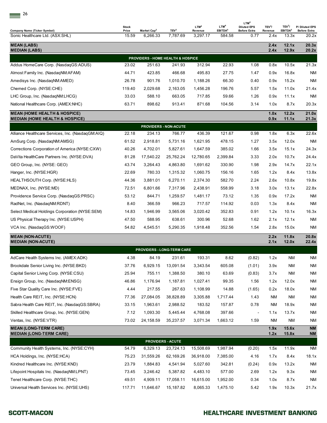| Company Name (Ticker Symbol)                                                         | <b>Stock</b><br>Price | Market Cap <sup>2</sup>           | TEV <sup>3</sup>             | LTM <sup>4</sup><br>Revenue | LTM <sup>4</sup><br>EBITDA <sup>5</sup> | LTM <sup>4</sup><br><b>Diluted EPS</b><br><b>Before Extra</b> | TEV <sup>3</sup> /<br>Revenue | TEV <sup>3</sup> /<br>EBITDA <sup>5</sup> | P/ Diluted EPS<br><b>Before Extra</b> |
|--------------------------------------------------------------------------------------|-----------------------|-----------------------------------|------------------------------|-----------------------------|-----------------------------------------|---------------------------------------------------------------|-------------------------------|-------------------------------------------|---------------------------------------|
| Sonic Healthcare Ltd. (ASX:SHL)                                                      | 15.59                 | 6,266.33                          | 7,787.69                     | 3,297.17                    | 584.58                                  | 0.77                                                          | 2.4x                          | 13.3x                                     | 20.2x                                 |
| <b>MEAN (LABS)</b><br><b>MEDIAN (LABS)</b>                                           |                       |                                   |                              |                             |                                         |                                                               | 2.4x<br>2.4x                  | 12.1x<br>12.9x                            | 20.3x<br>20.2x                        |
|                                                                                      |                       | PROVIDERS - HOME HEALTH & HOSPICE |                              |                             |                                         |                                                               |                               |                                           |                                       |
| Addus HomeCare Corp. (NasdaqGS:ADUS)                                                 | 23.02                 | 251.63                            | 241.93                       | 312.94                      | 22.93                                   | 1.08                                                          | 0.8x                          | 10.5x                                     | 21.3x                                 |
| Almost Family Inc. (NasdaqNM:AFAM)                                                   | 44.71                 | 423.85                            | 466.68                       | 495.83                      | 27.75                                   | 1.47                                                          | 0.9x                          | 16.8x                                     | <b>NM</b>                             |
| Amedisys Inc. (NasdagNM:AMED)                                                        | 26.78                 | 901.76                            | 1,010.70                     | 1,188.26                    | 66.30                                   | 0.40                                                          | 0.9x                          | 15.2x                                     | <b>NM</b>                             |
| Chemed Corp. (NYSE:CHE)                                                              | 119.40                | 2,029.68                          | 2,163.05                     | 1,456.28                    | 196.76                                  | 5.57                                                          | 1.5x                          | 11.0x                                     | 21.4x                                 |
| LHC Group, Inc. (NasdagNM:LHCG)                                                      | 33.03                 | 588.10                            | 663.05                       | 717.85                      | 59.66                                   | 1.26                                                          | 0.9x                          | 11.1x                                     | <b>NM</b>                             |
| National Healthcare Corp. (AMEX:NHC)                                                 | 63.71                 | 898.62                            | 913.41                       | 871.68                      | 104.56                                  | 3.14                                                          | 1.0x                          | 8.7x                                      | 20.3x                                 |
| <b>MEAN (HOME HEALTH &amp; HOSPICE)</b><br><b>MEDIAN (HOME HEALTH &amp; HOSPICE)</b> |                       |                                   |                              |                             |                                         |                                                               | 1.0x<br>0.9x                  | 12.2x<br>11.1x                            | 21.0x<br>21.3x                        |
|                                                                                      |                       |                                   | <b>PROVIDERS - NON-ACUTE</b> |                             |                                         |                                                               |                               |                                           |                                       |
| Alliance Healthcare Services, Inc. (NasdagGM:AIQ)                                    | 22.18                 | 234.13                            | 766.77                       | 436.39                      | 121.67                                  | 0.98                                                          | 1.8x                          | 6.3x                                      | 22.6x                                 |
| AmSurg Corp. (NasdagNM:AMSG)                                                         | 61.52                 | 2,918.81                          | 5,731.16                     | 1,621.95                    | 478.15                                  | 1.27                                                          | 3.5x                          | 12.0x                                     | <b>NM</b>                             |
| Corrections Corporation of America (NYSE:CXW)                                        | 40.26                 | 4,702.01                          | 5,827.61                     | 1,647.59                    | 385.02                                  | 1.66                                                          | 3.5x                          | 15.1x                                     | 24.3x                                 |
| DaVita HealthCare Partners Inc. (NYSE:DVA)                                           | 81.28                 | 17,540.22                         | 25,762.24                    | 12,780.65                   | 2,399.84                                | 3.33                                                          | 2.0x                          | 10.7x                                     | 24.4x                                 |
| GEO Group, Inc. (NYSE: GEO)                                                          | 43.74                 | 3,264.43                          | 4,863.80                     | 1,691.62                    | 330.90                                  | 1.98                                                          | 2.9x                          | 14.7x                                     | 22.1x                                 |
| Hanger, Inc. (NYSE:HGR)                                                              | 22.69                 | 780.33                            | 1,315.32                     | 1,060.75                    | 156.16                                  | 1.65                                                          | 1.2x                          | 8.4x                                      | 13.8x                                 |
| HEALTHSOUTH Corp. (NYSE:HLS)                                                         | 44.36                 | 3,881.01                          | 6,270.11                     | 2,374.30                    | 582.70                                  | 2.24                                                          | 2.6x                          | 10.8x                                     | 19.8x                                 |
| MEDNAX, Inc. (NYSE:MD)                                                               | 72.51                 | 6,801.66                          | 7,317.96                     | 2,438.91                    | 558.99                                  | 3.18                                                          | 3.0x                          | 13.1x                                     | 22.8x                                 |
| Providence Service Corp. (NasdaqGS:PRSC)                                             | 53.12                 | 844.71                            | 1,259.57                     | 1,481.17                    | 73.12                                   | 1.35                                                          | 0.9x                          | 17.2x                                     | <b>NM</b>                             |
| RadNet, Inc. (NasdaqNM:RDNT)                                                         | 8.40                  | 366.59                            | 966.23                       | 717.57                      | 114.92                                  | 0.03                                                          | 1.3x                          | 8.4x                                      | <b>NM</b>                             |
| Select Medical Holdings Corporation (NYSE:SEM)                                       | 14.83                 | 1,946.99                          | 3,565.06                     | 3,020.42                    | 352.83                                  | 0.91                                                          | 1.2x                          | 10.1x                                     | 16.3x                                 |
| US Physical Therapy Inc. (NYSE:USPH)                                                 | 47.50                 | 588.95                            | 638.61                       | 300.96                      | 52.68                                   | 1.62                                                          | 2.1x                          | 12.1x                                     | <b>NM</b>                             |
| VCA Inc. (NasdaqGS:WOOF)                                                             | 54.82                 | 4,545.51                          | 5,290.35                     | 1,918.48                    | 352.56                                  | 1.54                                                          | 2.8x                          | 15.0x                                     | <b>NM</b>                             |
| <b>MEAN (NON-ACUTE)</b><br><b>MEDIAN (NON-ACUTE)</b>                                 |                       |                                   |                              |                             |                                         |                                                               | 2.2x<br>2.1x                  | 11.8x<br>12.0x                            | 20.8x<br>22.4x                        |
|                                                                                      |                       | <b>PROVIDERS - LONG-TERM CARE</b> |                              |                             |                                         |                                                               |                               |                                           |                                       |
| AdCare Health Systems Inc. (AMEX:ADK)                                                | 4.38                  | 84.19                             | 231.61                       | 193.31                      | 8.62                                    | (0.82)                                                        | 1.2x                          | <b>NM</b>                                 | <b>NM</b>                             |
| Brookdale Senior Living Inc. (NYSE:BKD)                                              | 37.76                 | 6,929.15                          | 13,091.54                    | 3,343.54                    | 605.08                                  | (1.01)                                                        | 3.9x                          | ΝM                                        | <b>NM</b>                             |
| Capital Senior Living Corp. (NYSE:CSU)                                               | 25.94                 | 755.11                            | 1,388.50                     | 380.10                      | 63.69                                   | (0.83)                                                        | 3.7x                          | ΝM                                        | <b>NM</b>                             |
| Ensign Group, Inc. (NasdaqNM:ENSG)                                                   | 46.86                 | 1,176.94                          | 1,187.81                     | 1,027.41                    | 99.35                                   | 1.56                                                          | 1.2x                          | 12.0x                                     | <b>NM</b>                             |
| Five Star Quality Care Inc. (NYSE:FVE)                                               | 4.44                  | 217.55                            | 267.63                       | 1,108.99                    | 14.88                                   | (1.65)                                                        | 0.2x                          | 18.0x                                     | <b>NM</b>                             |
| Health Care REIT, Inc. (NYSE:HCN)                                                    | 77.36                 | 27,084.05                         | 38,828.89                    | 3,305.88                    | 1,717.44                                | 1.43                                                          | <b>NM</b>                     | ΝM                                        | <b>NM</b>                             |
| Sabra Health Care REIT, Inc. (NasdaqGS:SBRA)                                         | 33.15                 | 1,963.61                          | 2,988.52                     | 183.52                      | 157.87                                  | 0.78                                                          | <b>NM</b>                     | 18.9x                                     | <b>NM</b>                             |
| Skilled Healthcare Group, Inc. (NYSE:GEN)                                            | 7.12                  | 1,093.30                          | 5,445.44                     | 4,768.08                    | 397.66                                  |                                                               | 1.1x                          | 13.7x                                     | <b>NM</b>                             |
| Ventas, Inc. (NYSE:VTR)                                                              | 73.02                 | 24,158.59                         | 35,237.57                    | 3,071.34                    | 1,663.12                                | 1.59                                                          | <b>NM</b>                     | <b>NM</b>                                 | <b>NM</b>                             |
| <b>MEAN (LONG-TERM CARE)</b>                                                         |                       |                                   |                              |                             |                                         |                                                               | 1.9x                          | 15.6x                                     | <b>NM</b>                             |
| <b>MEDIAN (LONG-TERM CARE)</b>                                                       |                       |                                   |                              |                             |                                         |                                                               | 1.2x                          | 15.8x                                     | <b>NM</b>                             |
|                                                                                      |                       |                                   | <b>PROVIDERS - ACUTE</b>     |                             |                                         |                                                               |                               |                                           |                                       |
| Community Health Systems, Inc. (NYSE:CYH)                                            | 54.79                 | 6,329.13                          | 23,724.13                    | 15,508.69                   | 1,987.94                                | (0.20)                                                        | 1.5x                          | 11.9x                                     | <b>NM</b>                             |
| HCA Holdings, Inc. (NYSE:HCA)                                                        | 75.23                 | 31,559.26                         | 62,169.26                    | 36,918.00                   | 7,385.00                                | 4.16                                                          | 1.7x                          | 8.4x                                      | 18.1x                                 |
| Kindred Healthcare Inc. (NYSE:KND)<br>Lifepoint Hospitals Inc. (NasdaqNM:LPNT)       | 23.79                 | 1,884.83                          | 4,541.94                     | 5,027.60                    | 342.81                                  | (0.24)                                                        | 0.9x                          | 13.2x                                     | <b>NM</b><br><b>NM</b>                |
| Tenet Healthcare Corp. (NYSE:THC)                                                    | 73.45<br>49.51        | 3,246.42<br>4,909.11              | 5,387.82<br>17,058.11        | 4,483.10<br>16,615.00       | 577.00<br>1,952.00                      | 2.69<br>0.34                                                  | 1.2x<br>1.0x                  | 9.3x<br>8.7x                              | <b>NM</b>                             |
| Universal Health Services Inc. (NYSE:UHS)                                            | 117.71                | 11,646.67                         |                              | 8,065.33                    | 1,475.10                                | 5.42                                                          | 1.9x                          | 10.3x                                     | 21.7x                                 |
|                                                                                      |                       |                                   | 15,187.82                    |                             |                                         |                                                               |                               |                                           |                                       |

 $\equiv$ <sup>26</sup>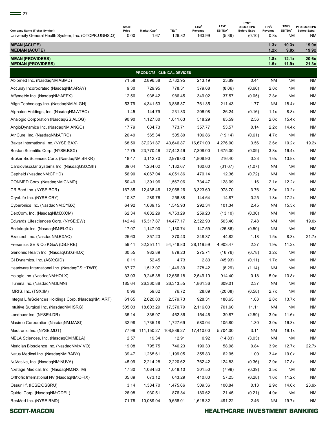| __ |  |
|----|--|
|    |  |

| <b>Company Name (Ticker Symbol)</b>                   | <b>Stock</b><br>Price | Market Cap <sup>2</sup> | TEV <sup>3</sup>            | LTM <sup>4</sup><br>Revenue | LTM <sup>4</sup><br>EBITDA <sup>5</sup> | LTM <sup>4</sup><br><b>Diluted EPS</b><br><b>Before Extra</b> | TEV <sup>3</sup> /<br>Revenue | TEV <sup>3</sup> /<br>EBITDA <sup>5</sup> | P/ Diluted EPS<br><b>Before Extra</b> |
|-------------------------------------------------------|-----------------------|-------------------------|-----------------------------|-----------------------------|-----------------------------------------|---------------------------------------------------------------|-------------------------------|-------------------------------------------|---------------------------------------|
| University General Health System, Inc. (OTCPK:UGHS.Q) | 0.00                  | 1.67                    | 126.82                      | 163.99                      | (5.39)                                  | (0.10)                                                        | 0.8x                          | <b>NM</b>                                 | <b>NM</b>                             |
| <b>MEAN (ACUTE)</b><br><b>MEDIAN (ACUTE)</b>          |                       |                         |                             |                             |                                         |                                                               | 1.3x<br>1.2x                  | 10.3x<br>9.8x                             | 19.9x<br>19.9x                        |
| <b>MEAN (PROVIDERS)</b><br><b>MEDIAN (PROVIDERS)</b>  |                       |                         |                             |                             |                                         |                                                               | 1.8x<br>1.5x                  | 12.1x<br>11.9x                            | 20.6x<br>21.3x                        |
|                                                       |                       |                         | PRODUCTS - CLINICAL DEVICES |                             |                                         |                                                               |                               |                                           |                                       |
| Abiomed Inc. (NasdaqNM:ABMD)                          | 71.58                 | 2,896.38                | 2,782.95                    | 213.19                      | 23.89                                   | 0.44                                                          | ΝM                            | ΝM                                        | <b>NM</b>                             |
| Accuray Incorporated (NasdaqNM:ARAY)                  | 9.30                  | 729.95                  | 778.31                      | 379.68                      | (8.06)                                  | (0.60)                                                        | 2.0x                          | <b>NM</b>                                 | <b>NM</b>                             |
| Affymetrix Inc. (NasdaqNM:AFFX)                       | 12.56                 | 938.42                  | 986.45                      | 349.02                      | 37.57                                   | (0.05)                                                        | 2.8x                          | <b>NM</b>                                 | <b>NM</b>                             |
| Align Technology Inc. (NasdaqNM:ALGN)                 | 53.79                 | 4,341.53                | 3,886.87                    | 761.35                      | 211.43                                  | 1.77                                                          | <b>NM</b>                     | 18.4x                                     | <b>NM</b>                             |
| Alphatec Holdings, Inc. (NasdaqNM:ATEC)               | 1.45                  | 144.79                  | 231.33                      | 206.98                      | 26.24                                   | (0.16)                                                        | 1.1x                          | 8.8x                                      | <b>NM</b>                             |
| Analogic Corporation (NasdaqGS:ALOG)                  | 90.90                 | 1,127.80                | 1,011.63                    | 518.29                      | 65.59                                   | 2.56                                                          | 2.0x                          | 15.4x                                     | <b>NM</b>                             |
| AngioDynamics Inc. (NasdaqNM:ANGO)                    | 17.79                 | 634.73                  | 773.71                      | 357.77                      | 53.57                                   | 0.14                                                          | 2.2x                          | 14.4x                                     | <b>NM</b>                             |
| AtriCure, Inc. (NasdagNM:ATRC)                        | 20.49                 | 565.34                  | 505.80                      | 106.86                      | (19.14)                                 | (0.61)                                                        | 4.7x                          | <b>NM</b>                                 | <b>NM</b>                             |
| Baxter International Inc. (NYSE:BAX)                  | 68.50                 | 37,231.87               | 43,646.87                   | 16,671.00                   | 4,276.00                                | 3.56                                                          | 2.6x                          | 10.2x                                     | 19.2x                                 |
| Boston Scientific Corp. (NYSE:BSX)                    | 17.75                 | 23,770.46               | 27,442.46                   | 7,308.00                    | 1,675.00                                | (0.09)                                                        | 3.8x                          | 16.4x                                     | <b>NM</b>                             |
| Bruker BioSciences Corp. (NasdaqNM:BRKR)              | 18.47                 | 3,112.70                | 2,976.00                    | 1,808.90                    | 216.40                                  | 0.33                                                          | 1.6x                          | 13.8x                                     | <b>NM</b>                             |
| Cardiovascular Systems Inc. (NasdaqGS:CSII)           | 39.04                 | 1,234.02                | 1,132.67                    | 160.60                      | (31.07)                                 | (1.07)                                                        | <b>NM</b>                     | <b>NM</b>                                 | <b>NM</b>                             |
| Cepheid (NasdaqNM:CPHD)                               | 56.90                 | 4,067.04                | 4,051.86                    | 470.14                      | 12.36                                   | (0.72)                                                        | <b>NM</b>                     | ΝM                                        | <b>NM</b>                             |
| CONMED Corp. (NasdaqNM:CNMD)                          | 50.49                 | 1,391.96                | 1,567.06                    | 734.47                      | 128.09                                  | 1.16                                                          | 2.1x                          | 12.2x                                     | <b>NM</b>                             |
| CR Bard Inc. (NYSE:BCR)                               | 167.35                | 12,438.46               | 12,958.26                   | 3,323.60                    | 978.70                                  | 3.76                                                          | 3.9x                          | 13.2x                                     | <b>NM</b>                             |
| CryoLife Inc. (NYSE:CRY)                              | 10.37                 | 289.76                  | 256.38                      | 144.64                      | 14.87                                   | 0.25                                                          | 1.8x                          | 17.2x                                     | <b>NM</b>                             |
| Cyberonics Inc. (NasdagNM:CYBX)                       | 64.92                 | 1,689.15                | 1,545.93                    | 292.34                      | 101.34                                  | 2.45                                                          | <b>NM</b>                     | 15.3x                                     | <b>NM</b>                             |
| DexCom, Inc. (NasdaqNM:DXCM)                          | 62.34                 | 4,832.29                | 4,753.29                    | 259.20                      | (13.10)                                 | (0.30)                                                        | ΝM                            | NM                                        | <b>NM</b>                             |
| Edwards Lifesciences Corp. (NYSE:EW)                  | 142.46                | 15,317.87               | 14,477.17                   | 2,322.90                    | 563.40                                  | 7.48                                                          | ΝM                            | NM                                        | 19.0x                                 |
| Endologix Inc. (NasdagNM:ELGX)                        | 17.07                 | 1,147.00                | 1,130.74                    | 147.59                      | (25.86)                                 | (0.50)                                                        | <b>NM</b>                     | <b>NM</b>                                 | <b>NM</b>                             |
| Exactech Inc. (NasdaqNM:EXAC)                         | 25.63                 | 357.23                  | 370.43                      | 248.37                      | 44.82                                   | 1.18                                                          | 1.5x                          | 8.3x                                      | 21.7x                                 |
| Fresenius SE & Co KGaA (DB:FRE)                       | 59.41                 | 32,251.11               | 54,748.83                   | 28,119.59                   | 4,903.47                                | 2.37                                                          | 1.9x                          | 11.2x                                     | <b>NM</b>                             |
| Genomic Health Inc. (NasdaqGS:GHDX)                   | 30.55                 | 982.89                  | 879.23                      | 275.71                      | (16.76)                                 | (0.78)                                                        | 3.2x                          | <b>NM</b>                                 | <b>NM</b>                             |
| GI Dynamics, Inc. (ASX:GID)                           | 0.11                  | 52.45                   | 4.73                        | 2.83                        | (45.93)                                 | (0.11)                                                        | 1.7x                          | ΝM                                        | <b>NM</b>                             |
| Heartware International Inc. (NasdagGS:HTWR)          | 87.77                 | 1,513.07                | 1,449.39                    | 278.42                      | (8.29)                                  | (1.14)                                                        | <b>NM</b>                     | ΝM                                        | <b>NM</b>                             |
| Hologic Inc. (NasdaqNM:HOLX)                          | 33.03                 | 9,245.38                | 12,656.18                   | 2,549.10                    | 914.40                                  | 0.18                                                          | 5.0x                          | 13.8x                                     | <b>NM</b>                             |
| Illumina Inc. (NasdaqNM:ILMN)                         | 185.64                | 26,360.88               | 26,313.55                   | 1,861.36                    | 609.01                                  | 2.37                                                          | <b>NM</b>                     | ΝM                                        | <b>NM</b>                             |
| IMRIS, Inc. (TSX:IM)                                  | 0.96                  | 59.82                   | 76.72                       | 28.89                       | (20.08)                                 | (0.58)                                                        | 2.7x                          | <b>NM</b>                                 | <b>NM</b>                             |
| Integra LifeSciences Holdings Corp. (NasdaqNM:IART)   | 61.65                 | 2,020.83                | 2,579.73                    | 928.31                      | 188.65                                  | 1.03                                                          | 2.8x                          | 13.7x                                     | <b>NM</b>                             |
| Intuitive Surgical Inc. (NasdagNM:ISRG)               | 505.03                | 18,603.29               | 17,370.79                   | 2,116.00                    | 701.60                                  | 11.11                                                         | <b>NM</b>                     | <b>NM</b>                                 | <b>NM</b>                             |
| Landauer Inc. (NYSE:LDR)                              | 35.14                 | 335.97                  | 462.36                      | 154.46                      | 39.87                                   | (2.59)                                                        | 3.0x                          | 11.6x                                     | <b>NM</b>                             |
| Masimo Corporation (NasdaqNM:MASI)                    | 32.98                 | 1,735.18                | 1,727.69                    | 580.04                      | 105.80                                  | 1.30                                                          | 3.0x                          | 16.3x                                     | <b>NM</b>                             |
| Medtronic Inc. (NYSE:MDT)                             | 77.99                 | 111,150.27              | 108,889.27                  | 17,410.00                   | 5,704.00                                | 3.11                                                          | <b>NM</b>                     | 19.1x                                     | <b>NM</b>                             |
| MELA Sciences, Inc. (NasdaqCM:MELA)                   | 2.57                  | 19.34                   | 12.91                       | 0.92                        | (14.83)                                 | (3.03)                                                        | <b>NM</b>                     | NM                                        | <b>NM</b>                             |
| Meridian Bioscience Inc. (NasdaqNM:VIVO)              | 19.08                 | 795.75                  | 746.23                      | 190.30                      | 58.98                                   | 0.84                                                          | 3.9x                          | 12.7x                                     | 22.7x                                 |
| Natus Medical Inc. (NasdaqNM:BABY)                    | 39.47                 | 1,265.61                | 1,199.05                    | 355.83                      | 62.95                                   | 1.00                                                          | 3.4x                          | 19.0x                                     | <b>NM</b>                             |
| NuVasive, Inc. (NasdaqNM:NUVA)                        | 45.99                 | 2,214.28                | 2,220.62                    | 762.42                      | 124.83                                  | (0.36)                                                        | 2.9x                          | 17.8x                                     | <b>NM</b>                             |
| Nxstage Medical, Inc. (NasdaqNM:NXTM)                 | 17.30                 | 1,084.83                | 1,048.10                    | 301.50                      | (7.99)                                  | (0.39)                                                        | 3.5x                          | <b>NM</b>                                 | <b>NM</b>                             |
| Orthofix International NV (NasdaqNM:OFIX)             | 35.89                 | 673.12                  | 643.29                      | 410.80                      | 57.25                                   | (0.28)                                                        | 1.6x                          | 11.2x                                     | <b>NM</b>                             |
| Ossur Hf. (ICSE:OSSRU)                                | 3.14                  | 1,384.70                | 1,475.66                    | 509.36                      | 100.84                                  | 0.13                                                          | 2.9x                          | 14.6x                                     | 23.9x                                 |
| Quidel Corp. (NasdaqNM:QDEL)                          | 26.98                 | 930.51                  | 876.84                      | 180.62                      | 21.45                                   | (0.21)                                                        | 4.9x                          | <b>NM</b>                                 | <b>NM</b>                             |
| ResMed Inc. (NYSE:RMD)                                | 71.78                 | 10,089.04               | 9,658.01                    | 1,616.32                    | 491.22                                  | 2.46                                                          | <b>NM</b>                     | 19.7x                                     | <b>NM</b>                             |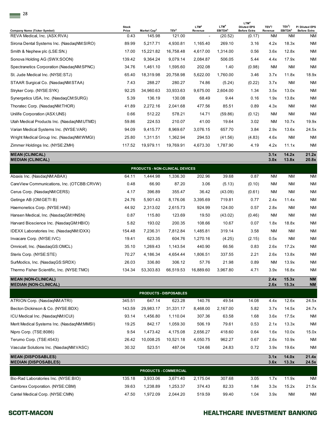|                                                                     | <b>Stock</b><br>Price | Market Cap <sup>2</sup>         | TEV <sup>3</sup> | LTM <sup>4</sup>                    | LTM <sup>4</sup><br>EBITDA <sup>5</sup> | LTM <sup>4</sup><br><b>Diluted EPS</b><br><b>Before Extra</b> | TEV <sup>3</sup> /   | TEV <sup>3</sup> /<br>EBITDA <sup>5</sup> | P/ Diluted EPS<br><b>Before Extra</b> |
|---------------------------------------------------------------------|-----------------------|---------------------------------|------------------|-------------------------------------|-----------------------------------------|---------------------------------------------------------------|----------------------|-------------------------------------------|---------------------------------------|
| <b>Company Name (Ticker Symbol)</b><br>REVA Medical, Inc. (ASX:RVA) | 0.43                  | 145.98                          | 121.00           | Revenue<br>$\overline{\phantom{a}}$ | (20.52)                                 | (0.17)                                                        | Revenue<br><b>NM</b> | <b>NM</b>                                 | <b>NM</b>                             |
| Sirona Dental Systems Inc. (NasdagNM:SIRO)                          | 89.99                 | 5,217.71                        | 4,930.81         | 1,165.40                            | 269.10                                  | 3.16                                                          | 4.2x                 | 18.3x                                     | <b>NM</b>                             |
| Smith & Nephew plc (LSE:SN.)                                        | 17.00                 | 15,221.82                       | 16,758.48        | 4,617.00                            | 1,314.00                                | 0.56                                                          | 3.6x                 | 12.8x                                     | <b>NM</b>                             |
| Sonova Holding AG (SWX:SOON)                                        | 139.42                | 9,364.24                        | 9,079.14         | 2,084.87                            | 506.05                                  | 5.44                                                          | 4.4x                 | 17.9x                                     | <b>NM</b>                             |
| Spectranetics Corporation (NasdagNM:SPNC)                           | 34.76                 | 1,461.10                        | 1,595.60         | 202.08                              | 1.40                                    | (0.98)                                                        | <b>NM</b>            | <b>NM</b>                                 | <b>NM</b>                             |
| St. Jude Medical Inc. (NYSE:STJ)                                    | 65.40                 | 18.319.98                       | 20,758.98        | 5,622.00                            | 1,760.00                                | 3.46                                                          | 3.7x                 | 11.8x                                     | 18.9x                                 |
| STAAR Surgical Co. (NasdaqNM:STAA)                                  | 7.43                  | 288.27                          | 280.27           | 74.86                               | (5.24)                                  | (0.22)                                                        | 3.7x                 | <b>NM</b>                                 | <b>NM</b>                             |
| Stryker Corp. (NYSE:SYK)                                            | 92.25                 | 34,960.63                       | 33,933.63        | 9,675.00                            | 2.604.00                                | 1.34                                                          | 3.5x                 | 13.0x                                     | <b>NM</b>                             |
| Synergetics USA, Inc. (NasdaqCM:SURG)                               | 5.39                  | 136.19                          | 130.08           | 68.49                               | 9.44                                    | 0.16                                                          | 1.9x                 | 13.8x                                     | <b>NM</b>                             |
| Thoratec Corp. (NasdagNM:THOR)                                      | 41.89                 | 2,272.16                        | 2,041.68         | 477.56                              | 85.51                                   | 0.89                                                          | 4.3x                 | <b>NM</b>                                 | <b>NM</b>                             |
| Unilife Corporation (ASX:UNS)                                       | 0.66                  | 512.22                          | 578.21           | 14.71                               | (59.86)                                 | (0.12)                                                        | <b>NM</b>            | <b>NM</b>                                 | <b>NM</b>                             |
| Utah Medical Products Inc. (NasdagNM:UTMD)                          | 59.86                 | 224.53                          | 210.07           | 41.00                               | 19.64                                   | 3.02                                                          | <b>NM</b>            | 10.7x                                     | 19.9x                                 |
| Varian Medical Systems Inc. (NYSE:VAR)                              | 94.09                 | 9,415.77                        | 8,969.67         | 3.076.15                            | 657.70                                  | 3.84                                                          | 2.9x                 | 13.6x                                     | 24.5x                                 |
| Wright Medical Group Inc. (NasdagNM:WMGI)                           | 25.80                 | 1,311.51                        | 1,362.94         | 294.53                              | (41.56)                                 | (4.83)                                                        | 4.6x                 | <b>NM</b>                                 | <b>NM</b>                             |
| Zimmer Holdings Inc. (NYSE:ZMH)                                     | 117.52                | 19,979.11                       | 19,769.91        | 4,673.30                            | 1,787.90                                | 4.19                                                          | 4.2x                 | 11.1x                                     | <b>NM</b>                             |
| <b>MEAN (CLINICAL)</b><br><b>MEDIAN (CLINICAL)</b>                  |                       |                                 |                  |                                     |                                         |                                                               | 3.1x<br>3.0x         | 14.2x<br>13.8x                            | 21.2x<br>20.8x                        |
|                                                                     |                       | PRODUCTS - NON-CLINICAL DEVICES |                  |                                     |                                         |                                                               |                      |                                           |                                       |
| Abaxis Inc. (NasdaqNM:ABAX)                                         | 64.11                 | 1,444.98                        | 1,336.30         | 202.96                              | 39.68                                   | 0.87                                                          | <b>NM</b>            | <b>NM</b>                                 | <b>NM</b>                             |
| CareView Communications, Inc. (OTCBB:CRVW)                          | 0.48                  | 66.90                           | 87.20            | 3.06                                | (5.13)                                  | (0.10)                                                        | <b>NM</b>            | <b>NM</b>                                 | <b>NM</b>                             |
| Cerus Corp. (NasdagNM:CERS)                                         | 4.17                  | 396.89                          | 355.47           | 36.42                               | (43.09)                                 | (0.61)                                                        | <b>NM</b>            | <b>NM</b>                                 | <b>NM</b>                             |
| Getinge AB (OM:GETI B)                                              | 24.76                 | 5,901.43                        | 8,176.06         | 3,395.69                            | 719.81                                  | 0.77                                                          | 2.4x                 | 11.4x                                     | <b>NM</b>                             |
| Haemonetics Corp. (NYSE:HAE)                                        | 44.92                 | 2,313.02                        | 2,615.73         | 924.99                              | 124.00                                  | 0.57                                                          | 2.8x                 | <b>NM</b>                                 | <b>NM</b>                             |
| Hansen Medical, Inc. (NasdaqGM:HNSN)                                | 0.87                  | 115.80                          | 123.69           | 19.50                               | (43.02)                                 | (0.46)                                                        | <b>NM</b>            | <b>NM</b>                                 | <b>NM</b>                             |
| Harvard Bioscience Inc. (NasdagGM:HBIO)                             | 5.82                  | 193.02                          | 200.35           | 108.66                              | 10.67                                   | 0.07                                                          | 1.8x                 | 18.8x                                     | <b>NM</b>                             |
| IDEXX Laboratories Inc. (NasdaqNM:IDXX)                             | 154.48                | 7,236.31                        | 7,812.84         | 1,485.81                            | 319.14                                  | 3.58                                                          | <b>NM</b>            | <b>NM</b>                                 | <b>NM</b>                             |
| Invacare Corp. (NYSE:IVC)                                           | 19.41                 | 623.35                          | 604.76           | 1,270.16                            | (4.25)                                  | (2.15)                                                        | 0.5x                 | <b>NM</b>                                 | <b>NM</b>                             |
| Omnicell, Inc. (NasdaqGS:OMCL)                                      | 35.10                 | 1,269.43                        | 1,143.54         | 440.90                              | 66.56                                   | 0.83                                                          | 2.6x                 | 17.2x                                     | <b>NM</b>                             |
| Steris Corp. (NYSE:STE)                                             | 70.27                 | 4,186.34                        | 4,654.44         | 1,806.51                            | 337.55                                  | 2.21                                                          | 2.6x                 | 13.8x                                     | $\mathsf{N}\mathsf{M}$                |
| SurModics, Inc. (NasdagGS:SRDX)                                     | 26.03                 | 336.80                          | 306.12           | 57.76                               | 21.98                                   | 0.89                                                          | <b>NM</b>            | 13.9x                                     | <b>NM</b>                             |
| Thermo Fisher Scientific, Inc. (NYSE:TMO)                           | 134.34                | 53,303.83                       | 66,519.53        | 16,889.60                           | 3,967.80                                | 4.71                                                          | 3.9x                 | 16.8x                                     | <b>NM</b>                             |
| <b>MEAN (NON-CLINICAL)</b>                                          |                       |                                 |                  |                                     |                                         |                                                               | 2.4x                 | 15.3x                                     | $\mathsf{N}\mathsf{M}$                |

| ATRION Corp. (NasdaqNM:ATRI)                             | 345.51 | 647.14    | 623.28                       | 140.76   | 49.54    | 14.08 | 4.4x         | 12.6x          | 24.5x          |
|----------------------------------------------------------|--------|-----------|------------------------------|----------|----------|-------|--------------|----------------|----------------|
| Becton Dickinson & Co. (NYSE:BDX)                        | 143.59 | 29,983.17 | 31.331.17                    | 8,468.00 | 2,167.00 | 5.82  | 3.7x         | 14.5x          | 24.7x          |
| ICU Medical Inc. (NasdagNM:ICUI)                         | 93.14  | 1,456.80  | 1,110.04                     | 307.36   | 63.58    | 1.68  | 3.6x         | 17.5x          | <b>NM</b>      |
| Merit Medical Systems Inc. (NasdagNM:MMSI)               | 19.25  | 842.17    | 1,059.30                     | 506.19   | 79.61    | 0.53  | 2.1x         | 13.3x          | <b>NM</b>      |
| Nipro Corp. (TSE:8086)                                   | 9.54   | 1,473.42  | 4,175.08                     | 2,656.27 | 418.60   | 0.64  | 1.6x         | 10.0x          | 15.0x          |
| Terumo Corp. (TSE:4543)                                  | 26.42  | 10,008.25 | 10,521.18                    | 4,050.75 | 962.27   | 0.67  | 2.6x         | 10.9x          | <b>NM</b>      |
| Vascular Solutions Inc. (NasdagNM:VASC)                  | 30.32  | 523.51    | 487.04                       | 124.66   | 24.83    | 0.72  | 3.9x         | 19.6x          | <b>NM</b>      |
| <b>MEAN (DISPOSABLES)</b><br><b>MEDIAN (DISPOSABLES)</b> |        |           |                              |          |          |       | 3.1x<br>3.6x | 14.0x<br>13.3x | 21.4x<br>24.5x |
|                                                          |        |           | <b>PRODUCTS - COMMERCIAL</b> |          |          |       |              |                |                |
| Bio-Rad Laboratories Inc. (NYSE:BIO)                     | 135.18 | 3,933.06  | 3,671.40                     | 2,175.04 | 307.68   | 3.05  | 1.7x         | 11.9x          | <b>NM</b>      |
| Cambrex Corporation. (NYSE:CBM)                          | 39.63  | 1,238.89  | 1,253.37                     | 374.43   | 82.33    | 1.84  | 3.3x         | 15.2x          | 21.5x          |
| Cantel Medical Corp. (NYSE:CMN)                          | 47.50  | 1,972.09  | 2.044.20                     | 519.59   | 99.40    | 1.04  | 3.9x         | <b>NM</b>      | <b>NM</b>      |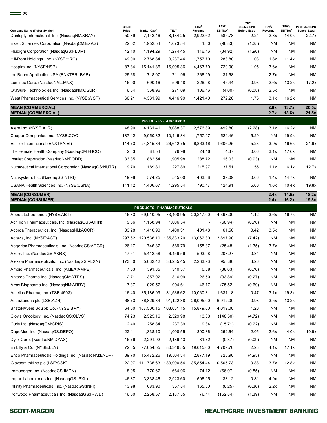

| <b>Company Name (Ticker Symbol)</b>                     | <b>Stock</b><br>Price | Market Cap <sup>2</sup>           | TEV <sup>3</sup>           | LTM <sup>4</sup><br>Revenue | LTM <sup>4</sup><br>EBITDA <sup>5</sup> | LTM <sup>4</sup><br><b>Diluted EPS</b><br><b>Before Extra</b> | TEV <sup>3</sup> /<br>Revenue | TEV <sup>3</sup> /<br>EBITDA <sup>5</sup> | P/ Diluted EPS<br><b>Before Extra</b> |
|---------------------------------------------------------|-----------------------|-----------------------------------|----------------------------|-----------------------------|-----------------------------------------|---------------------------------------------------------------|-------------------------------|-------------------------------------------|---------------------------------------|
| Dentsply International, Inc. (NasdaqNM:XRAY)            | 50.89                 | 7,142.46                          | 8,184.25                   | 2,922.62                    | 585.78                                  | 2.24                                                          | 2.8x                          | 14.0x                                     | 22.7x                                 |
| Exact Sciences Corporation (NasdaqCM:EXAS)              | 22.02                 | 1,952.54                          | 1,673.54                   | 1.80                        | (96.83)                                 | (1.25)                                                        | <b>NM</b>                     | ΝM                                        | <b>NM</b>                             |
| Fluidigm Corporation (NasdaqGS:FLDM)                    | 42.10                 | 1,194.29                          | 1,274.45                   | 116.46                      | (34.92)                                 | (1.90)                                                        | <b>NM</b>                     | <b>NM</b>                                 | <b>NM</b>                             |
| Hill-Rom Holdings, Inc. (NYSE:HRC)                      | 49.00                 | 2,768.84                          | 3,237.44                   | 1,757.70                    | 283.80                                  | 1.03                                                          | 1.8x                          | 11.4x                                     | <b>NM</b>                             |
| Hospira Inc. (NYSE:HSP)                                 | 87.84                 | 15,141.86                         | 16,095.36                  | 4,463.70                    | 729.90                                  | 1.95                                                          | 3.6x                          | <b>NM</b>                                 | <b>NM</b>                             |
| Ion Beam Applications SA (ENXTBR:IBAB)                  | 25.68                 | 718.07                            | 711.96                     | 266.99                      | 31.58                                   | $\overline{a}$                                                | 2.7x                          | <b>NM</b>                                 | <b>NM</b>                             |
| Luminex Corp. (NasdaqNM:LMNX)                           | 16.00                 | 690.16                            | 599.48                     | 226.98                      | 45.44                                   | 0.93                                                          | 2.6x                          | 13.2x                                     | 17.2x                                 |
| OraSure Technologies Inc. (NasdaqNM:OSUR)               | 6.54                  | 368.96                            | 271.09                     | 106.46                      | (4.00)                                  | (0.08)                                                        | 2.5x                          | <b>NM</b>                                 | <b>NM</b>                             |
| West Pharmaceutical Services Inc. (NYSE:WST)            | 60.21                 | 4,331.99                          | 4,416.99                   | 1,421.40                    | 272.20                                  | 1.75                                                          | 3.1x                          | 16.2x                                     | <b>NM</b>                             |
| <b>MEAN (COMMERCIAL)</b><br><b>MEDIAN (COMMERCIAL)</b>  |                       |                                   |                            |                             |                                         |                                                               | 2.8x<br>2.7x                  | 13.7x<br>13.6x                            | 20.5x<br>21.5x                        |
|                                                         |                       |                                   | <b>PRODUCTS - CONSUMER</b> |                             |                                         |                                                               |                               |                                           |                                       |
| Alere Inc. (NYSE:ALR)                                   | 48.90                 | 4,131.41                          | 8,088.37                   | 2,576.89                    | 499.80                                  | (2.28)                                                        | 3.1x                          | 16.2x                                     | <b>NM</b>                             |
| Cooper Companies Inc. (NYSE:COO)                        | 187.42                | 9.050.32                          | 10,445.34                  | 1,757.97                    | 524.46                                  | 5.29                                                          | <b>NM</b>                     | 19.9x                                     | <b>NM</b>                             |
| Essilor International (ENXTPA:EI)                       | 114.73                | 24,315.84                         | 26,642.75                  | 6,863.16                    | 1,606.25                                | 5.23                                                          | 3.9x                          | 16.6x                                     | 21.9x                                 |
| The Female Health Company (NasdaqCM:FHCO)               | 2.83                  | 81.54                             | 76.98                      | 24.46                       | 4.37                                    | 0.06                                                          | 3.1x                          | 17.6x                                     | <b>NM</b>                             |
| Insulet Corporation (NasdaqNM:PODD)                     | 33.35                 | 1,882.54                          | 1,905.98                   | 288.72                      | 16.03                                   | (0.93)                                                        | <b>NM</b>                     | <b>NM</b>                                 | <b>NM</b>                             |
| Nutraceutical International Corporation (NasdaqGS:NUTR) | 19.70                 | 189.81                            | 227.89                     | 215.97                      | 37.51                                   | 1.55                                                          | 1.1x                          | 6.1x                                      | 12.7x                                 |
| Nutrisystem, Inc. (NasdaqGS:NTRI)                       | 19.98                 | 574.25                            | 545.00                     | 403.08                      | 37.09                                   | 0.66                                                          | 1.4x                          | 14.7x                                     | <b>NM</b>                             |
| USANA Health Sciences Inc. (NYSE:USNA)                  | 111.12                | 1,406.67                          | 1,295.54                   | 790.47                      | 124.91                                  | 5.60                                                          | 1.6x                          | 10.4x                                     | 19.8x                                 |
| <b>MEAN (CONSUMER)</b><br><b>MEDIAN (CONSUMER)</b>      |                       |                                   |                            |                             |                                         |                                                               | 2.4x<br>2.4x                  | 14.5x<br>16.2x                            | 18.2x<br>19.8x                        |
|                                                         |                       | <b>PRODUCTS - PHARMACEUTICALS</b> |                            |                             |                                         |                                                               |                               |                                           |                                       |
| Abbott Laboratories (NYSE:ABT)                          | 46.33                 | 69,910.95                         | 73,408.95                  | 20,247.00                   | 4,397.00                                | 1.12                                                          | 3.6x                          | 16.7x                                     | <b>NM</b>                             |
| Achillion Pharmaceuticals, Inc. (NasdaqGS:ACHN)         | 9.86                  | 1,158.94                          | 1,006.54                   |                             | (68.94)                                 | (0.70)                                                        | <b>NM</b>                     | <b>NM</b>                                 | <b>NM</b>                             |
| Acorda Therapeutics, Inc. (NasdaqNM:ACOR)               | 33.28                 | 1,416.90                          | 1,400.31                   | 401.48                      | 61.56                                   | 0.42                                                          | 3.5x                          | <b>NM</b>                                 | <b>NM</b>                             |
| Actavis, Inc. (NYSE:ACT)                                | 297.62                | 120,536.10 135,833.20             |                            | 13,062.30                   | 3.897.90                                | (7.42)                                                        | <b>NM</b>                     | <b>NM</b>                                 | <b>NM</b>                             |
| Accesion Dhormacouticale Inc. (Needer CO-AECD)          | 0017                  | 740.07                            | EOO 70                     | 4EQ27                       | $10E$ $10$                              | (4.25)                                                        | 2.7.7                         | <b>NIMA</b>                               | <b>NIMA</b>                           |

| Actavis, Inc. (NYSE:ACT)                           | 297.62 | 120,536.10 | 135,833.20 | 13,062.30 | 3,897.90  | (7.42) | <b>NM</b> | <b>NM</b> | <b>NM</b> |
|----------------------------------------------------|--------|------------|------------|-----------|-----------|--------|-----------|-----------|-----------|
| Aegerion Pharmaceuticals, Inc. (NasdaqGS:AEGR)     | 26.17  | 746.87     | 589.79     | 158.37    | (25.48)   | (1.35) | 3.7x      | <b>NM</b> | <b>NM</b> |
| Akorn, Inc. (NasdaqGS:AKRX)                        | 47.51  | 5,412.58   | 6,459.56   | 593.08    | 208.27    | 0.34   | <b>NM</b> | <b>NM</b> | <b>NM</b> |
| Alexion Pharmaceuticals, Inc. (NasdagGS:ALXN)      | 173.30 | 35,032.42  | 33,235.45  | 2,233.73  | 955.80    | 3.26   | <b>NM</b> | <b>NM</b> | <b>NM</b> |
| Ampio Pharmaceuticals, Inc. (AMEX:AMPE)            | 7.53   | 391.35     | 340.37     | 0.08      | (38.63)   | (0.76) | <b>NM</b> | <b>NM</b> | <b>NM</b> |
| Antares Pharma Inc. (NasdaqCM:ATRS)                | 2.71   | 357.02     | 316.99     | 26.50     | (33.89)   | (0.27) | ΝM        | <b>NM</b> | <b>NM</b> |
| Array Biopharma Inc. (NasdaqNM:ARRY)               | 7.37   | 1,029.57   | 994.61     | 46.77     | (75.52)   | (0.69) | <b>NM</b> | <b>NM</b> | <b>NM</b> |
| Astellas Pharma, Inc. (TSE:4503)                   | 16.40  | 35,186.99  | 31,536.62  | 10,060.31 | 1,631.18  | 0.47   | 3.1x      | 19.3x     | <b>NM</b> |
| AstraZeneca plc (LSE:AZN)                          | 68.73  | 86,829.84  | 91,122.38  | 26,095.00 | 6,912.00  | 0.98   | 3.5x      | 13.2x     | <b>NM</b> |
| Bristol-Myers Squibb Co. (NYSE:BMY)                | 64.50  | 107,500.15 | 108,031.15 | 15,879.00 | 4,019.00  | 1.20   | <b>NM</b> | <b>NM</b> | <b>NM</b> |
| Clovis Oncology, Inc. (NasdaqGS:CLVS)              | 74.23  | 2,525.16   | 2,329.98   | 13.63     | (148.50)  | (4.72) | <b>NM</b> | <b>NM</b> | <b>NM</b> |
| Curis Inc. (NasdaqGM:CRIS)                         | 2.40   | 258.84     | 237.39     | 9.84      | (15.71)   | (0.22) | <b>NM</b> | <b>NM</b> | <b>NM</b> |
| DepoMed Inc. (NasdagGS:DEPO)                       | 22.41  | 1,338.10   | 1,008.55   | 390.36    | 252.64    | 2.05   | 2.6x      | 4.0x      | 10.9x     |
| Dyax Corp. (NasdagNM:DYAX)                         | 16.76  | 2,291.92   | 2,189.43   | 81.72     | (0.37)    | (0.09) | <b>NM</b> | <b>NM</b> | <b>NM</b> |
| Eli Lilly & Co. (NYSE:LLY)                         | 72.65  | 77,054.55  | 80,346.55  | 19,615.60 | 4,707.70  | 2.23   | 4.1x      | 17.1x     | <b>NM</b> |
| Endo Pharmaceuticals Holdings Inc. (NasdaqNM:ENDP) | 89.70  | 15,472.26  | 19,504.34  | 2,877.19  | 725.90    | (4.95) | <b>NM</b> | <b>NM</b> | <b>NM</b> |
| Glaxosmithkline plc (LSE:GSK)                      | 22.97  | 111,735.63 | 133,990.54 | 35,854.44 | 10,505.73 | 0.88   | 3.7x      | 12.8x     | <b>NM</b> |
| Immunogen Inc. (NasdagGS:IMGN)                     | 8.95   | 770.67     | 664.06     | 74.12     | (66.97)   | (0.85) | <b>NM</b> | <b>NM</b> | <b>NM</b> |
| Impax Laboratories Inc. (NasdaqGS:IPXL)            | 46.87  | 3,338.46   | 2,923.60   | 596.05    | 133.12    | 0.81   | 4.9x      | <b>NM</b> | <b>NM</b> |
| Infinity Pharmaceuticals, Inc. (NasdaqGS:INFI)     | 13.98  | 683.90     | 357.84     | 165.00    | (6.25)    | (0.36) | 2.2x      | <b>NM</b> | <b>NM</b> |
| Ironwood Pharmaceuticals Inc. (NasdaqGS:IRWD)      | 16.00  | 2,258.57   | 2,187.55   | 76.44     | (152.84)  | (1.39) | <b>NM</b> | <b>NM</b> | <b>NM</b> |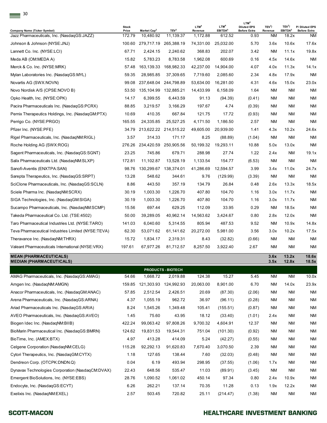| LTM <sup>4</sup><br>LTM <sup>4</sup><br>TEV <sup>3</sup> /<br>LTM <sup>4</sup><br>TEV <sup>3</sup> /<br><b>Stock</b><br><b>Diluted EPS</b><br>TEV <sup>3</sup><br>EBITDA <sup>5</sup><br>EBITDA <sup>5</sup><br><b>Company Name (Ticker Symbol)</b><br>Price<br>Market Cap <sup>2</sup><br>Revenue<br><b>Before Extra</b><br>Revenue<br>Jazz Pharmaceuticals, Inc. (NasdagGS: JAZZ)<br>172.79<br>10,480.92<br>11,139.37<br>1,172.88<br>612.52<br>0.93<br>18.2x<br>NM.<br>100.60 279,717.19 265,388.19<br>74,331.00<br>25,032.00<br>5.70<br>3.6x<br>10.6x<br>17.6x<br>Johnson & Johnson (NYSE:JNJ)<br>67.71<br>2,424.15<br>2,240.62<br>368.83<br>202.07<br>3.42<br><b>NM</b><br>11.1x<br>19.8x<br>Lannett Co. Inc. (NYSE:LCI)<br>1,962.08<br>600.69<br>0.16<br>14.6x<br>Meda AB (OM:MEDA A)<br>15.82<br>5,783.23<br>8,783.58<br>4.5x<br>ΝM<br>163,139.33<br>168,982.33<br>42,237.00<br>14,904.00<br>4.07<br>4.0x<br>11.3x<br>14.1x<br>Merck & Co. Inc. (NYSE:MRK)<br>57.48<br>2,085.60<br>59.35<br>28,985.85<br>37,309.65<br>7,719.60<br>2.34<br>4.8x<br>17.9x<br>ΝM<br>Mylan Laboratories Inc. (NasdaqGS:MYL)<br>16,281.00<br>4.31<br>15.0x<br>23.0x<br>99.08<br>237,648.04<br>244,798.89<br>53,634.00<br>4.6x<br>Novartis AG (SWX:NOVN)<br>Novo Nordisk A/S (CPSE:NOVO B)<br>53.50<br>135,104.99<br>132,885.21<br>14,433.99<br>6,158.09<br>1.64<br>ΝM<br><b>NM</b><br>ΝM<br>Opko Health, Inc. (NYSE:OPK)<br>14.17<br>6,399.55<br>6,443.59<br>91.13<br>(94.39)<br>(0.41)<br>ΝM<br><b>NM</b><br>ΝM<br>88.85<br>3,219.57<br>3.166.29<br>197.67<br>4.74<br>ΝM<br><b>NM</b><br>ΝM<br>Pacira Pharmaceuticals Inc. (NasdagGS:PCRX)<br>(0.39)<br>10.69<br>410.35<br>667.84<br>121.75<br>17.72<br>(0.93)<br>ΝM<br><b>NM</b><br>ΝM<br>Pernix Therapeutics Holdings, Inc. (NasdaqGM:PTX)<br>1,186.50<br>2.57<br>Perrigo Co. (NYSE:PRGO)<br>165.55<br>24,335.85<br>25,527.25<br>4,171.50<br><b>NM</b><br><b>NM</b><br>Pfizer Inc. (NYSE:PFE)<br>213,622.22 214,515.22<br>49,605.00<br>20,939.00<br>1.41<br>4.3x<br>10.2x<br>24.6x<br>34.79<br>3.57<br>314.33<br>8.25<br><b>NM</b><br><b>NM</b><br>171.17<br>(88.89)<br>Rigel Pharmaceuticals, Inc. (NasdaqNM:RIGL)<br>(1.04)<br>276.26 234,420.59<br>50,199.32<br>19,293.11<br>250,905.56<br>10.88<br>5.0x<br>13.0x<br>Roche Holding AG (SWX:ROG)<br>288.98<br>1.22<br>23.25<br>745.86<br>679.71<br>27.74<br>2.4x<br><b>NM</b><br>Sagent Pharmaceuticals, Inc. (NasdaqGS:SGNT)<br>172.81<br>11,102.87<br>13,528.19<br>1,133.54<br>154.77<br>(6.53)<br>NM<br><b>NM</b><br>Salix Pharmaceuticals Ltd. (NasdaqNM:SLXP)<br>3.99<br>98.76<br>130,299.67 138,374.01<br>41,286.69<br>12,594.57<br>3.4x<br>11.0x<br>Sanofi-Aventis (ENXTPA:SAN)<br>13.28<br>548.62<br><b>NM</b><br><b>NM</b><br>344.61<br>9.76<br>(129.99)<br>(3.39)<br>Sarepta Therapeutics, Inc. (NasdaqGS:SRPT)<br>443.50<br>357.19<br>26.84<br>13.3x<br>8.86<br>134.79<br>0.48<br>2.6x<br>SciClone Pharmaceuticals, Inc. (NasdaqGS:SCLN)<br>Sciele Pharma Inc. (NasdaqNM:SCRX)<br>30.19<br>1,003.30<br>1,226.70<br>407.80<br>104.70<br>1.16<br>3.0x<br>11.7x<br>104.70<br>11.7x<br>30.19<br>1,003.30<br>1,226.70<br>407.80<br>1.16<br>3.0x<br>SIGA Technologies, Inc. (NasdaqGM:SIGA)<br>697.44<br>629.25<br>0.29<br><b>NM</b><br>18.5x<br>15.56<br>112.09<br>33.95<br>Sucampo Pharmaceuticals, Inc. (NasdaqNM:SCMP)<br>50.00<br>39,289.05<br>40,962.14<br>14,563.62<br>3,424.67<br>0.80<br>2.8x<br>12.0x<br>Taro Pharmaceutical Industries Ltd. (NYSE:TARO)<br>141.03<br>6,040.60<br>5,314.55<br>805.94<br>487.53<br>9.52<br><b>NM</b><br>10.9x<br>20,272.00<br>3.56<br>62.30<br>53,071.62<br>61,141.62<br>5,981.00<br>3.0x<br>10.2x<br>Teva Pharmaceutical Industries Limited (NYSE:TEVA)<br>1,834.17<br>(32.82)<br><b>NM</b><br><b>NM</b><br>Theravance Inc. (NasdaqNM:THRX)<br>15.72<br>2,319.31<br>8.43<br>(0.66)<br>Valeant Pharmaceuticals International (NYSE:VRX)<br>197.61<br>67,977.26<br>81,712.57<br>8,257.50<br>3,922.40<br>2.67<br>ΝM<br><b>NM</b><br>13.2x<br>3.6x<br>3.5x<br>12.8x<br>PRODUCTS - BIOTECH<br>54.66<br>1,668.72<br>124.38<br>15.27<br>5.45<br><b>NM</b><br>2,019.88<br>ΝM<br>20,063.00<br>8,901.00<br>6.70<br><b>NM</b><br>159.85<br>121,303.93 124,992.93<br>14.0x<br>57.85<br>2,512.54<br>2,426.51<br>20.69<br>ΝM<br><b>NM</b><br>(87.30)<br>(2.06)<br>4.37<br>1,055.19<br>962.72<br>36.97<br>(96.11)<br>ΝM<br><b>NM</b><br>(0.28)<br>8.24<br>1,545.26<br>1,349.48<br>105.41<br>(155.51)<br>ΝM<br><b>NM</b><br>(0.87)<br>75.60<br>1.45<br>43.95<br>18.12<br>(33.40)<br>(1.01)<br><b>NM</b><br>2.4x<br>422.24<br>99,063.42<br>97,808.26<br>9,700.32<br>4,604.91<br>12.37<br>ΝM<br><b>NM</b><br><b>NM</b><br>BioMarin Pharmaceutical Inc. (NasdaqGS:BMRN)<br>124.62<br>19,831.53<br>19,544.31<br>751.04<br>(101.30)<br>(0.92)<br>ΝM<br>4.97<br>413.28<br>5.24<br>414.09<br>(42.27)<br>ΝM<br><b>NM</b><br>(0.55)<br>115.28<br>92,292.13<br>91,620.83<br>7,670.40<br>3,070.50<br>2.39<br>ΝM<br><b>NM</b><br>Cytori Therapeutics, Inc. (NasdaqGM:CYTX)<br>1.18<br>127.65<br>138.44<br>7.60<br>(32.03)<br>ΝM<br><b>NM</b><br>(0.48)<br>0.04<br>6.19<br>493.94<br>298.95<br><b>NM</b><br>(37.55)<br>(1.06)<br>1.7x<br><b>NM</b><br>648.56<br>535.47<br>11.03<br>(89.91)<br><b>NM</b><br>22.43<br>(3.45)<br>28.76<br>1,090.52<br>1,061.02<br>450.14<br>97.34<br>0.80<br>2.4x<br>10.9x<br>6.26<br>262.21<br>137.14<br>70.35<br>11.28<br>0.13<br>1.9x<br>12.2x<br>503.45<br><b>NM</b><br><b>NM</b><br>Exelixis Inc. (NasdaqNM:EXEL)<br>2.57<br>720.82<br>25.11<br>(1.38)<br>(214.47) |                                                                  |  |  |  |  |                            |
|--------------------------------------------------------------------------------------------------------------------------------------------------------------------------------------------------------------------------------------------------------------------------------------------------------------------------------------------------------------------------------------------------------------------------------------------------------------------------------------------------------------------------------------------------------------------------------------------------------------------------------------------------------------------------------------------------------------------------------------------------------------------------------------------------------------------------------------------------------------------------------------------------------------------------------------------------------------------------------------------------------------------------------------------------------------------------------------------------------------------------------------------------------------------------------------------------------------------------------------------------------------------------------------------------------------------------------------------------------------------------------------------------------------------------------------------------------------------------------------------------------------------------------------------------------------------------------------------------------------------------------------------------------------------------------------------------------------------------------------------------------------------------------------------------------------------------------------------------------------------------------------------------------------------------------------------------------------------------------------------------------------------------------------------------------------------------------------------------------------------------------------------------------------------------------------------------------------------------------------------------------------------------------------------------------------------------------------------------------------------------------------------------------------------------------------------------------------------------------------------------------------------------------------------------------------------------------------------------------------------------------------------------------------------------------------------------------------------------------------------------------------------------------------------------------------------------------------------------------------------------------------------------------------------------------------------------------------------------------------------------------------------------------------------------------------------------------------------------------------------------------------------------------------------------------------------------------------------------------------------------------------------------------------------------------------------------------------------------------------------------------------------------------------------------------------------------------------------------------------------------------------------------------------------------------------------------------------------------------------------------------------------------------------------------------------------------------------------------------------------------------------------------------------------------------------------------------------------------------------------------------------------------------------------------------------------------------------------------------------------------------------------------------------------------------------------------------------------------------------------------------------------------------------------------------------------------------------------------------------------------------------------------------------------------------------------------------------------------------------------------------------------------------------------------------------------------------------------------------------------------------------------------------------------------------------------------------------------------------------------------------------------------------------------------------------------------------------------------------------------------------------------------------------------------------------------------------------------------------------------------------------------------------------------------------------------------------------------------------------------------------------------------------------------------------------------------------------------------------------------------------------------------------------------------------------------------------------------------------------------------------------------------------------------------------------------------------------------------------------------------------------------------------------------------------------------------------------------------------------------------------------|------------------------------------------------------------------|--|--|--|--|----------------------------|
|                                                                                                                                                                                                                                                                                                                                                                                                                                                                                                                                                                                                                                                                                                                                                                                                                                                                                                                                                                                                                                                                                                                                                                                                                                                                                                                                                                                                                                                                                                                                                                                                                                                                                                                                                                                                                                                                                                                                                                                                                                                                                                                                                                                                                                                                                                                                                                                                                                                                                                                                                                                                                                                                                                                                                                                                                                                                                                                                                                                                                                                                                                                                                                                                                                                                                                                                                                                                                                                                                                                                                                                                                                                                                                                                                                                                                                                                                                                                                                                                                                                                                                                                                                                                                                                                                                                                                                                                                                                                                                                                                                                                                                                                                                                                                                                                                                                                                                                                                                                                                                                                                                                                                                                                                                                                                                                                                                                                                                                                                                              | 30                                                               |  |  |  |  | P/ Diluted EPS             |
|                                                                                                                                                                                                                                                                                                                                                                                                                                                                                                                                                                                                                                                                                                                                                                                                                                                                                                                                                                                                                                                                                                                                                                                                                                                                                                                                                                                                                                                                                                                                                                                                                                                                                                                                                                                                                                                                                                                                                                                                                                                                                                                                                                                                                                                                                                                                                                                                                                                                                                                                                                                                                                                                                                                                                                                                                                                                                                                                                                                                                                                                                                                                                                                                                                                                                                                                                                                                                                                                                                                                                                                                                                                                                                                                                                                                                                                                                                                                                                                                                                                                                                                                                                                                                                                                                                                                                                                                                                                                                                                                                                                                                                                                                                                                                                                                                                                                                                                                                                                                                                                                                                                                                                                                                                                                                                                                                                                                                                                                                                              |                                                                  |  |  |  |  | <b>Before Extra</b><br>NM. |
|                                                                                                                                                                                                                                                                                                                                                                                                                                                                                                                                                                                                                                                                                                                                                                                                                                                                                                                                                                                                                                                                                                                                                                                                                                                                                                                                                                                                                                                                                                                                                                                                                                                                                                                                                                                                                                                                                                                                                                                                                                                                                                                                                                                                                                                                                                                                                                                                                                                                                                                                                                                                                                                                                                                                                                                                                                                                                                                                                                                                                                                                                                                                                                                                                                                                                                                                                                                                                                                                                                                                                                                                                                                                                                                                                                                                                                                                                                                                                                                                                                                                                                                                                                                                                                                                                                                                                                                                                                                                                                                                                                                                                                                                                                                                                                                                                                                                                                                                                                                                                                                                                                                                                                                                                                                                                                                                                                                                                                                                                                              |                                                                  |  |  |  |  |                            |
|                                                                                                                                                                                                                                                                                                                                                                                                                                                                                                                                                                                                                                                                                                                                                                                                                                                                                                                                                                                                                                                                                                                                                                                                                                                                                                                                                                                                                                                                                                                                                                                                                                                                                                                                                                                                                                                                                                                                                                                                                                                                                                                                                                                                                                                                                                                                                                                                                                                                                                                                                                                                                                                                                                                                                                                                                                                                                                                                                                                                                                                                                                                                                                                                                                                                                                                                                                                                                                                                                                                                                                                                                                                                                                                                                                                                                                                                                                                                                                                                                                                                                                                                                                                                                                                                                                                                                                                                                                                                                                                                                                                                                                                                                                                                                                                                                                                                                                                                                                                                                                                                                                                                                                                                                                                                                                                                                                                                                                                                                                              |                                                                  |  |  |  |  |                            |
|                                                                                                                                                                                                                                                                                                                                                                                                                                                                                                                                                                                                                                                                                                                                                                                                                                                                                                                                                                                                                                                                                                                                                                                                                                                                                                                                                                                                                                                                                                                                                                                                                                                                                                                                                                                                                                                                                                                                                                                                                                                                                                                                                                                                                                                                                                                                                                                                                                                                                                                                                                                                                                                                                                                                                                                                                                                                                                                                                                                                                                                                                                                                                                                                                                                                                                                                                                                                                                                                                                                                                                                                                                                                                                                                                                                                                                                                                                                                                                                                                                                                                                                                                                                                                                                                                                                                                                                                                                                                                                                                                                                                                                                                                                                                                                                                                                                                                                                                                                                                                                                                                                                                                                                                                                                                                                                                                                                                                                                                                                              |                                                                  |  |  |  |  |                            |
|                                                                                                                                                                                                                                                                                                                                                                                                                                                                                                                                                                                                                                                                                                                                                                                                                                                                                                                                                                                                                                                                                                                                                                                                                                                                                                                                                                                                                                                                                                                                                                                                                                                                                                                                                                                                                                                                                                                                                                                                                                                                                                                                                                                                                                                                                                                                                                                                                                                                                                                                                                                                                                                                                                                                                                                                                                                                                                                                                                                                                                                                                                                                                                                                                                                                                                                                                                                                                                                                                                                                                                                                                                                                                                                                                                                                                                                                                                                                                                                                                                                                                                                                                                                                                                                                                                                                                                                                                                                                                                                                                                                                                                                                                                                                                                                                                                                                                                                                                                                                                                                                                                                                                                                                                                                                                                                                                                                                                                                                                                              |                                                                  |  |  |  |  |                            |
|                                                                                                                                                                                                                                                                                                                                                                                                                                                                                                                                                                                                                                                                                                                                                                                                                                                                                                                                                                                                                                                                                                                                                                                                                                                                                                                                                                                                                                                                                                                                                                                                                                                                                                                                                                                                                                                                                                                                                                                                                                                                                                                                                                                                                                                                                                                                                                                                                                                                                                                                                                                                                                                                                                                                                                                                                                                                                                                                                                                                                                                                                                                                                                                                                                                                                                                                                                                                                                                                                                                                                                                                                                                                                                                                                                                                                                                                                                                                                                                                                                                                                                                                                                                                                                                                                                                                                                                                                                                                                                                                                                                                                                                                                                                                                                                                                                                                                                                                                                                                                                                                                                                                                                                                                                                                                                                                                                                                                                                                                                              |                                                                  |  |  |  |  |                            |
|                                                                                                                                                                                                                                                                                                                                                                                                                                                                                                                                                                                                                                                                                                                                                                                                                                                                                                                                                                                                                                                                                                                                                                                                                                                                                                                                                                                                                                                                                                                                                                                                                                                                                                                                                                                                                                                                                                                                                                                                                                                                                                                                                                                                                                                                                                                                                                                                                                                                                                                                                                                                                                                                                                                                                                                                                                                                                                                                                                                                                                                                                                                                                                                                                                                                                                                                                                                                                                                                                                                                                                                                                                                                                                                                                                                                                                                                                                                                                                                                                                                                                                                                                                                                                                                                                                                                                                                                                                                                                                                                                                                                                                                                                                                                                                                                                                                                                                                                                                                                                                                                                                                                                                                                                                                                                                                                                                                                                                                                                                              |                                                                  |  |  |  |  |                            |
|                                                                                                                                                                                                                                                                                                                                                                                                                                                                                                                                                                                                                                                                                                                                                                                                                                                                                                                                                                                                                                                                                                                                                                                                                                                                                                                                                                                                                                                                                                                                                                                                                                                                                                                                                                                                                                                                                                                                                                                                                                                                                                                                                                                                                                                                                                                                                                                                                                                                                                                                                                                                                                                                                                                                                                                                                                                                                                                                                                                                                                                                                                                                                                                                                                                                                                                                                                                                                                                                                                                                                                                                                                                                                                                                                                                                                                                                                                                                                                                                                                                                                                                                                                                                                                                                                                                                                                                                                                                                                                                                                                                                                                                                                                                                                                                                                                                                                                                                                                                                                                                                                                                                                                                                                                                                                                                                                                                                                                                                                                              |                                                                  |  |  |  |  |                            |
|                                                                                                                                                                                                                                                                                                                                                                                                                                                                                                                                                                                                                                                                                                                                                                                                                                                                                                                                                                                                                                                                                                                                                                                                                                                                                                                                                                                                                                                                                                                                                                                                                                                                                                                                                                                                                                                                                                                                                                                                                                                                                                                                                                                                                                                                                                                                                                                                                                                                                                                                                                                                                                                                                                                                                                                                                                                                                                                                                                                                                                                                                                                                                                                                                                                                                                                                                                                                                                                                                                                                                                                                                                                                                                                                                                                                                                                                                                                                                                                                                                                                                                                                                                                                                                                                                                                                                                                                                                                                                                                                                                                                                                                                                                                                                                                                                                                                                                                                                                                                                                                                                                                                                                                                                                                                                                                                                                                                                                                                                                              |                                                                  |  |  |  |  |                            |
|                                                                                                                                                                                                                                                                                                                                                                                                                                                                                                                                                                                                                                                                                                                                                                                                                                                                                                                                                                                                                                                                                                                                                                                                                                                                                                                                                                                                                                                                                                                                                                                                                                                                                                                                                                                                                                                                                                                                                                                                                                                                                                                                                                                                                                                                                                                                                                                                                                                                                                                                                                                                                                                                                                                                                                                                                                                                                                                                                                                                                                                                                                                                                                                                                                                                                                                                                                                                                                                                                                                                                                                                                                                                                                                                                                                                                                                                                                                                                                                                                                                                                                                                                                                                                                                                                                                                                                                                                                                                                                                                                                                                                                                                                                                                                                                                                                                                                                                                                                                                                                                                                                                                                                                                                                                                                                                                                                                                                                                                                                              |                                                                  |  |  |  |  |                            |
|                                                                                                                                                                                                                                                                                                                                                                                                                                                                                                                                                                                                                                                                                                                                                                                                                                                                                                                                                                                                                                                                                                                                                                                                                                                                                                                                                                                                                                                                                                                                                                                                                                                                                                                                                                                                                                                                                                                                                                                                                                                                                                                                                                                                                                                                                                                                                                                                                                                                                                                                                                                                                                                                                                                                                                                                                                                                                                                                                                                                                                                                                                                                                                                                                                                                                                                                                                                                                                                                                                                                                                                                                                                                                                                                                                                                                                                                                                                                                                                                                                                                                                                                                                                                                                                                                                                                                                                                                                                                                                                                                                                                                                                                                                                                                                                                                                                                                                                                                                                                                                                                                                                                                                                                                                                                                                                                                                                                                                                                                                              |                                                                  |  |  |  |  |                            |
|                                                                                                                                                                                                                                                                                                                                                                                                                                                                                                                                                                                                                                                                                                                                                                                                                                                                                                                                                                                                                                                                                                                                                                                                                                                                                                                                                                                                                                                                                                                                                                                                                                                                                                                                                                                                                                                                                                                                                                                                                                                                                                                                                                                                                                                                                                                                                                                                                                                                                                                                                                                                                                                                                                                                                                                                                                                                                                                                                                                                                                                                                                                                                                                                                                                                                                                                                                                                                                                                                                                                                                                                                                                                                                                                                                                                                                                                                                                                                                                                                                                                                                                                                                                                                                                                                                                                                                                                                                                                                                                                                                                                                                                                                                                                                                                                                                                                                                                                                                                                                                                                                                                                                                                                                                                                                                                                                                                                                                                                                                              |                                                                  |  |  |  |  |                            |
|                                                                                                                                                                                                                                                                                                                                                                                                                                                                                                                                                                                                                                                                                                                                                                                                                                                                                                                                                                                                                                                                                                                                                                                                                                                                                                                                                                                                                                                                                                                                                                                                                                                                                                                                                                                                                                                                                                                                                                                                                                                                                                                                                                                                                                                                                                                                                                                                                                                                                                                                                                                                                                                                                                                                                                                                                                                                                                                                                                                                                                                                                                                                                                                                                                                                                                                                                                                                                                                                                                                                                                                                                                                                                                                                                                                                                                                                                                                                                                                                                                                                                                                                                                                                                                                                                                                                                                                                                                                                                                                                                                                                                                                                                                                                                                                                                                                                                                                                                                                                                                                                                                                                                                                                                                                                                                                                                                                                                                                                                                              |                                                                  |  |  |  |  | NM.                        |
|                                                                                                                                                                                                                                                                                                                                                                                                                                                                                                                                                                                                                                                                                                                                                                                                                                                                                                                                                                                                                                                                                                                                                                                                                                                                                                                                                                                                                                                                                                                                                                                                                                                                                                                                                                                                                                                                                                                                                                                                                                                                                                                                                                                                                                                                                                                                                                                                                                                                                                                                                                                                                                                                                                                                                                                                                                                                                                                                                                                                                                                                                                                                                                                                                                                                                                                                                                                                                                                                                                                                                                                                                                                                                                                                                                                                                                                                                                                                                                                                                                                                                                                                                                                                                                                                                                                                                                                                                                                                                                                                                                                                                                                                                                                                                                                                                                                                                                                                                                                                                                                                                                                                                                                                                                                                                                                                                                                                                                                                                                              |                                                                  |  |  |  |  |                            |
|                                                                                                                                                                                                                                                                                                                                                                                                                                                                                                                                                                                                                                                                                                                                                                                                                                                                                                                                                                                                                                                                                                                                                                                                                                                                                                                                                                                                                                                                                                                                                                                                                                                                                                                                                                                                                                                                                                                                                                                                                                                                                                                                                                                                                                                                                                                                                                                                                                                                                                                                                                                                                                                                                                                                                                                                                                                                                                                                                                                                                                                                                                                                                                                                                                                                                                                                                                                                                                                                                                                                                                                                                                                                                                                                                                                                                                                                                                                                                                                                                                                                                                                                                                                                                                                                                                                                                                                                                                                                                                                                                                                                                                                                                                                                                                                                                                                                                                                                                                                                                                                                                                                                                                                                                                                                                                                                                                                                                                                                                                              |                                                                  |  |  |  |  | NM                         |
|                                                                                                                                                                                                                                                                                                                                                                                                                                                                                                                                                                                                                                                                                                                                                                                                                                                                                                                                                                                                                                                                                                                                                                                                                                                                                                                                                                                                                                                                                                                                                                                                                                                                                                                                                                                                                                                                                                                                                                                                                                                                                                                                                                                                                                                                                                                                                                                                                                                                                                                                                                                                                                                                                                                                                                                                                                                                                                                                                                                                                                                                                                                                                                                                                                                                                                                                                                                                                                                                                                                                                                                                                                                                                                                                                                                                                                                                                                                                                                                                                                                                                                                                                                                                                                                                                                                                                                                                                                                                                                                                                                                                                                                                                                                                                                                                                                                                                                                                                                                                                                                                                                                                                                                                                                                                                                                                                                                                                                                                                                              |                                                                  |  |  |  |  | ΝM                         |
|                                                                                                                                                                                                                                                                                                                                                                                                                                                                                                                                                                                                                                                                                                                                                                                                                                                                                                                                                                                                                                                                                                                                                                                                                                                                                                                                                                                                                                                                                                                                                                                                                                                                                                                                                                                                                                                                                                                                                                                                                                                                                                                                                                                                                                                                                                                                                                                                                                                                                                                                                                                                                                                                                                                                                                                                                                                                                                                                                                                                                                                                                                                                                                                                                                                                                                                                                                                                                                                                                                                                                                                                                                                                                                                                                                                                                                                                                                                                                                                                                                                                                                                                                                                                                                                                                                                                                                                                                                                                                                                                                                                                                                                                                                                                                                                                                                                                                                                                                                                                                                                                                                                                                                                                                                                                                                                                                                                                                                                                                                              |                                                                  |  |  |  |  | 19.1x                      |
|                                                                                                                                                                                                                                                                                                                                                                                                                                                                                                                                                                                                                                                                                                                                                                                                                                                                                                                                                                                                                                                                                                                                                                                                                                                                                                                                                                                                                                                                                                                                                                                                                                                                                                                                                                                                                                                                                                                                                                                                                                                                                                                                                                                                                                                                                                                                                                                                                                                                                                                                                                                                                                                                                                                                                                                                                                                                                                                                                                                                                                                                                                                                                                                                                                                                                                                                                                                                                                                                                                                                                                                                                                                                                                                                                                                                                                                                                                                                                                                                                                                                                                                                                                                                                                                                                                                                                                                                                                                                                                                                                                                                                                                                                                                                                                                                                                                                                                                                                                                                                                                                                                                                                                                                                                                                                                                                                                                                                                                                                                              |                                                                  |  |  |  |  | ΝM                         |
|                                                                                                                                                                                                                                                                                                                                                                                                                                                                                                                                                                                                                                                                                                                                                                                                                                                                                                                                                                                                                                                                                                                                                                                                                                                                                                                                                                                                                                                                                                                                                                                                                                                                                                                                                                                                                                                                                                                                                                                                                                                                                                                                                                                                                                                                                                                                                                                                                                                                                                                                                                                                                                                                                                                                                                                                                                                                                                                                                                                                                                                                                                                                                                                                                                                                                                                                                                                                                                                                                                                                                                                                                                                                                                                                                                                                                                                                                                                                                                                                                                                                                                                                                                                                                                                                                                                                                                                                                                                                                                                                                                                                                                                                                                                                                                                                                                                                                                                                                                                                                                                                                                                                                                                                                                                                                                                                                                                                                                                                                                              |                                                                  |  |  |  |  | 24.7x                      |
|                                                                                                                                                                                                                                                                                                                                                                                                                                                                                                                                                                                                                                                                                                                                                                                                                                                                                                                                                                                                                                                                                                                                                                                                                                                                                                                                                                                                                                                                                                                                                                                                                                                                                                                                                                                                                                                                                                                                                                                                                                                                                                                                                                                                                                                                                                                                                                                                                                                                                                                                                                                                                                                                                                                                                                                                                                                                                                                                                                                                                                                                                                                                                                                                                                                                                                                                                                                                                                                                                                                                                                                                                                                                                                                                                                                                                                                                                                                                                                                                                                                                                                                                                                                                                                                                                                                                                                                                                                                                                                                                                                                                                                                                                                                                                                                                                                                                                                                                                                                                                                                                                                                                                                                                                                                                                                                                                                                                                                                                                                              |                                                                  |  |  |  |  | NM.                        |
|                                                                                                                                                                                                                                                                                                                                                                                                                                                                                                                                                                                                                                                                                                                                                                                                                                                                                                                                                                                                                                                                                                                                                                                                                                                                                                                                                                                                                                                                                                                                                                                                                                                                                                                                                                                                                                                                                                                                                                                                                                                                                                                                                                                                                                                                                                                                                                                                                                                                                                                                                                                                                                                                                                                                                                                                                                                                                                                                                                                                                                                                                                                                                                                                                                                                                                                                                                                                                                                                                                                                                                                                                                                                                                                                                                                                                                                                                                                                                                                                                                                                                                                                                                                                                                                                                                                                                                                                                                                                                                                                                                                                                                                                                                                                                                                                                                                                                                                                                                                                                                                                                                                                                                                                                                                                                                                                                                                                                                                                                                              |                                                                  |  |  |  |  | 18.5x                      |
|                                                                                                                                                                                                                                                                                                                                                                                                                                                                                                                                                                                                                                                                                                                                                                                                                                                                                                                                                                                                                                                                                                                                                                                                                                                                                                                                                                                                                                                                                                                                                                                                                                                                                                                                                                                                                                                                                                                                                                                                                                                                                                                                                                                                                                                                                                                                                                                                                                                                                                                                                                                                                                                                                                                                                                                                                                                                                                                                                                                                                                                                                                                                                                                                                                                                                                                                                                                                                                                                                                                                                                                                                                                                                                                                                                                                                                                                                                                                                                                                                                                                                                                                                                                                                                                                                                                                                                                                                                                                                                                                                                                                                                                                                                                                                                                                                                                                                                                                                                                                                                                                                                                                                                                                                                                                                                                                                                                                                                                                                                              |                                                                  |  |  |  |  | NM                         |
|                                                                                                                                                                                                                                                                                                                                                                                                                                                                                                                                                                                                                                                                                                                                                                                                                                                                                                                                                                                                                                                                                                                                                                                                                                                                                                                                                                                                                                                                                                                                                                                                                                                                                                                                                                                                                                                                                                                                                                                                                                                                                                                                                                                                                                                                                                                                                                                                                                                                                                                                                                                                                                                                                                                                                                                                                                                                                                                                                                                                                                                                                                                                                                                                                                                                                                                                                                                                                                                                                                                                                                                                                                                                                                                                                                                                                                                                                                                                                                                                                                                                                                                                                                                                                                                                                                                                                                                                                                                                                                                                                                                                                                                                                                                                                                                                                                                                                                                                                                                                                                                                                                                                                                                                                                                                                                                                                                                                                                                                                                              |                                                                  |  |  |  |  | NM                         |
|                                                                                                                                                                                                                                                                                                                                                                                                                                                                                                                                                                                                                                                                                                                                                                                                                                                                                                                                                                                                                                                                                                                                                                                                                                                                                                                                                                                                                                                                                                                                                                                                                                                                                                                                                                                                                                                                                                                                                                                                                                                                                                                                                                                                                                                                                                                                                                                                                                                                                                                                                                                                                                                                                                                                                                                                                                                                                                                                                                                                                                                                                                                                                                                                                                                                                                                                                                                                                                                                                                                                                                                                                                                                                                                                                                                                                                                                                                                                                                                                                                                                                                                                                                                                                                                                                                                                                                                                                                                                                                                                                                                                                                                                                                                                                                                                                                                                                                                                                                                                                                                                                                                                                                                                                                                                                                                                                                                                                                                                                                              |                                                                  |  |  |  |  | ΝM                         |
|                                                                                                                                                                                                                                                                                                                                                                                                                                                                                                                                                                                                                                                                                                                                                                                                                                                                                                                                                                                                                                                                                                                                                                                                                                                                                                                                                                                                                                                                                                                                                                                                                                                                                                                                                                                                                                                                                                                                                                                                                                                                                                                                                                                                                                                                                                                                                                                                                                                                                                                                                                                                                                                                                                                                                                                                                                                                                                                                                                                                                                                                                                                                                                                                                                                                                                                                                                                                                                                                                                                                                                                                                                                                                                                                                                                                                                                                                                                                                                                                                                                                                                                                                                                                                                                                                                                                                                                                                                                                                                                                                                                                                                                                                                                                                                                                                                                                                                                                                                                                                                                                                                                                                                                                                                                                                                                                                                                                                                                                                                              | Takeda Pharmaceutical Co. Ltd. (TSE:4502)                        |  |  |  |  | NM.                        |
|                                                                                                                                                                                                                                                                                                                                                                                                                                                                                                                                                                                                                                                                                                                                                                                                                                                                                                                                                                                                                                                                                                                                                                                                                                                                                                                                                                                                                                                                                                                                                                                                                                                                                                                                                                                                                                                                                                                                                                                                                                                                                                                                                                                                                                                                                                                                                                                                                                                                                                                                                                                                                                                                                                                                                                                                                                                                                                                                                                                                                                                                                                                                                                                                                                                                                                                                                                                                                                                                                                                                                                                                                                                                                                                                                                                                                                                                                                                                                                                                                                                                                                                                                                                                                                                                                                                                                                                                                                                                                                                                                                                                                                                                                                                                                                                                                                                                                                                                                                                                                                                                                                                                                                                                                                                                                                                                                                                                                                                                                                              |                                                                  |  |  |  |  | 14.8x                      |
|                                                                                                                                                                                                                                                                                                                                                                                                                                                                                                                                                                                                                                                                                                                                                                                                                                                                                                                                                                                                                                                                                                                                                                                                                                                                                                                                                                                                                                                                                                                                                                                                                                                                                                                                                                                                                                                                                                                                                                                                                                                                                                                                                                                                                                                                                                                                                                                                                                                                                                                                                                                                                                                                                                                                                                                                                                                                                                                                                                                                                                                                                                                                                                                                                                                                                                                                                                                                                                                                                                                                                                                                                                                                                                                                                                                                                                                                                                                                                                                                                                                                                                                                                                                                                                                                                                                                                                                                                                                                                                                                                                                                                                                                                                                                                                                                                                                                                                                                                                                                                                                                                                                                                                                                                                                                                                                                                                                                                                                                                                              |                                                                  |  |  |  |  | 17.5x                      |
|                                                                                                                                                                                                                                                                                                                                                                                                                                                                                                                                                                                                                                                                                                                                                                                                                                                                                                                                                                                                                                                                                                                                                                                                                                                                                                                                                                                                                                                                                                                                                                                                                                                                                                                                                                                                                                                                                                                                                                                                                                                                                                                                                                                                                                                                                                                                                                                                                                                                                                                                                                                                                                                                                                                                                                                                                                                                                                                                                                                                                                                                                                                                                                                                                                                                                                                                                                                                                                                                                                                                                                                                                                                                                                                                                                                                                                                                                                                                                                                                                                                                                                                                                                                                                                                                                                                                                                                                                                                                                                                                                                                                                                                                                                                                                                                                                                                                                                                                                                                                                                                                                                                                                                                                                                                                                                                                                                                                                                                                                                              |                                                                  |  |  |  |  | ΝM                         |
|                                                                                                                                                                                                                                                                                                                                                                                                                                                                                                                                                                                                                                                                                                                                                                                                                                                                                                                                                                                                                                                                                                                                                                                                                                                                                                                                                                                                                                                                                                                                                                                                                                                                                                                                                                                                                                                                                                                                                                                                                                                                                                                                                                                                                                                                                                                                                                                                                                                                                                                                                                                                                                                                                                                                                                                                                                                                                                                                                                                                                                                                                                                                                                                                                                                                                                                                                                                                                                                                                                                                                                                                                                                                                                                                                                                                                                                                                                                                                                                                                                                                                                                                                                                                                                                                                                                                                                                                                                                                                                                                                                                                                                                                                                                                                                                                                                                                                                                                                                                                                                                                                                                                                                                                                                                                                                                                                                                                                                                                                                              |                                                                  |  |  |  |  | ΝM                         |
|                                                                                                                                                                                                                                                                                                                                                                                                                                                                                                                                                                                                                                                                                                                                                                                                                                                                                                                                                                                                                                                                                                                                                                                                                                                                                                                                                                                                                                                                                                                                                                                                                                                                                                                                                                                                                                                                                                                                                                                                                                                                                                                                                                                                                                                                                                                                                                                                                                                                                                                                                                                                                                                                                                                                                                                                                                                                                                                                                                                                                                                                                                                                                                                                                                                                                                                                                                                                                                                                                                                                                                                                                                                                                                                                                                                                                                                                                                                                                                                                                                                                                                                                                                                                                                                                                                                                                                                                                                                                                                                                                                                                                                                                                                                                                                                                                                                                                                                                                                                                                                                                                                                                                                                                                                                                                                                                                                                                                                                                                                              | <b>MEAN (PHARMACEUTICALS)</b><br><b>MEDIAN (PHARMACEUTICALS)</b> |  |  |  |  | 18.6x<br>18.5x             |
|                                                                                                                                                                                                                                                                                                                                                                                                                                                                                                                                                                                                                                                                                                                                                                                                                                                                                                                                                                                                                                                                                                                                                                                                                                                                                                                                                                                                                                                                                                                                                                                                                                                                                                                                                                                                                                                                                                                                                                                                                                                                                                                                                                                                                                                                                                                                                                                                                                                                                                                                                                                                                                                                                                                                                                                                                                                                                                                                                                                                                                                                                                                                                                                                                                                                                                                                                                                                                                                                                                                                                                                                                                                                                                                                                                                                                                                                                                                                                                                                                                                                                                                                                                                                                                                                                                                                                                                                                                                                                                                                                                                                                                                                                                                                                                                                                                                                                                                                                                                                                                                                                                                                                                                                                                                                                                                                                                                                                                                                                                              |                                                                  |  |  |  |  |                            |
|                                                                                                                                                                                                                                                                                                                                                                                                                                                                                                                                                                                                                                                                                                                                                                                                                                                                                                                                                                                                                                                                                                                                                                                                                                                                                                                                                                                                                                                                                                                                                                                                                                                                                                                                                                                                                                                                                                                                                                                                                                                                                                                                                                                                                                                                                                                                                                                                                                                                                                                                                                                                                                                                                                                                                                                                                                                                                                                                                                                                                                                                                                                                                                                                                                                                                                                                                                                                                                                                                                                                                                                                                                                                                                                                                                                                                                                                                                                                                                                                                                                                                                                                                                                                                                                                                                                                                                                                                                                                                                                                                                                                                                                                                                                                                                                                                                                                                                                                                                                                                                                                                                                                                                                                                                                                                                                                                                                                                                                                                                              | AMAG Pharmaceuticals, Inc. (NasdaqGS:AMAG)                       |  |  |  |  | 10.0x                      |
|                                                                                                                                                                                                                                                                                                                                                                                                                                                                                                                                                                                                                                                                                                                                                                                                                                                                                                                                                                                                                                                                                                                                                                                                                                                                                                                                                                                                                                                                                                                                                                                                                                                                                                                                                                                                                                                                                                                                                                                                                                                                                                                                                                                                                                                                                                                                                                                                                                                                                                                                                                                                                                                                                                                                                                                                                                                                                                                                                                                                                                                                                                                                                                                                                                                                                                                                                                                                                                                                                                                                                                                                                                                                                                                                                                                                                                                                                                                                                                                                                                                                                                                                                                                                                                                                                                                                                                                                                                                                                                                                                                                                                                                                                                                                                                                                                                                                                                                                                                                                                                                                                                                                                                                                                                                                                                                                                                                                                                                                                                              | Amgen Inc. (NasdaqNM:AMGN)                                       |  |  |  |  | 23.9x                      |
|                                                                                                                                                                                                                                                                                                                                                                                                                                                                                                                                                                                                                                                                                                                                                                                                                                                                                                                                                                                                                                                                                                                                                                                                                                                                                                                                                                                                                                                                                                                                                                                                                                                                                                                                                                                                                                                                                                                                                                                                                                                                                                                                                                                                                                                                                                                                                                                                                                                                                                                                                                                                                                                                                                                                                                                                                                                                                                                                                                                                                                                                                                                                                                                                                                                                                                                                                                                                                                                                                                                                                                                                                                                                                                                                                                                                                                                                                                                                                                                                                                                                                                                                                                                                                                                                                                                                                                                                                                                                                                                                                                                                                                                                                                                                                                                                                                                                                                                                                                                                                                                                                                                                                                                                                                                                                                                                                                                                                                                                                                              | Anacor Pharmaceuticals, Inc. (NasdaqGM:ANAC)                     |  |  |  |  | ΝM                         |
|                                                                                                                                                                                                                                                                                                                                                                                                                                                                                                                                                                                                                                                                                                                                                                                                                                                                                                                                                                                                                                                                                                                                                                                                                                                                                                                                                                                                                                                                                                                                                                                                                                                                                                                                                                                                                                                                                                                                                                                                                                                                                                                                                                                                                                                                                                                                                                                                                                                                                                                                                                                                                                                                                                                                                                                                                                                                                                                                                                                                                                                                                                                                                                                                                                                                                                                                                                                                                                                                                                                                                                                                                                                                                                                                                                                                                                                                                                                                                                                                                                                                                                                                                                                                                                                                                                                                                                                                                                                                                                                                                                                                                                                                                                                                                                                                                                                                                                                                                                                                                                                                                                                                                                                                                                                                                                                                                                                                                                                                                                              | Arena Pharmaceuticals, Inc. (NasdaqGS:ARNA)                      |  |  |  |  | <b>NM</b>                  |
|                                                                                                                                                                                                                                                                                                                                                                                                                                                                                                                                                                                                                                                                                                                                                                                                                                                                                                                                                                                                                                                                                                                                                                                                                                                                                                                                                                                                                                                                                                                                                                                                                                                                                                                                                                                                                                                                                                                                                                                                                                                                                                                                                                                                                                                                                                                                                                                                                                                                                                                                                                                                                                                                                                                                                                                                                                                                                                                                                                                                                                                                                                                                                                                                                                                                                                                                                                                                                                                                                                                                                                                                                                                                                                                                                                                                                                                                                                                                                                                                                                                                                                                                                                                                                                                                                                                                                                                                                                                                                                                                                                                                                                                                                                                                                                                                                                                                                                                                                                                                                                                                                                                                                                                                                                                                                                                                                                                                                                                                                                              | Ariad Pharmaceuticals Inc. (NasdaqGS:ARIA)                       |  |  |  |  | ΝM                         |
|                                                                                                                                                                                                                                                                                                                                                                                                                                                                                                                                                                                                                                                                                                                                                                                                                                                                                                                                                                                                                                                                                                                                                                                                                                                                                                                                                                                                                                                                                                                                                                                                                                                                                                                                                                                                                                                                                                                                                                                                                                                                                                                                                                                                                                                                                                                                                                                                                                                                                                                                                                                                                                                                                                                                                                                                                                                                                                                                                                                                                                                                                                                                                                                                                                                                                                                                                                                                                                                                                                                                                                                                                                                                                                                                                                                                                                                                                                                                                                                                                                                                                                                                                                                                                                                                                                                                                                                                                                                                                                                                                                                                                                                                                                                                                                                                                                                                                                                                                                                                                                                                                                                                                                                                                                                                                                                                                                                                                                                                                                              | AVEO Pharmaceuticals, Inc. (NasdaqGS:AVEO)                       |  |  |  |  | <b>NM</b>                  |
|                                                                                                                                                                                                                                                                                                                                                                                                                                                                                                                                                                                                                                                                                                                                                                                                                                                                                                                                                                                                                                                                                                                                                                                                                                                                                                                                                                                                                                                                                                                                                                                                                                                                                                                                                                                                                                                                                                                                                                                                                                                                                                                                                                                                                                                                                                                                                                                                                                                                                                                                                                                                                                                                                                                                                                                                                                                                                                                                                                                                                                                                                                                                                                                                                                                                                                                                                                                                                                                                                                                                                                                                                                                                                                                                                                                                                                                                                                                                                                                                                                                                                                                                                                                                                                                                                                                                                                                                                                                                                                                                                                                                                                                                                                                                                                                                                                                                                                                                                                                                                                                                                                                                                                                                                                                                                                                                                                                                                                                                                                              | Biogen Idec Inc. (NasdaqNM:BIIB)                                 |  |  |  |  | <b>NM</b>                  |
|                                                                                                                                                                                                                                                                                                                                                                                                                                                                                                                                                                                                                                                                                                                                                                                                                                                                                                                                                                                                                                                                                                                                                                                                                                                                                                                                                                                                                                                                                                                                                                                                                                                                                                                                                                                                                                                                                                                                                                                                                                                                                                                                                                                                                                                                                                                                                                                                                                                                                                                                                                                                                                                                                                                                                                                                                                                                                                                                                                                                                                                                                                                                                                                                                                                                                                                                                                                                                                                                                                                                                                                                                                                                                                                                                                                                                                                                                                                                                                                                                                                                                                                                                                                                                                                                                                                                                                                                                                                                                                                                                                                                                                                                                                                                                                                                                                                                                                                                                                                                                                                                                                                                                                                                                                                                                                                                                                                                                                                                                                              |                                                                  |  |  |  |  | <b>NM</b>                  |
|                                                                                                                                                                                                                                                                                                                                                                                                                                                                                                                                                                                                                                                                                                                                                                                                                                                                                                                                                                                                                                                                                                                                                                                                                                                                                                                                                                                                                                                                                                                                                                                                                                                                                                                                                                                                                                                                                                                                                                                                                                                                                                                                                                                                                                                                                                                                                                                                                                                                                                                                                                                                                                                                                                                                                                                                                                                                                                                                                                                                                                                                                                                                                                                                                                                                                                                                                                                                                                                                                                                                                                                                                                                                                                                                                                                                                                                                                                                                                                                                                                                                                                                                                                                                                                                                                                                                                                                                                                                                                                                                                                                                                                                                                                                                                                                                                                                                                                                                                                                                                                                                                                                                                                                                                                                                                                                                                                                                                                                                                                              | BioTime, Inc. (AMEX:BTX)                                         |  |  |  |  | <b>NM</b>                  |
|                                                                                                                                                                                                                                                                                                                                                                                                                                                                                                                                                                                                                                                                                                                                                                                                                                                                                                                                                                                                                                                                                                                                                                                                                                                                                                                                                                                                                                                                                                                                                                                                                                                                                                                                                                                                                                                                                                                                                                                                                                                                                                                                                                                                                                                                                                                                                                                                                                                                                                                                                                                                                                                                                                                                                                                                                                                                                                                                                                                                                                                                                                                                                                                                                                                                                                                                                                                                                                                                                                                                                                                                                                                                                                                                                                                                                                                                                                                                                                                                                                                                                                                                                                                                                                                                                                                                                                                                                                                                                                                                                                                                                                                                                                                                                                                                                                                                                                                                                                                                                                                                                                                                                                                                                                                                                                                                                                                                                                                                                                              | Celgene Corporation (NasdaqNM:CELG)                              |  |  |  |  | ΝM                         |
|                                                                                                                                                                                                                                                                                                                                                                                                                                                                                                                                                                                                                                                                                                                                                                                                                                                                                                                                                                                                                                                                                                                                                                                                                                                                                                                                                                                                                                                                                                                                                                                                                                                                                                                                                                                                                                                                                                                                                                                                                                                                                                                                                                                                                                                                                                                                                                                                                                                                                                                                                                                                                                                                                                                                                                                                                                                                                                                                                                                                                                                                                                                                                                                                                                                                                                                                                                                                                                                                                                                                                                                                                                                                                                                                                                                                                                                                                                                                                                                                                                                                                                                                                                                                                                                                                                                                                                                                                                                                                                                                                                                                                                                                                                                                                                                                                                                                                                                                                                                                                                                                                                                                                                                                                                                                                                                                                                                                                                                                                                              |                                                                  |  |  |  |  | ΝM                         |
|                                                                                                                                                                                                                                                                                                                                                                                                                                                                                                                                                                                                                                                                                                                                                                                                                                                                                                                                                                                                                                                                                                                                                                                                                                                                                                                                                                                                                                                                                                                                                                                                                                                                                                                                                                                                                                                                                                                                                                                                                                                                                                                                                                                                                                                                                                                                                                                                                                                                                                                                                                                                                                                                                                                                                                                                                                                                                                                                                                                                                                                                                                                                                                                                                                                                                                                                                                                                                                                                                                                                                                                                                                                                                                                                                                                                                                                                                                                                                                                                                                                                                                                                                                                                                                                                                                                                                                                                                                                                                                                                                                                                                                                                                                                                                                                                                                                                                                                                                                                                                                                                                                                                                                                                                                                                                                                                                                                                                                                                                                              | Dendreon Corp. (OTCPK:DNDN.Q)                                    |  |  |  |  | ΝM                         |
|                                                                                                                                                                                                                                                                                                                                                                                                                                                                                                                                                                                                                                                                                                                                                                                                                                                                                                                                                                                                                                                                                                                                                                                                                                                                                                                                                                                                                                                                                                                                                                                                                                                                                                                                                                                                                                                                                                                                                                                                                                                                                                                                                                                                                                                                                                                                                                                                                                                                                                                                                                                                                                                                                                                                                                                                                                                                                                                                                                                                                                                                                                                                                                                                                                                                                                                                                                                                                                                                                                                                                                                                                                                                                                                                                                                                                                                                                                                                                                                                                                                                                                                                                                                                                                                                                                                                                                                                                                                                                                                                                                                                                                                                                                                                                                                                                                                                                                                                                                                                                                                                                                                                                                                                                                                                                                                                                                                                                                                                                                              | Dynavax Technologies Corporation (NasdaqCM:DVAX)                 |  |  |  |  | ΝM                         |
|                                                                                                                                                                                                                                                                                                                                                                                                                                                                                                                                                                                                                                                                                                                                                                                                                                                                                                                                                                                                                                                                                                                                                                                                                                                                                                                                                                                                                                                                                                                                                                                                                                                                                                                                                                                                                                                                                                                                                                                                                                                                                                                                                                                                                                                                                                                                                                                                                                                                                                                                                                                                                                                                                                                                                                                                                                                                                                                                                                                                                                                                                                                                                                                                                                                                                                                                                                                                                                                                                                                                                                                                                                                                                                                                                                                                                                                                                                                                                                                                                                                                                                                                                                                                                                                                                                                                                                                                                                                                                                                                                                                                                                                                                                                                                                                                                                                                                                                                                                                                                                                                                                                                                                                                                                                                                                                                                                                                                                                                                                              | Emergent BioSolutions, Inc. (NYSE:EBS)                           |  |  |  |  | ΝM                         |
|                                                                                                                                                                                                                                                                                                                                                                                                                                                                                                                                                                                                                                                                                                                                                                                                                                                                                                                                                                                                                                                                                                                                                                                                                                                                                                                                                                                                                                                                                                                                                                                                                                                                                                                                                                                                                                                                                                                                                                                                                                                                                                                                                                                                                                                                                                                                                                                                                                                                                                                                                                                                                                                                                                                                                                                                                                                                                                                                                                                                                                                                                                                                                                                                                                                                                                                                                                                                                                                                                                                                                                                                                                                                                                                                                                                                                                                                                                                                                                                                                                                                                                                                                                                                                                                                                                                                                                                                                                                                                                                                                                                                                                                                                                                                                                                                                                                                                                                                                                                                                                                                                                                                                                                                                                                                                                                                                                                                                                                                                                              | Endocyte, Inc. (NasdaqGS:ECYT)                                   |  |  |  |  | ΝM                         |
|                                                                                                                                                                                                                                                                                                                                                                                                                                                                                                                                                                                                                                                                                                                                                                                                                                                                                                                                                                                                                                                                                                                                                                                                                                                                                                                                                                                                                                                                                                                                                                                                                                                                                                                                                                                                                                                                                                                                                                                                                                                                                                                                                                                                                                                                                                                                                                                                                                                                                                                                                                                                                                                                                                                                                                                                                                                                                                                                                                                                                                                                                                                                                                                                                                                                                                                                                                                                                                                                                                                                                                                                                                                                                                                                                                                                                                                                                                                                                                                                                                                                                                                                                                                                                                                                                                                                                                                                                                                                                                                                                                                                                                                                                                                                                                                                                                                                                                                                                                                                                                                                                                                                                                                                                                                                                                                                                                                                                                                                                                              |                                                                  |  |  |  |  | ΝM                         |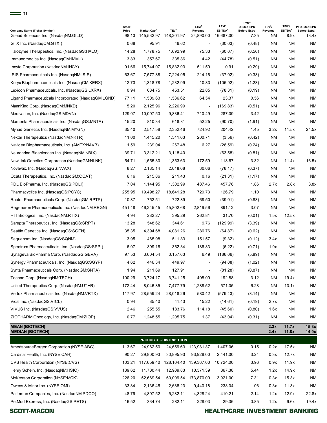| $\equiv$ 31                                         |                       |                         |                         |                             |                                         | LTM <sup>4</sup>                          |                               |                                           |                                       |  |  |
|-----------------------------------------------------|-----------------------|-------------------------|-------------------------|-----------------------------|-----------------------------------------|-------------------------------------------|-------------------------------|-------------------------------------------|---------------------------------------|--|--|
| <b>Company Name (Ticker Symbol)</b>                 | <b>Stock</b><br>Price | Market Cap <sup>2</sup> | TEV <sup>3</sup>        | LTM <sup>4</sup><br>Revenue | LTM <sup>4</sup><br>EBITDA <sup>5</sup> | <b>Diluted EPS</b><br><b>Before Extra</b> | TEV <sup>3</sup> /<br>Revenue | TEV <sup>3</sup> /<br>EBITDA <sup>5</sup> | P/ Diluted EPS<br><b>Before Extra</b> |  |  |
| Gilead Sciences Inc. (NasdaqNM:GILD)                | 98.13                 | 145,532.97              | 148,201.97              | 24,890.00                   | 16,687.00                               | 7.35                                      | <b>NM</b>                     | 8.9x                                      | 13.4x                                 |  |  |
| GTX Inc. (NasdaqCM:GTXI)                            | 0.68                  | 95.91                   | 46.62                   | $\overline{\phantom{a}}$    | (30.03)                                 | (0.48)                                    | <b>NM</b>                     | <b>NM</b>                                 | ΝM                                    |  |  |
| Halozyme Therapeutics, Inc. (NasdagGS:HALO)         | 14.28                 | 1,778.75                | 1,692.99                | 75.33                       | (60.07)                                 | (0.56)                                    | <b>NM</b>                     | <b>NM</b>                                 | ΝM                                    |  |  |
| Immunomedics Inc. (NasdaqGM:IMMU)                   | 3.83                  | 357.67                  | 335.86                  | 4.42                        | (44.78)                                 | (0.51)                                    | <b>NM</b>                     | <b>NM</b>                                 | NM                                    |  |  |
| Incyte Corporation (NasdaqNM:INCY)                  | 91.66                 | 15,744.07               | 15,832.93               | 511.50                      | 0.91                                    | (0.29)                                    | <b>NM</b>                     | <b>NM</b>                                 | NM                                    |  |  |
| ISIS Pharmaceuticals Inc. (NasdaqNM:ISIS)           | 63.67                 | 7,577.88                | 7,224.95                | 214.16                      | (37.02)                                 | (0.33)                                    | <b>NM</b>                     | <b>NM</b>                                 | ΝM                                    |  |  |
| Keryx Biopharmaceuticals Inc. (NasdaqCM:KERX)       | 12.73                 | 1,318.78                | 1,232.99                | 10.83                       | (105.92)                                | (1.23)                                    | <b>NM</b>                     | <b>NM</b>                                 | ΝM                                    |  |  |
| Lexicon Pharmaceuticals, Inc. (NasdaqGS:LXRX)       | 0.94                  | 684.75                  | 453.51                  | 22.85                       | (78.31)                                 | (0.19)                                    | NM                            | <b>NM</b>                                 | ΝM                                    |  |  |
| Ligand Pharmaceuticals Incorporated (NasdagGM:LGND) | 77.11                 | 1,509.63                | 1,536.62                | 64.54                       | 23.37                                   | 0.56                                      | <b>NM</b>                     | <b>NM</b>                                 | ΝM                                    |  |  |
| MannKind Corp. (NasdagGM:MNKD)                      | 5.20                  | 2,125.96                | 2,226.99                | $\overline{\phantom{a}}$    | (169.83)                                | (0.51)                                    | <b>NM</b>                     | <b>NM</b>                                 | ΝM                                    |  |  |
| Medivation, Inc. (NasdaqGS:MDVN)                    | 129.07                | 10,097.53               | 9,836.41                | 710.49                      | 287.09                                  | 3.42                                      | <b>NM</b>                     | <b>NM</b>                                 | ΝM                                    |  |  |
| Momenta Pharmaceuticals Inc. (NasdaqGS:MNTA)        | 15.20                 | 810.34                  | 618.81                  | 52.25                       | (90.70)                                 | (1.91)                                    | <b>NM</b>                     | <b>NM</b>                                 | ΝM                                    |  |  |
| Myriad Genetics Inc. (NasdaqNM:MYGN)                | 35.40                 | 2,517.58                | 2,352.46                | 724.92                      | 204.42                                  | 1.45                                      | 3.2x                          | 11.5x                                     | 24.5x                                 |  |  |
| Nektar Therapeutics (NasdagNM:NKTR)                 | 11.00                 | 1,445.20                | 1,341.03                | 200.71                      | (3.56)                                  | (0.42)                                    | <b>NM</b>                     | <b>NM</b>                                 | NM                                    |  |  |
| Navidea Biopharmaceuticals, Inc. (AMEX:NAVB)        | 1.59                  | 239.04                  | 267.48                  | 6.27                        | (26.59)                                 | (0.24)                                    | <b>NM</b>                     | <b>NM</b>                                 | ΝM                                    |  |  |
| Neurocrine Biosciences Inc. (NasdagNM:NBIX)         | 39.71                 | 3,312.21                | 3,118.40                | $\overline{\phantom{a}}$    | (63.58)                                 | (0.81)                                    | <b>NM</b>                     | <b>NM</b>                                 | ΝM                                    |  |  |
| NewLink Genetics Corporation (NasdaqGM:NLNK)        | 54.71                 | 1,555.30                | 1,353.63                | 172.59                      | 118.67                                  | 3.32                                      | <b>NM</b>                     | 11.4x                                     | 16.5x                                 |  |  |
| Novavax, Inc. (NasdagGS:NVAX)                       | 8.27                  | 2,185.14                | 2,018.08                | 30.66                       | (78.17)                                 | (0.37)                                    | <b>NM</b>                     | <b>NM</b>                                 | ΝM                                    |  |  |
| Ocata Therapeutics, Inc. (NasdaqGM:OCAT)            | 6.16                  | 215.86                  | 211.43                  | 0.16                        | (21.31)                                 | (1.17)                                    | <b>NM</b>                     | <b>NM</b>                                 | <b>NM</b>                             |  |  |
| PDL BioPharma, Inc. (NasdaqGS:PDLI)                 | 7.04                  | 1,144.95                | 1,302.99                | 487.46                      | 457.78                                  | 1.86                                      | 2.7x                          | 2.8x                                      | 3.8x                                  |  |  |
| Pharmacyclics Inc. (NasdaqGS:PCYC)                  | 255.95                | 19,498.27               | 18,641.28               | 729.73                      | 126.79                                  | 1.10                                      | <b>NM</b>                     | <b>NM</b>                                 | ΝM                                    |  |  |
| Raptor Pharmaceuticals Corp. (NasdaqGM:RPTP)        | 10.87                 | 752.51                  | 722.89                  | 69.50                       | (39.01)                                 | (0.83)                                    | <b>NM</b>                     | <b>NM</b>                                 | NM                                    |  |  |
| Regeneron Pharmaceuticals Inc. (NasdaqNM:REGN)      | 451.48                | 46,245.45               | 45,802.68               | 2,819.56                    | 891.12                                  | 3.07                                      | <b>NM</b>                     | <b>NM</b>                                 | ΝM                                    |  |  |
| RTI Biologics, Inc. (NasdaqNM:RTIX)                 | 4.94                  | 282.27                  | 395.29                  | 262.81                      | 31.70                                   | (0.01)                                    | 1.5x                          | 12.5x                                     | NM.                                   |  |  |
| Sarepta Therapeutics, Inc. (NasdagGS:SRPT)          | 13.28                 | 548.62                  | 344.61                  | 9.76                        | (129.99)                                | (3.39)                                    | <b>NM</b>                     | <b>NM</b>                                 | ΝM                                    |  |  |
| Seattle Genetics Inc. (NasdagGS:SGEN)               | 35.35                 | 4,394.68                | 4,081.26                | 286.76                      | (64.87)                                 | (0.62)                                    | <b>NM</b>                     | <b>NM</b>                                 | ΝM                                    |  |  |
| Sequenom Inc. (NasdagGS:SQNM)                       | 3.95                  | 465.98                  | 511.83                  | 151.57                      | (9.32)                                  | (0.12)                                    | 3.4x                          | <b>NM</b>                                 | <b>NM</b>                             |  |  |
| Spectrum Pharmaceuticals, Inc. (NasdaqGS:SPPI)      | 6.07                  | 399.16                  | 362.34                  | 186.83                      | (6.22)                                  | (0.71)                                    | 1.9x                          | <b>NM</b>                                 | NM                                    |  |  |
| Synageva BioPharma Corp. (NasdaqGS:GEVA)            | 97.53                 | 3,604.54                | 3,157.63                | 6.49                        | (186.06)                                | (5.89)                                    | NM                            | <b>NM</b>                                 | <b>NM</b>                             |  |  |
| Synergy Pharmaceuticals, Inc. (NasdaqGS:SGYP)       | 4.62                  | 446.34                  | 449.97                  |                             | (94.08)                                 | (1.02)                                    | <b>NM</b>                     | <b>NM</b>                                 | <b>NM</b>                             |  |  |
| Synta Pharmaceuticals Corp. (NasdaqGM:SNTA)         | 1.94                  | 211.69                  | 127.91                  |                             | (81.28)                                 | (0.87)                                    | NM                            | <b>NM</b>                                 | <b>NM</b>                             |  |  |
| Techne Corp. (NasdagNM:TECH)                        | 100.29                | 3,724.17                | 3,741.25                | 408.00                      | 192.88                                  | 3.12                                      | NM                            | 19.4x                                     | ΝM                                    |  |  |
| United Therapeutics Corp. (NasdaqNM:UTHR)           | 172.44                | 8,046.85                | 7,477.79                | 1,288.52                    | 571.05                                  | 6.28                                      | NM                            | 13.1x                                     | ΝM                                    |  |  |
| Vertex Pharmaceuticals Inc. (NasdaqNM:VRTX)         | 117.97                | 28,559.24               | 28,018.26               | 580.42                      | (579.43)                                | (3.14)                                    | NM                            | <b>NM</b>                                 | ΝM                                    |  |  |
| Vical Inc. (NasdaqGS:VICL)                          | 0.94                  | 85.40                   | 41.43                   | 15.22                       | (14.61)                                 | (0.19)                                    | 2.7x                          | <b>NM</b>                                 | ΝM                                    |  |  |
| VIVUS Inc. (NasdagGS: VVUS)                         | 2.46                  | 255.55                  | 183.76                  | 114.18                      | (45.60)                                 | (0.80)                                    | 1.6x                          | <b>NM</b>                                 | NM                                    |  |  |
| ZIOPHARM Oncology, Inc. (NasdaqCM:ZIOP)             | 10.77                 | 1,248.55                | 1,205.75                | 1.37                        | (43.04)                                 | (0.31)                                    | <b>NM</b>                     | <b>NM</b>                                 | ΝM                                    |  |  |
|                                                     |                       |                         |                         |                             |                                         |                                           |                               |                                           |                                       |  |  |
| <b>MEAN (BIOTECH)</b><br><b>MEDIAN (BIOTECH)</b>    |                       |                         |                         |                             |                                         |                                           | 2.3x<br>2.4x                  | 11.7x<br>11.8x                            | 15.3x<br>14.9x                        |  |  |
|                                                     |                       |                         | PRODUCTS - DISTRIBUTION |                             |                                         |                                           |                               |                                           |                                       |  |  |
| AmerisourceBergen Corporation (NYSE:ABC)            | 113.67                | 24,962.50               |                         | 24,659.63 123,981.37        | 1,407.06                                | 0.15                                      | 0.2x                          | 17.5x                                     | NM                                    |  |  |
| Cardinal Health, Inc. (NYSE:CAH)                    | 90.27                 | 29,800.93               | 30,895.93               | 93,928.00                   | 2,441.00                                | 3.24                                      | 0.3x                          | 12.7x                                     | <b>NM</b>                             |  |  |
| CVS Health Corporation (NYSE:CVS)                   | 103.21                | 117,659.40              | 128,104.40              | 139,367.00                  | 10,724.00                               | 3.96                                      | 0.9x                          | 11.9x                                     | ΝM                                    |  |  |
| Henry Schein, Inc. (NasdaqNM:HSIC)                  | 139.62                | 11,700.44               | 12,909.83               | 10,371.39                   | 867.38                                  | 5.44                                      | 1.2x                          | 14.9x                                     | ΝM                                    |  |  |
| McKesson Corporation (NYSE:MCK)                     | 226.20                | 52,669.54               |                         | 60,009.54 173,870.00        | 3,921.00                                | 7.31                                      | 0.3x                          | 15.3x                                     | ΝM                                    |  |  |

Owens & Minor Inc. (NYSE:OMI) 33.84 2,136.45 2,688.23 9,440.18 238.04 1.06 0.3x 11.3x NM Patterson Companies, Inc. (NasdaqNM:PDCO) 48.79 4,897.52 5,282.11 4,328.24 410.21 2.14 1.2x 12.9x 22.8x

PetMed Express, Inc. (NasdaqGS:PETS) 16.52 334.74 282.11 228.03 29.36 0.85 1.2x 9.6x 19.4x **SCOTT-MACON**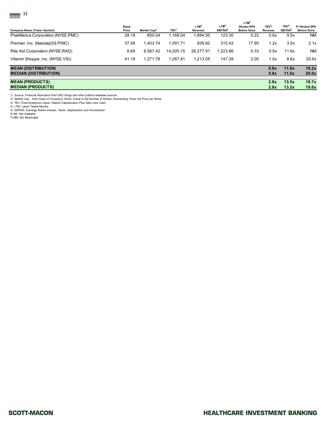| 32                                                         |                       |                         |                  |                             |                                         |                                                               |                    |                                           |                                       |
|------------------------------------------------------------|-----------------------|-------------------------|------------------|-----------------------------|-----------------------------------------|---------------------------------------------------------------|--------------------|-------------------------------------------|---------------------------------------|
| Company Name (Ticker Symbol)                               | <b>Stock</b><br>Price | Market Cap <sup>2</sup> | TEV <sup>3</sup> | LTM <sup>4</sup><br>Revenue | LTM <sup>4</sup><br>EBITDA <sup>5</sup> | LTM <sup>4</sup><br><b>Diluted EPS</b><br><b>Before Extra</b> | $TEV^3$<br>Revenue | TEV <sup>3</sup> /<br>EBITDA <sup>5</sup> | P/ Diluted EPS<br><b>Before Extra</b> |
| PharMerica Corporation (NYSE:PMC)                          | 28.19                 | 850.04                  | 1,168.04         | 1,894.50                    | 123.30                                  | 0.22                                                          | 0.6x               | 9.5x                                      | <b>NM</b>                             |
| Premier, Inc. (NasdagGS:PINC)                              | 37.58                 | 1,403.74                | 1,091.71         | 939.82                      | 315.42                                  | 17.95                                                         | 1.2x               | 3.5x                                      | 2.1x                                  |
| Rite Aid Corporation (NYSE:RAD)                            | 8.69                  | 8,587.42                | 14,205.15        | 26,277.91                   | 1,223.86                                | 0.33                                                          | 0.5x               | 11.6x                                     | <b>NM</b>                             |
| Vitamin Shoppe, Inc. (NYSE:VSI)                            | 41.19                 | 1,271.78                | 1,267.81         | 1,213.05                    | 147.38                                  | 2.00                                                          | 1.0x               | 8.6x                                      | 20.6x                                 |
| <b>MEAN (DISTRIBUTION)</b><br><b>MEDIAN (DISTRIBUTION)</b> |                       |                         |                  |                             |                                         |                                                               | 0.8x<br>0.8x       | 11.6x<br>11.8x                            | 16.2x<br>20.0x                        |
| <b>MEAN (PRODUCTS)</b><br><b>MEDIAN (PRODUCTS)</b>         |                       |                         |                  |                             |                                         |                                                               | 2.8x<br>2.8x       | 13.5x<br>13.2x                            | 18.7x<br>19.6x                        |

1) Source: Financial Information from SEC filings and other publicly-available sources<br>2) Market Cap: Total Value of Company's Stock; Equal to the Number of Shares Outstanding Times the Price per Share<br>3) TEV (Total Enterp